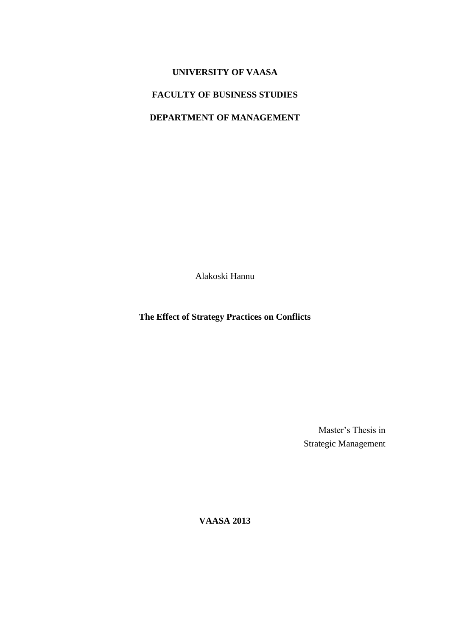# **UNIVERSITY OF VAASA**

# **FACULTY OF BUSINESS STUDIES**

# **DEPARTMENT OF MANAGEMENT**

Alakoski Hannu

**The Effect of Strategy Practices on Conflicts**

Master's Thesis in Strategic Management

**VAASA 2013**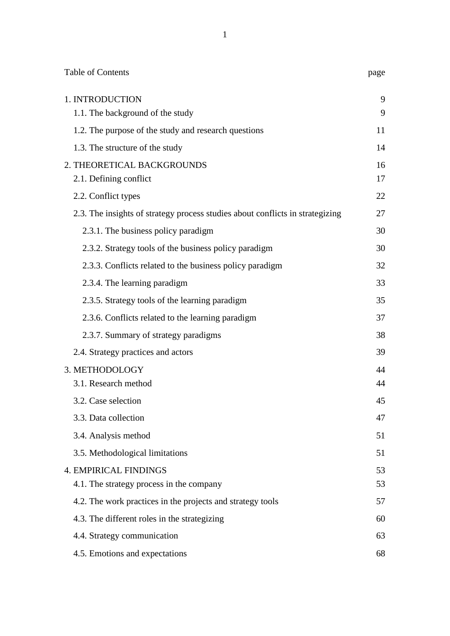| <b>Table of Contents</b>                                                      | page     |
|-------------------------------------------------------------------------------|----------|
| 1. INTRODUCTION<br>1.1. The background of the study                           | 9<br>9   |
| 1.2. The purpose of the study and research questions                          | 11       |
| 1.3. The structure of the study                                               | 14       |
| 2. THEORETICAL BACKGROUNDS<br>2.1. Defining conflict                          | 16<br>17 |
| 2.2. Conflict types                                                           | 22       |
| 2.3. The insights of strategy process studies about conflicts in strategizing | 27       |
| 2.3.1. The business policy paradigm                                           | 30       |
| 2.3.2. Strategy tools of the business policy paradigm                         | 30       |
| 2.3.3. Conflicts related to the business policy paradigm                      | 32       |
| 2.3.4. The learning paradigm                                                  | 33       |
| 2.3.5. Strategy tools of the learning paradigm                                | 35       |
| 2.3.6. Conflicts related to the learning paradigm                             | 37       |
| 2.3.7. Summary of strategy paradigms                                          | 38       |
| 2.4. Strategy practices and actors                                            | 39       |
| 3. METHODOLOGY                                                                | 44       |
| 3.1. Research method                                                          | 44       |
| 3.2. Case selection                                                           | 45       |
| 3.3. Data collection                                                          | 47       |
| 3.4. Analysis method                                                          | 51       |
| 3.5. Methodological limitations                                               | 51       |
| <b>4. EMPIRICAL FINDINGS</b>                                                  | 53       |
| 4.1. The strategy process in the company                                      | 53       |
| 4.2. The work practices in the projects and strategy tools                    | 57       |
| 4.3. The different roles in the strategizing                                  | 60       |
| 4.4. Strategy communication                                                   | 63       |
| 4.5. Emotions and expectations                                                | 68       |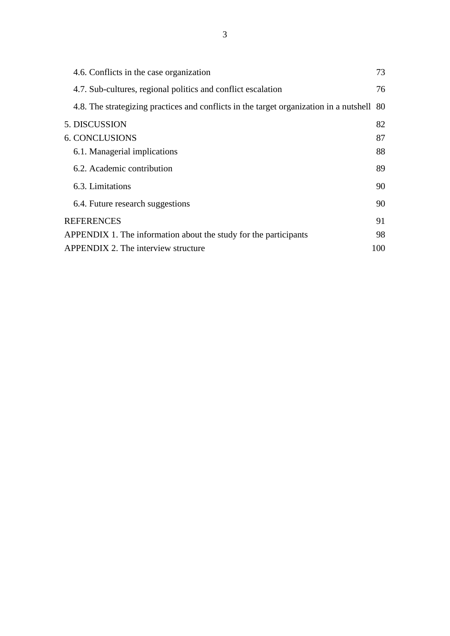| 4.6. Conflicts in the case organization                                                | 73  |
|----------------------------------------------------------------------------------------|-----|
| 4.7. Sub-cultures, regional politics and conflict escalation                           | 76  |
| 4.8. The strategizing practices and conflicts in the target organization in a nutshell | 80  |
| 5. DISCUSSION                                                                          | 82  |
| <b>6. CONCLUSIONS</b>                                                                  | 87  |
| 6.1. Managerial implications                                                           | 88  |
| 6.2. Academic contribution                                                             | 89  |
| 6.3. Limitations                                                                       | 90  |
| 6.4. Future research suggestions                                                       | 90  |
| <b>REFERENCES</b>                                                                      | 91  |
| APPENDIX 1. The information about the study for the participants                       | 98  |
| APPENDIX 2. The interview structure                                                    | 100 |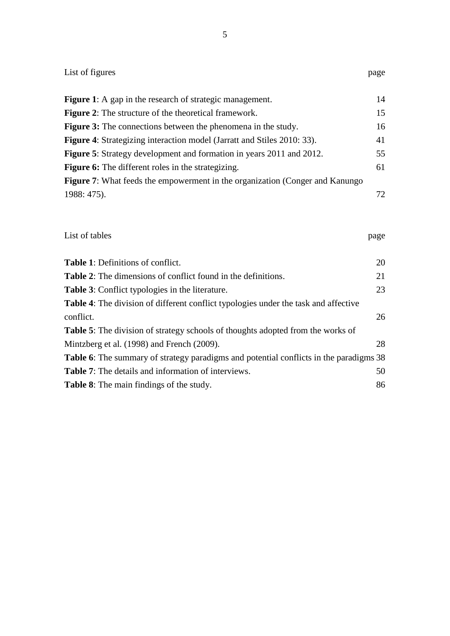| List of figures                                                                               | page |
|-----------------------------------------------------------------------------------------------|------|
| <b>Figure 1:</b> A gap in the research of strategic management.                               | 14   |
| <b>Figure 2:</b> The structure of the theoretical framework.                                  | 15   |
| <b>Figure 3:</b> The connections between the phenomena in the study.                          | 16   |
| <b>Figure 4:</b> Strategizing interaction model (Jarratt and Stiles 2010: 33).                | 41   |
| Figure 5: Strategy development and formation in years 2011 and 2012.                          | 55   |
| <b>Figure 6:</b> The different roles in the strategizing.                                     | 61   |
| Figure 7: What feeds the empowerment in the organization (Conger and Kanungo                  |      |
| 1988: 475).                                                                                   | 72   |
| List of tables                                                                                | page |
| Table 1: Definitions of conflict.                                                             | 20   |
| <b>Table 2:</b> The dimensions of conflict found in the definitions.                          | 21   |
| Table 3: Conflict typologies in the literature.                                               | 23   |
| Table 4: The division of different conflict typologies under the task and affective           |      |
| conflict.                                                                                     | 26   |
| <b>Table 5:</b> The division of strategy schools of thoughts adopted from the works of        |      |
| Mintzberg et al. (1998) and French (2009).                                                    | 28   |
| <b>Table 6:</b> The summary of strategy paradigms and potential conflicts in the paradigms 38 |      |
| <b>Table 7:</b> The details and information of interviews.                                    | 50   |
| Table 8: The main findings of the study.                                                      | 86   |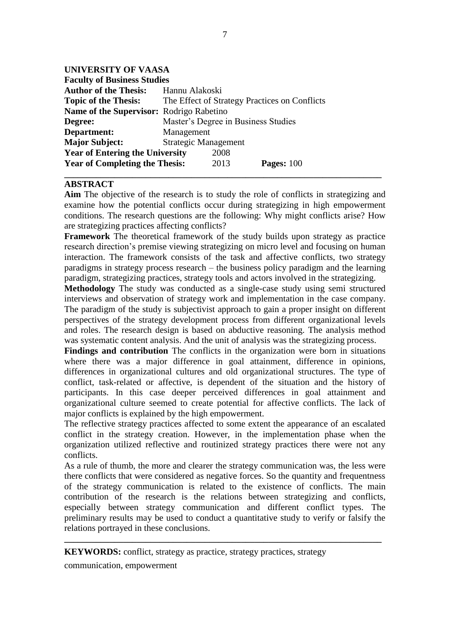## **UNIVERSITY OF VAASA**

| <b>Faculty of Business Studies</b>              |                                               |  |  |
|-------------------------------------------------|-----------------------------------------------|--|--|
| <b>Author of the Thesis:</b>                    | Hannu Alakoski                                |  |  |
| <b>Topic of the Thesis:</b>                     | The Effect of Strategy Practices on Conflicts |  |  |
| <b>Name of the Supervisor: Rodrigo Rabetino</b> |                                               |  |  |
| Degree:                                         | Master's Degree in Business Studies           |  |  |
| Department:                                     | Management                                    |  |  |
| <b>Major Subject:</b>                           | <b>Strategic Management</b>                   |  |  |
| <b>Year of Entering the University</b>          | 2008                                          |  |  |
| <b>Year of Completing the Thesis:</b>           | Pages: $100$<br>2013                          |  |  |
|                                                 |                                               |  |  |

## **ABSTRACT**

**Aim** The objective of the research is to study the role of conflicts in strategizing and examine how the potential conflicts occur during strategizing in high empowerment conditions. The research questions are the following: Why might conflicts arise? How are strategizing practices affecting conflicts?

**Framework** The theoretical framework of the study builds upon strategy as practice research direction's premise viewing strategizing on micro level and focusing on human interaction. The framework consists of the task and affective conflicts, two strategy paradigms in strategy process research – the business policy paradigm and the learning paradigm, strategizing practices, strategy tools and actors involved in the strategizing.

**Methodology** The study was conducted as a single-case study using semi structured interviews and observation of strategy work and implementation in the case company. The paradigm of the study is subjectivist approach to gain a proper insight on different perspectives of the strategy development process from different organizational levels and roles. The research design is based on abductive reasoning. The analysis method was systematic content analysis. And the unit of analysis was the strategizing process.

**Findings and contribution** The conflicts in the organization were born in situations where there was a major difference in goal attainment, difference in opinions, differences in organizational cultures and old organizational structures. The type of conflict, task-related or affective, is dependent of the situation and the history of participants. In this case deeper perceived differences in goal attainment and organizational culture seemed to create potential for affective conflicts. The lack of major conflicts is explained by the high empowerment.

The reflective strategy practices affected to some extent the appearance of an escalated conflict in the strategy creation. However, in the implementation phase when the organization utilized reflective and routinized strategy practices there were not any conflicts.

As a rule of thumb, the more and clearer the strategy communication was, the less were there conflicts that were considered as negative forces. So the quantity and frequentness of the strategy communication is related to the existence of conflicts. The main contribution of the research is the relations between strategizing and conflicts, especially between strategy communication and different conflict types. The preliminary results may be used to conduct a quantitative study to verify or falsify the relations portrayed in these conclusions.

**\_\_\_\_\_\_\_\_\_\_\_\_\_\_\_\_\_\_\_\_\_\_\_\_\_\_\_\_\_\_\_\_\_\_\_\_\_\_\_\_\_\_\_\_\_\_\_\_\_\_\_\_\_\_\_\_\_\_\_\_\_\_\_\_\_\_\_\_\_\_**

**KEYWORDS:** conflict, strategy as practice, strategy practices, strategy

communication, empowerment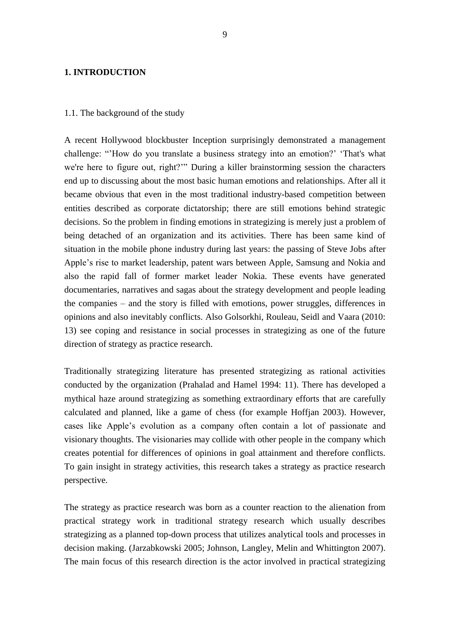### **1. INTRODUCTION**

#### 1.1. The background of the study

A recent Hollywood blockbuster Inception surprisingly demonstrated a management challenge: "'How do you translate a business strategy into an emotion?' 'That's what we're here to figure out, right?'" During a killer brainstorming session the characters end up to discussing about the most basic human emotions and relationships. After all it became obvious that even in the most traditional industry-based competition between entities described as corporate dictatorship; there are still emotions behind strategic decisions. So the problem in finding emotions in strategizing is merely just a problem of being detached of an organization and its activities. There has been same kind of situation in the mobile phone industry during last years: the passing of Steve Jobs after Apple's rise to market leadership, patent wars between Apple, Samsung and Nokia and also the rapid fall of former market leader Nokia. These events have generated documentaries, narratives and sagas about the strategy development and people leading the companies – and the story is filled with emotions, power struggles, differences in opinions and also inevitably conflicts. Also Golsorkhi, Rouleau, Seidl and Vaara (2010: 13) see coping and resistance in social processes in strategizing as one of the future direction of strategy as practice research.

Traditionally strategizing literature has presented strategizing as rational activities conducted by the organization (Prahalad and Hamel 1994: 11). There has developed a mythical haze around strategizing as something extraordinary efforts that are carefully calculated and planned, like a game of chess (for example Hoffjan 2003). However, cases like Apple's evolution as a company often contain a lot of passionate and visionary thoughts. The visionaries may collide with other people in the company which creates potential for differences of opinions in goal attainment and therefore conflicts. To gain insight in strategy activities, this research takes a strategy as practice research perspective.

The strategy as practice research was born as a counter reaction to the alienation from practical strategy work in traditional strategy research which usually describes strategizing as a planned top-down process that utilizes analytical tools and processes in decision making. (Jarzabkowski 2005; Johnson, Langley, Melin and Whittington 2007). The main focus of this research direction is the actor involved in practical strategizing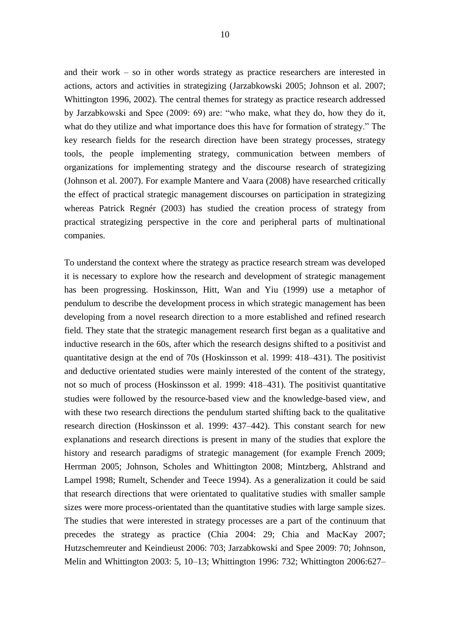and their work – so in other words strategy as practice researchers are interested in actions, actors and activities in strategizing (Jarzabkowski 2005; Johnson et al. 2007; Whittington 1996, 2002). The central themes for strategy as practice research addressed by Jarzabkowski and Spee (2009: 69) are: "who make, what they do, how they do it, what do they utilize and what importance does this have for formation of strategy." The key research fields for the research direction have been strategy processes, strategy tools, the people implementing strategy, communication between members of organizations for implementing strategy and the discourse research of strategizing (Johnson et al. 2007). For example Mantere and Vaara (2008) have researched critically the effect of practical strategic management discourses on participation in strategizing whereas Patrick Regnér (2003) has studied the creation process of strategy from practical strategizing perspective in the core and peripheral parts of multinational companies.

To understand the context where the strategy as practice research stream was developed it is necessary to explore how the research and development of strategic management has been progressing. Hoskinsson, Hitt, Wan and Yiu (1999) use a metaphor of pendulum to describe the development process in which strategic management has been developing from a novel research direction to a more established and refined research field. They state that the strategic management research first began as a qualitative and inductive research in the 60s, after which the research designs shifted to a positivist and quantitative design at the end of 70s (Hoskinsson et al. 1999: 418–431). The positivist and deductive orientated studies were mainly interested of the content of the strategy, not so much of process (Hoskinsson et al. 1999: 418–431). The positivist quantitative studies were followed by the resource-based view and the knowledge-based view, and with these two research directions the pendulum started shifting back to the qualitative research direction (Hoskinsson et al. 1999: 437–442). This constant search for new explanations and research directions is present in many of the studies that explore the history and research paradigms of strategic management (for example French 2009; Herrman 2005; Johnson, Scholes and Whittington 2008; Mintzberg, Ahlstrand and Lampel 1998; Rumelt, Schender and Teece 1994). As a generalization it could be said that research directions that were orientated to qualitative studies with smaller sample sizes were more process-orientated than the quantitative studies with large sample sizes. The studies that were interested in strategy processes are a part of the continuum that precedes the strategy as practice (Chia 2004: 29; Chia and MacKay 2007; Hutzschemreuter and Keindieust 2006: 703; Jarzabkowski and Spee 2009: 70; Johnson, Melin and Whittington 2003: 5, 10–13; Whittington 1996: 732; Whittington 2006:627–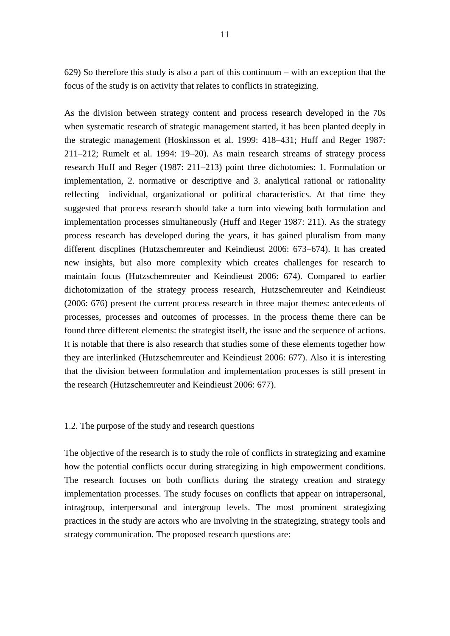629) So therefore this study is also a part of this continuum – with an exception that the focus of the study is on activity that relates to conflicts in strategizing.

As the division between strategy content and process research developed in the 70s when systematic research of strategic management started, it has been planted deeply in the strategic management (Hoskinsson et al. 1999: 418–431; Huff and Reger 1987: 211–212; Rumelt et al. 1994: 19–20). As main research streams of strategy process research Huff and Reger (1987: 211–213) point three dichotomies: 1. Formulation or implementation, 2. normative or descriptive and 3. analytical rational or rationality reflecting individual, organizational or political characteristics. At that time they suggested that process research should take a turn into viewing both formulation and implementation processes simultaneously (Huff and Reger 1987: 211). As the strategy process research has developed during the years, it has gained pluralism from many different discplines (Hutzschemreuter and Keindieust 2006: 673–674). It has created new insights, but also more complexity which creates challenges for research to maintain focus (Hutzschemreuter and Keindieust 2006: 674). Compared to earlier dichotomization of the strategy process research, Hutzschemreuter and Keindieust (2006: 676) present the current process research in three major themes: antecedents of processes, processes and outcomes of processes. In the process theme there can be found three different elements: the strategist itself, the issue and the sequence of actions. It is notable that there is also research that studies some of these elements together how they are interlinked (Hutzschemreuter and Keindieust 2006: 677). Also it is interesting that the division between formulation and implementation processes is still present in the research (Hutzschemreuter and Keindieust 2006: 677).

## 1.2. The purpose of the study and research questions

The objective of the research is to study the role of conflicts in strategizing and examine how the potential conflicts occur during strategizing in high empowerment conditions. The research focuses on both conflicts during the strategy creation and strategy implementation processes. The study focuses on conflicts that appear on intrapersonal, intragroup, interpersonal and intergroup levels. The most prominent strategizing practices in the study are actors who are involving in the strategizing, strategy tools and strategy communication. The proposed research questions are: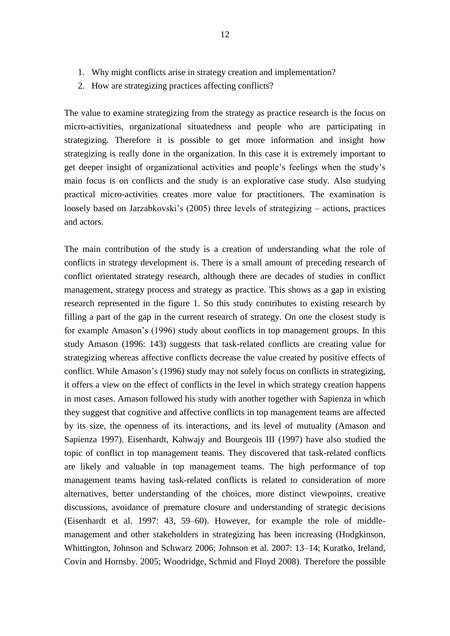- 1. Why might conflicts arise in strategy creation and implementation?
- 2. How are strategizing practices affecting conflicts?

The value to examine strategizing from the strategy as practice research is the focus on micro-activities, organizational situatedness and people who are participating in strategizing. Therefore it is possible to get more information and insight how strategizing is really done in the organization. In this case it is extremely important to get deeper insight of organizational activities and people's feelings when the study's main focus is on conflicts and the study is an explorative case study. Also studying practical micro-activities creates more value for practitioners. The examination is loosely based on Jarzabkovski's (2005) three levels of strategizing – actions, practices and actors.

The main contribution of the study is a creation of understanding what the role of conflicts in strategy development is. There is a small amount of preceding research of conflict orientated strategy research, although there are decades of studies in conflict management, strategy process and strategy as practice. This shows as a gap in existing research represented in the figure 1. So this study contributes to existing research by filling a part of the gap in the current research of strategy. On one the closest study is for example Amason's (1996) study about conflicts in top management groups. In this study Amason (1996: 143) suggests that task-related conflicts are creating value for strategizing whereas affective conflicts decrease the value created by positive effects of conflict. While Amason's (1996) study may not solely focus on conflicts in strategizing, it offers a view on the effect of conflicts in the level in which strategy creation happens in most cases. Amason followed his study with another together with Sapienza in which they suggest that cognitive and affective conflicts in top management teams are affected by its size, the openness of its interactions, and its level of mutuality (Amason and Sapienza 1997). Eisenhardt, Kahwajy and Bourgeois III (1997) have also studied the topic of conflict in top management teams. They discovered that task-related conflicts are likely and valuable in top management teams. The high performance of top management teams having task-related conflicts is related to consideration of more alternatives, better understanding of the choices, more distinct viewpoints, creative discussions, avoidance of premature closure and understanding of strategic decisions (Eisenhardt et al. 1997: 43, 59–60). However, for example the role of middlemanagement and other stakeholders in strategizing has been increasing (Hodgkinson, Whittington, Johnson and Schwarz 2006; Johnson et al. 2007: 13–14; Kuratko, Ireland, Covin and Hornsby. 2005; Woodridge, Schmid and Floyd 2008). Therefore the possible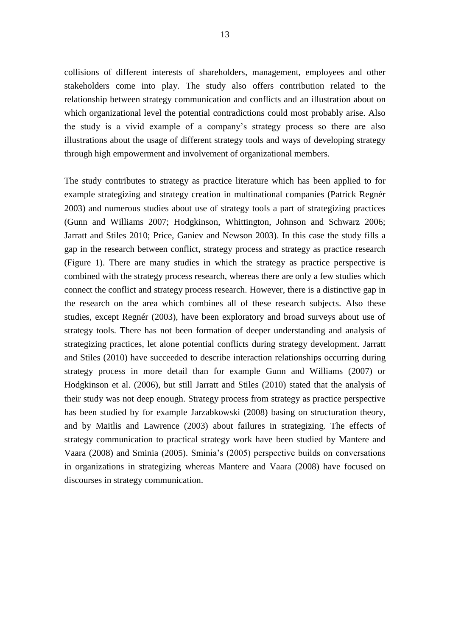collisions of different interests of shareholders, management, employees and other stakeholders come into play. The study also offers contribution related to the relationship between strategy communication and conflicts and an illustration about on which organizational level the potential contradictions could most probably arise. Also the study is a vivid example of a company's strategy process so there are also illustrations about the usage of different strategy tools and ways of developing strategy through high empowerment and involvement of organizational members.

The study contributes to strategy as practice literature which has been applied to for example strategizing and strategy creation in multinational companies (Patrick Regnér 2003) and numerous studies about use of strategy tools a part of strategizing practices (Gunn and Williams 2007; Hodgkinson, Whittington, Johnson and Schwarz 2006; Jarratt and Stiles 2010; Price, Ganiev and Newson 2003). In this case the study fills a gap in the research between conflict, strategy process and strategy as practice research (Figure 1). There are many studies in which the strategy as practice perspective is combined with the strategy process research, whereas there are only a few studies which connect the conflict and strategy process research. However, there is a distinctive gap in the research on the area which combines all of these research subjects. Also these studies, except Regnér (2003), have been exploratory and broad surveys about use of strategy tools. There has not been formation of deeper understanding and analysis of strategizing practices, let alone potential conflicts during strategy development. Jarratt and Stiles (2010) have succeeded to describe interaction relationships occurring during strategy process in more detail than for example Gunn and Williams (2007) or Hodgkinson et al. (2006), but still Jarratt and Stiles (2010) stated that the analysis of their study was not deep enough. Strategy process from strategy as practice perspective has been studied by for example Jarzabkowski (2008) basing on structuration theory, and by Maitlis and Lawrence (2003) about failures in strategizing. The effects of strategy communication to practical strategy work have been studied by Mantere and Vaara (2008) and Sminia (2005). Sminia's (2005) perspective builds on conversations in organizations in strategizing whereas Mantere and Vaara (2008) have focused on discourses in strategy communication.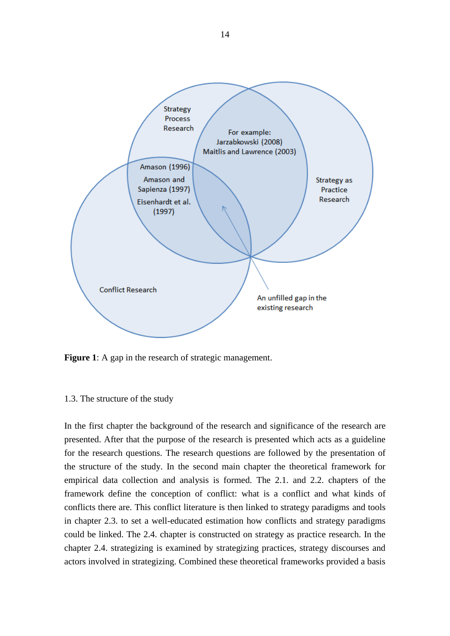

<span id="page-15-0"></span>**Figure 1**: A gap in the research of strategic management.

## 1.3. The structure of the study

In the first chapter the background of the research and significance of the research are presented. After that the purpose of the research is presented which acts as a guideline for the research questions. The research questions are followed by the presentation of the structure of the study. In the second main chapter the theoretical framework for empirical data collection and analysis is formed. The 2.1. and 2.2. chapters of the framework define the conception of conflict: what is a conflict and what kinds of conflicts there are. This conflict literature is then linked to strategy paradigms and tools in chapter 2.3. to set a well-educated estimation how conflicts and strategy paradigms could be linked. The 2.4. chapter is constructed on strategy as practice research. In the chapter 2.4. strategizing is examined by strategizing practices, strategy discourses and actors involved in strategizing. Combined these theoretical frameworks provided a basis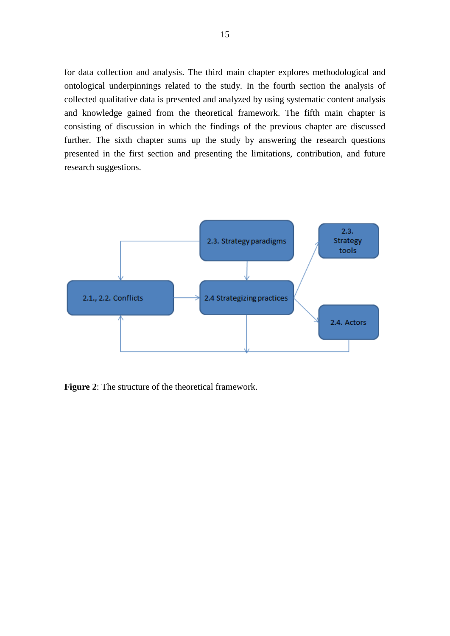for data collection and analysis. The third main chapter explores methodological and ontological underpinnings related to the study. In the fourth section the analysis of collected qualitative data is presented and analyzed by using systematic content analysis and knowledge gained from the theoretical framework. The fifth main chapter is consisting of discussion in which the findings of the previous chapter are discussed further. The sixth chapter sums up the study by answering the research questions presented in the first section and presenting the limitations, contribution, and future research suggestions.



<span id="page-16-0"></span>**Figure 2**: The structure of the theoretical framework.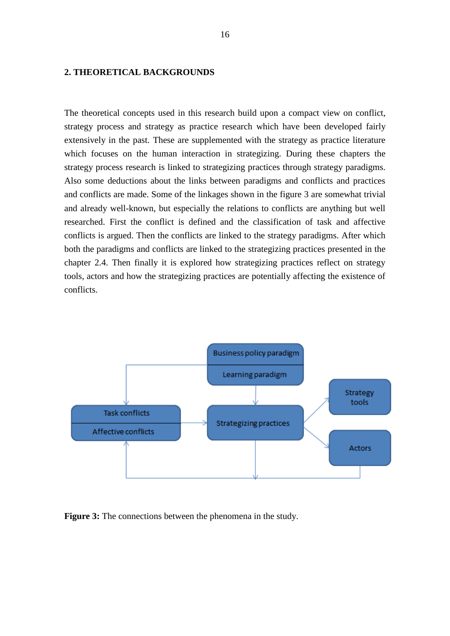## **2. THEORETICAL BACKGROUNDS**

The theoretical concepts used in this research build upon a compact view on conflict, strategy process and strategy as practice research which have been developed fairly extensively in the past. These are supplemented with the strategy as practice literature which focuses on the human interaction in strategizing. During these chapters the strategy process research is linked to strategizing practices through strategy paradigms. Also some deductions about the links between paradigms and conflicts and practices and conflicts are made. Some of the linkages shown in the figure 3 are somewhat trivial and already well-known, but especially the relations to conflicts are anything but well researched. First the conflict is defined and the classification of task and affective conflicts is argued. Then the conflicts are linked to the strategy paradigms. After which both the paradigms and conflicts are linked to the strategizing practices presented in the chapter 2.4. Then finally it is explored how strategizing practices reflect on strategy tools, actors and how the strategizing practices are potentially affecting the existence of conflicts.



<span id="page-17-0"></span>**Figure 3:** The connections between the phenomena in the study.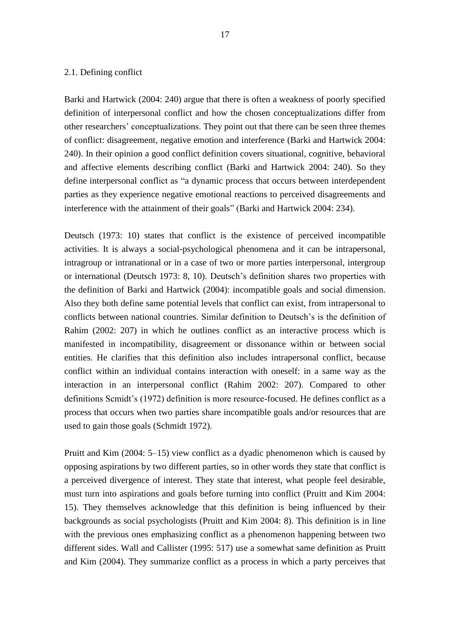#### 2.1. Defining conflict

Barki and Hartwick (2004: 240) argue that there is often a weakness of poorly specified definition of interpersonal conflict and how the chosen conceptualizations differ from other researchers' conceptualizations. They point out that there can be seen three themes of conflict: disagreement, negative emotion and interference (Barki and Hartwick 2004: 240). In their opinion a good conflict definition covers situational, cognitive, behavioral and affective elements describing conflict (Barki and Hartwick 2004: 240). So they define interpersonal conflict as "a dynamic process that occurs between interdependent parties as they experience negative emotional reactions to perceived disagreements and interference with the attainment of their goals" (Barki and Hartwick 2004: 234).

Deutsch (1973: 10) states that conflict is the existence of perceived incompatible activities. It is always a social-psychological phenomena and it can be intrapersonal, intragroup or intranational or in a case of two or more parties interpersonal, intergroup or international (Deutsch 1973: 8, 10). Deutsch's definition shares two properties with the definition of Barki and Hartwick (2004): incompatible goals and social dimension. Also they both define same potential levels that conflict can exist, from intrapersonal to conflicts between national countries. Similar definition to Deutsch's is the definition of Rahim (2002: 207) in which he outlines conflict as an interactive process which is manifested in incompatibility, disagreement or dissonance within or between social entities. He clarifies that this definition also includes intrapersonal conflict, because conflict within an individual contains interaction with oneself: in a same way as the interaction in an interpersonal conflict (Rahim 2002: 207). Compared to other definitions Scmidt's (1972) definition is more resource-focused. He defines conflict as a process that occurs when two parties share incompatible goals and/or resources that are used to gain those goals (Schmidt 1972).

Pruitt and Kim (2004: 5–15) view conflict as a dyadic phenomenon which is caused by opposing aspirations by two different parties, so in other words they state that conflict is a perceived divergence of interest. They state that interest, what people feel desirable, must turn into aspirations and goals before turning into conflict (Pruitt and Kim 2004: 15). They themselves acknowledge that this definition is being influenced by their backgrounds as social psychologists (Pruitt and Kim 2004: 8). This definition is in line with the previous ones emphasizing conflict as a phenomenon happening between two different sides. Wall and Callister (1995: 517) use a somewhat same definition as Pruitt and Kim (2004). They summarize conflict as a process in which a party perceives that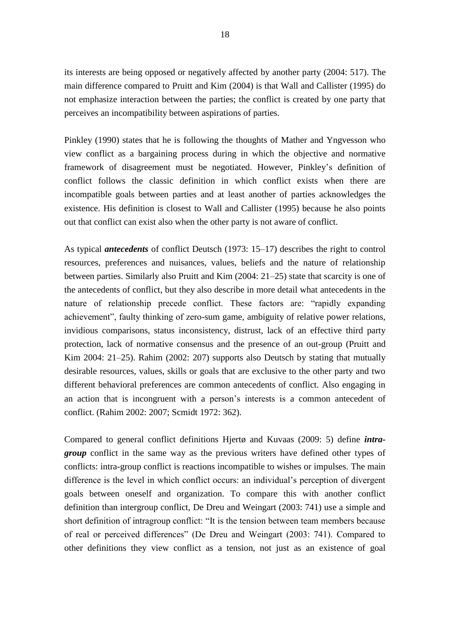its interests are being opposed or negatively affected by another party (2004: 517). The main difference compared to Pruitt and Kim (2004) is that Wall and Callister (1995) do not emphasize interaction between the parties; the conflict is created by one party that perceives an incompatibility between aspirations of parties.

Pinkley (1990) states that he is following the thoughts of Mather and Yngvesson who view conflict as a bargaining process during in which the objective and normative framework of disagreement must be negotiated. However, Pinkley's definition of conflict follows the classic definition in which conflict exists when there are incompatible goals between parties and at least another of parties acknowledges the existence. His definition is closest to Wall and Callister (1995) because he also points out that conflict can exist also when the other party is not aware of conflict.

As typical *antecedents* of conflict Deutsch (1973: 15–17) describes the right to control resources, preferences and nuisances, values, beliefs and the nature of relationship between parties. Similarly also Pruitt and Kim (2004: 21–25) state that scarcity is one of the antecedents of conflict, but they also describe in more detail what antecedents in the nature of relationship precede conflict. These factors are: "rapidly expanding achievement", faulty thinking of zero-sum game, ambiguity of relative power relations, invidious comparisons, status inconsistency, distrust, lack of an effective third party protection, lack of normative consensus and the presence of an out-group (Pruitt and Kim 2004: 21–25). Rahim (2002: 207) supports also Deutsch by stating that mutually desirable resources, values, skills or goals that are exclusive to the other party and two different behavioral preferences are common antecedents of conflict. Also engaging in an action that is incongruent with a person's interests is a common antecedent of conflict. (Rahim 2002: 2007; Scmidt 1972: 362).

Compared to general conflict definitions Hjertø and Kuvaas (2009: 5) define *intragroup* conflict in the same way as the previous writers have defined other types of conflicts: intra-group conflict is reactions incompatible to wishes or impulses. The main difference is the level in which conflict occurs: an individual's perception of divergent goals between oneself and organization. To compare this with another conflict definition than intergroup conflict, De Dreu and Weingart (2003: 741) use a simple and short definition of intragroup conflict: "It is the tension between team members because of real or perceived differences" (De Dreu and Weingart (2003: 741). Compared to other definitions they view conflict as a tension, not just as an existence of goal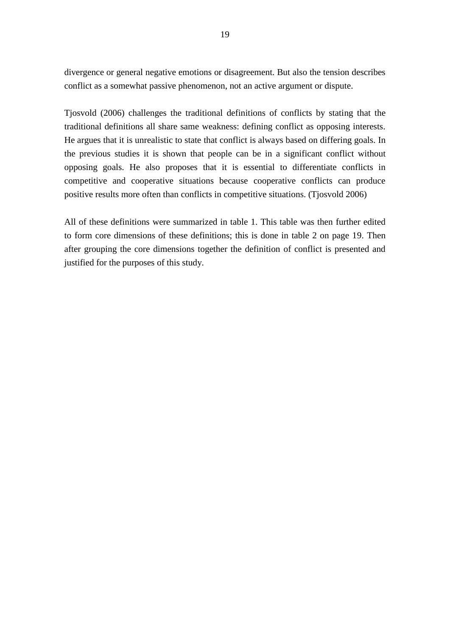divergence or general negative emotions or disagreement. But also the tension describes conflict as a somewhat passive phenomenon, not an active argument or dispute.

Tjosvold (2006) challenges the traditional definitions of conflicts by stating that the traditional definitions all share same weakness: defining conflict as opposing interests. He argues that it is unrealistic to state that conflict is always based on differing goals. In the previous studies it is shown that people can be in a significant conflict without opposing goals. He also proposes that it is essential to differentiate conflicts in competitive and cooperative situations because cooperative conflicts can produce positive results more often than conflicts in competitive situations. (Tjosvold 2006)

All of these definitions were summarized in table 1. This table was then further edited to form core dimensions of these definitions; this is done in table 2 on page 19. Then after grouping the core dimensions together the definition of conflict is presented and justified for the purposes of this study.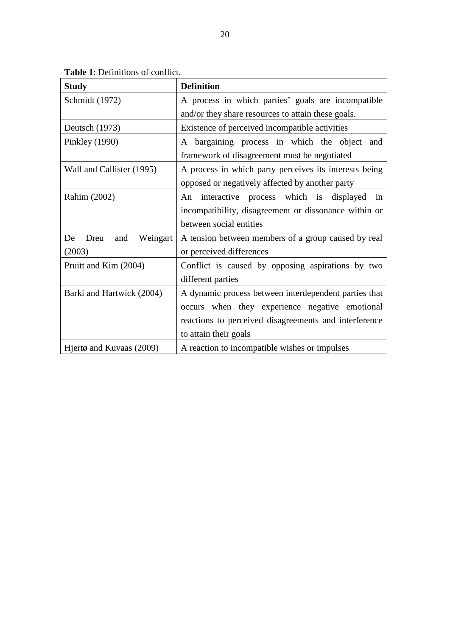<span id="page-21-0"></span>

| <b>Study</b>                  | <b>Definition</b>                                      |  |
|-------------------------------|--------------------------------------------------------|--|
| Schmidt (1972)                | A process in which parties' goals are incompatible     |  |
|                               | and/or they share resources to attain these goals.     |  |
| Deutsch (1973)                | Existence of perceived incompatible activities         |  |
| Pinkley (1990)                | A bargaining process in which the object and           |  |
|                               | framework of disagreement must be negotiated           |  |
| Wall and Callister (1995)     | A process in which party perceives its interests being |  |
|                               | opposed or negatively affected by another party        |  |
| Rahim (2002)                  | interactive process which is displayed in<br>An        |  |
|                               | incompatibility, disagreement or dissonance within or  |  |
|                               | between social entities                                |  |
| Weingart<br>Dreu<br>and<br>De | A tension between members of a group caused by real    |  |
| (2003)                        | or perceived differences                               |  |
| Pruitt and Kim (2004)         | Conflict is caused by opposing aspirations by two      |  |
|                               | different parties                                      |  |
| Barki and Hartwick (2004)     | A dynamic process between interdependent parties that  |  |
|                               | occurs when they experience negative emotional         |  |
|                               | reactions to perceived disagreements and interference  |  |
|                               | to attain their goals                                  |  |
| Hjertø and Kuvaas (2009)      | A reaction to incompatible wishes or impulses          |  |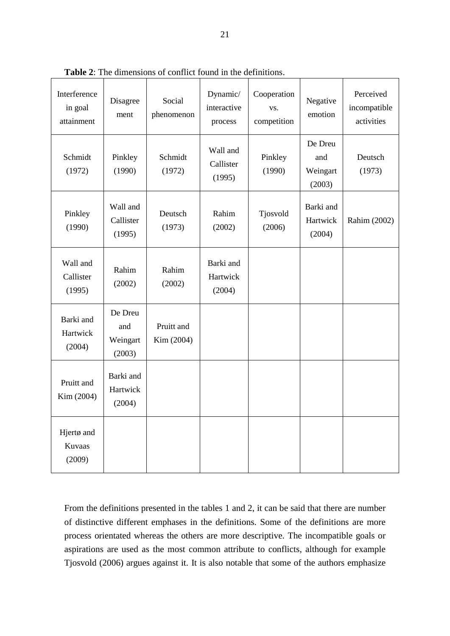| Interference<br>in goal<br>attainment | Disagree<br>ment                     | Social<br>phenomenon     | Dynamic/<br>interactive<br>process | Cooperation<br>VS.<br>competition | Negative<br>emotion                  | Perceived<br>incompatible<br>activities |
|---------------------------------------|--------------------------------------|--------------------------|------------------------------------|-----------------------------------|--------------------------------------|-----------------------------------------|
| Schmidt<br>(1972)                     | Pinkley<br>(1990)                    | Schmidt<br>(1972)        | Wall and<br>Callister<br>(1995)    | Pinkley<br>(1990)                 | De Dreu<br>and<br>Weingart<br>(2003) | Deutsch<br>(1973)                       |
| Pinkley<br>(1990)                     | Wall and<br>Callister<br>(1995)      | Deutsch<br>(1973)        | Rahim<br>(2002)                    | Tjosvold<br>(2006)                | Barki and<br>Hartwick<br>(2004)      | Rahim (2002)                            |
| Wall and<br>Callister<br>(1995)       | Rahim<br>(2002)                      | Rahim<br>(2002)          | Barki and<br>Hartwick<br>(2004)    |                                   |                                      |                                         |
| Barki and<br>Hartwick<br>(2004)       | De Dreu<br>and<br>Weingart<br>(2003) | Pruitt and<br>Kim (2004) |                                    |                                   |                                      |                                         |
| Pruitt and<br>Kim (2004)              | Barki and<br>Hartwick<br>(2004)      |                          |                                    |                                   |                                      |                                         |
| Hjertø and<br>Kuvaas<br>(2009)        |                                      |                          |                                    |                                   |                                      |                                         |

<span id="page-22-0"></span>**Table 2**: The dimensions of conflict found in the definitions.

From the definitions presented in the tables 1 and 2, it can be said that there are number of distinctive different emphases in the definitions. Some of the definitions are more process orientated whereas the others are more descriptive. The incompatible goals or aspirations are used as the most common attribute to conflicts, although for example Tjosvold (2006) argues against it. It is also notable that some of the authors emphasize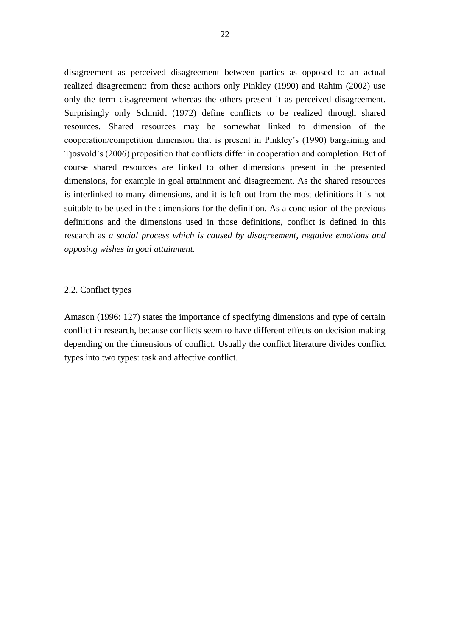disagreement as perceived disagreement between parties as opposed to an actual realized disagreement: from these authors only Pinkley (1990) and Rahim (2002) use only the term disagreement whereas the others present it as perceived disagreement. Surprisingly only Schmidt (1972) define conflicts to be realized through shared resources. Shared resources may be somewhat linked to dimension of the cooperation/competition dimension that is present in Pinkley's (1990) bargaining and Tjosvold's (2006) proposition that conflicts differ in cooperation and completion. But of course shared resources are linked to other dimensions present in the presented dimensions, for example in goal attainment and disagreement. As the shared resources is interlinked to many dimensions, and it is left out from the most definitions it is not suitable to be used in the dimensions for the definition. As a conclusion of the previous definitions and the dimensions used in those definitions, conflict is defined in this research as *a social process which is caused by disagreement, negative emotions and opposing wishes in goal attainment.* 

### 2.2. Conflict types

Amason (1996: 127) states the importance of specifying dimensions and type of certain conflict in research, because conflicts seem to have different effects on decision making depending on the dimensions of conflict. Usually the conflict literature divides conflict types into two types: task and affective conflict.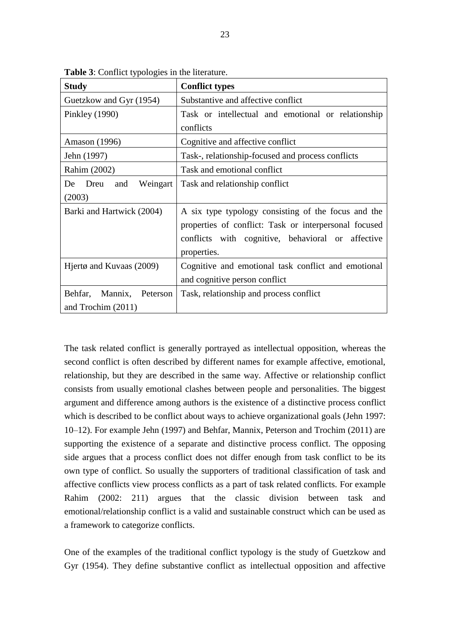| <b>Study</b>                  | <b>Conflict types</b>                                 |  |  |  |
|-------------------------------|-------------------------------------------------------|--|--|--|
| Guetzkow and Gyr (1954)       | Substantive and affective conflict                    |  |  |  |
| Pinkley (1990)                | Task or intellectual and emotional or relationship    |  |  |  |
|                               | conflicts                                             |  |  |  |
| Amason (1996)                 | Cognitive and affective conflict                      |  |  |  |
| Jehn (1997)                   | Task-, relationship-focused and process conflicts     |  |  |  |
| Rahim (2002)                  | Task and emotional conflict                           |  |  |  |
| Weingart<br>De<br>Dreu<br>and | Task and relationship conflict                        |  |  |  |
| (2003)                        |                                                       |  |  |  |
| Barki and Hartwick (2004)     | A six type typology consisting of the focus and the   |  |  |  |
|                               | properties of conflict: Task or interpersonal focused |  |  |  |
|                               | conflicts with cognitive, behavioral or affective     |  |  |  |
|                               | properties.                                           |  |  |  |
| Hjertø and Kuvaas (2009)      | Cognitive and emotional task conflict and emotional   |  |  |  |
|                               | and cognitive person conflict                         |  |  |  |
| Behfar, Mannix, Peterson      | Task, relationship and process conflict               |  |  |  |
| and Trochim (2011)            |                                                       |  |  |  |

<span id="page-24-0"></span>**Table 3**: Conflict typologies in the literature.

The task related conflict is generally portrayed as intellectual opposition, whereas the second conflict is often described by different names for example affective, emotional, relationship, but they are described in the same way. Affective or relationship conflict consists from usually emotional clashes between people and personalities. The biggest argument and difference among authors is the existence of a distinctive process conflict which is described to be conflict about ways to achieve organizational goals (Jehn 1997: 10–12). For example Jehn (1997) and Behfar, Mannix, Peterson and Trochim (2011) are supporting the existence of a separate and distinctive process conflict. The opposing side argues that a process conflict does not differ enough from task conflict to be its own type of conflict. So usually the supporters of traditional classification of task and affective conflicts view process conflicts as a part of task related conflicts. For example Rahim (2002: 211) argues that the classic division between task and emotional/relationship conflict is a valid and sustainable construct which can be used as a framework to categorize conflicts.

One of the examples of the traditional conflict typology is the study of Guetzkow and Gyr (1954). They define substantive conflict as intellectual opposition and affective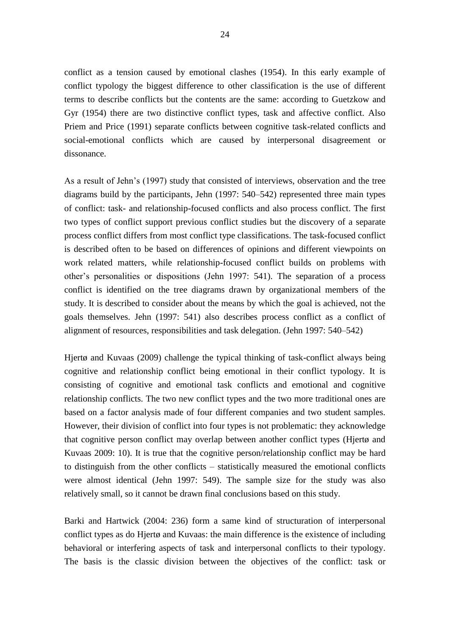conflict as a tension caused by emotional clashes (1954). In this early example of conflict typology the biggest difference to other classification is the use of different terms to describe conflicts but the contents are the same: according to Guetzkow and Gyr (1954) there are two distinctive conflict types, task and affective conflict. Also Priem and Price (1991) separate conflicts between cognitive task-related conflicts and social-emotional conflicts which are caused by interpersonal disagreement or dissonance.

As a result of Jehn's (1997) study that consisted of interviews, observation and the tree diagrams build by the participants, Jehn (1997: 540–542) represented three main types of conflict: task- and relationship-focused conflicts and also process conflict. The first two types of conflict support previous conflict studies but the discovery of a separate process conflict differs from most conflict type classifications. The task-focused conflict is described often to be based on differences of opinions and different viewpoints on work related matters, while relationship-focused conflict builds on problems with other's personalities or dispositions (Jehn 1997: 541). The separation of a process conflict is identified on the tree diagrams drawn by organizational members of the study. It is described to consider about the means by which the goal is achieved, not the goals themselves. Jehn (1997: 541) also describes process conflict as a conflict of alignment of resources, responsibilities and task delegation. (Jehn 1997: 540–542)

Hjertø and Kuvaas (2009) challenge the typical thinking of task-conflict always being cognitive and relationship conflict being emotional in their conflict typology. It is consisting of cognitive and emotional task conflicts and emotional and cognitive relationship conflicts. The two new conflict types and the two more traditional ones are based on a factor analysis made of four different companies and two student samples. However, their division of conflict into four types is not problematic: they acknowledge that cognitive person conflict may overlap between another conflict types (Hjertø and Kuvaas 2009: 10). It is true that the cognitive person/relationship conflict may be hard to distinguish from the other conflicts – statistically measured the emotional conflicts were almost identical (Jehn 1997: 549). The sample size for the study was also relatively small, so it cannot be drawn final conclusions based on this study.

Barki and Hartwick (2004: 236) form a same kind of structuration of interpersonal conflict types as do Hjertø and Kuvaas: the main difference is the existence of including behavioral or interfering aspects of task and interpersonal conflicts to their typology. The basis is the classic division between the objectives of the conflict: task or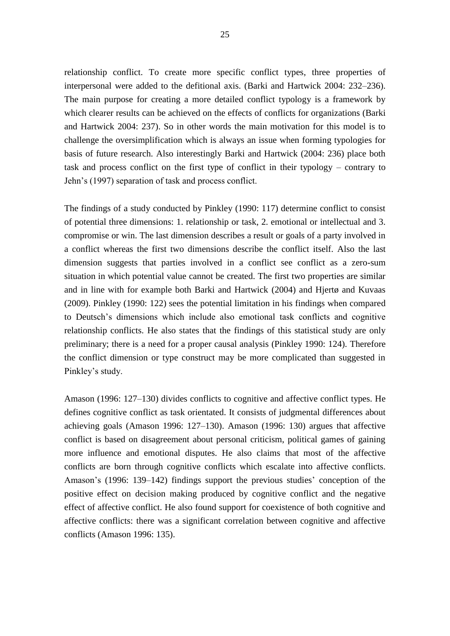relationship conflict. To create more specific conflict types, three properties of interpersonal were added to the defitional axis. (Barki and Hartwick 2004: 232–236). The main purpose for creating a more detailed conflict typology is a framework by which clearer results can be achieved on the effects of conflicts for organizations (Barki and Hartwick 2004: 237). So in other words the main motivation for this model is to challenge the oversimplification which is always an issue when forming typologies for basis of future research. Also interestingly Barki and Hartwick (2004: 236) place both task and process conflict on the first type of conflict in their typology – contrary to Jehn's (1997) separation of task and process conflict.

The findings of a study conducted by Pinkley (1990: 117) determine conflict to consist of potential three dimensions: 1. relationship or task, 2. emotional or intellectual and 3. compromise or win. The last dimension describes a result or goals of a party involved in a conflict whereas the first two dimensions describe the conflict itself. Also the last dimension suggests that parties involved in a conflict see conflict as a zero-sum situation in which potential value cannot be created. The first two properties are similar and in line with for example both Barki and Hartwick (2004) and Hjertø and Kuvaas (2009). Pinkley (1990: 122) sees the potential limitation in his findings when compared to Deutsch's dimensions which include also emotional task conflicts and cognitive relationship conflicts. He also states that the findings of this statistical study are only preliminary; there is a need for a proper causal analysis (Pinkley 1990: 124). Therefore the conflict dimension or type construct may be more complicated than suggested in Pinkley's study.

Amason (1996: 127–130) divides conflicts to cognitive and affective conflict types. He defines cognitive conflict as task orientated. It consists of judgmental differences about achieving goals (Amason 1996: 127–130). Amason (1996: 130) argues that affective conflict is based on disagreement about personal criticism, political games of gaining more influence and emotional disputes. He also claims that most of the affective conflicts are born through cognitive conflicts which escalate into affective conflicts. Amason's (1996: 139–142) findings support the previous studies' conception of the positive effect on decision making produced by cognitive conflict and the negative effect of affective conflict. He also found support for coexistence of both cognitive and affective conflicts: there was a significant correlation between cognitive and affective conflicts (Amason 1996: 135).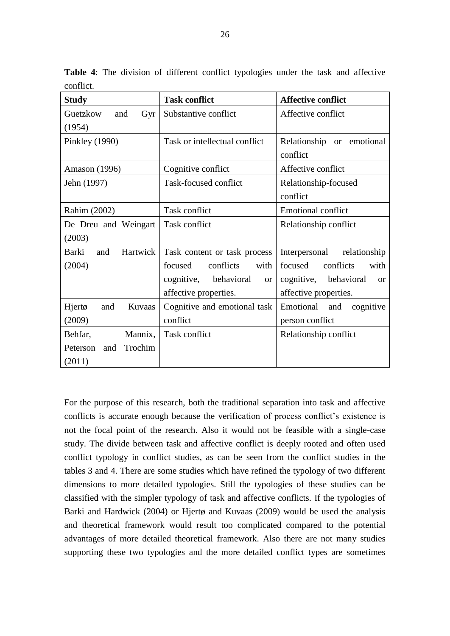| <b>Study</b>                    | <b>Task conflict</b>                  | <b>Affective conflict</b>             |  |
|---------------------------------|---------------------------------------|---------------------------------------|--|
| Guetzkow<br>Gyr<br>and          | Substantive conflict                  | Affective conflict                    |  |
| (1954)                          |                                       |                                       |  |
| Pinkley (1990)                  | Task or intellectual conflict         | Relationship or emotional             |  |
|                                 |                                       | conflict                              |  |
| Amason (1996)                   | Cognitive conflict                    | Affective conflict                    |  |
| Jehn (1997)                     | Task-focused conflict                 | Relationship-focused                  |  |
|                                 |                                       | conflict                              |  |
| Rahim (2002)                    | Task conflict                         | <b>Emotional conflict</b>             |  |
| De Dreu and Weingart            | Task conflict                         | Relationship conflict                 |  |
| (2003)                          |                                       |                                       |  |
| <b>Barki</b><br>Hartwick<br>and | Task content or task process          | Interpersonal<br>relationship         |  |
| (2004)                          | conflicts<br>focused<br>with          | focused<br>conflicts<br>with          |  |
|                                 | cognitive,<br>behavioral<br><b>or</b> | cognitive,<br>behavioral<br><b>or</b> |  |
|                                 | affective properties.                 | affective properties.                 |  |
| Kuvaas<br>Hjertø<br>and         | Cognitive and emotional task          | Emotional and<br>cognitive            |  |
| (2009)                          | conflict                              | person conflict                       |  |
| Behfar,<br>Mannix,              | Task conflict                         | Relationship conflict                 |  |
| Trochim<br>Peterson<br>and      |                                       |                                       |  |
| (2011)                          |                                       |                                       |  |

<span id="page-27-0"></span>**Table 4**: The division of different conflict typologies under the task and affective conflict.

For the purpose of this research, both the traditional separation into task and affective conflicts is accurate enough because the verification of process conflict's existence is not the focal point of the research. Also it would not be feasible with a single-case study. The divide between task and affective conflict is deeply rooted and often used conflict typology in conflict studies, as can be seen from the conflict studies in the tables 3 and 4. There are some studies which have refined the typology of two different dimensions to more detailed typologies. Still the typologies of these studies can be classified with the simpler typology of task and affective conflicts. If the typologies of Barki and Hardwick (2004) or Hjertø and Kuvaas (2009) would be used the analysis and theoretical framework would result too complicated compared to the potential advantages of more detailed theoretical framework. Also there are not many studies supporting these two typologies and the more detailed conflict types are sometimes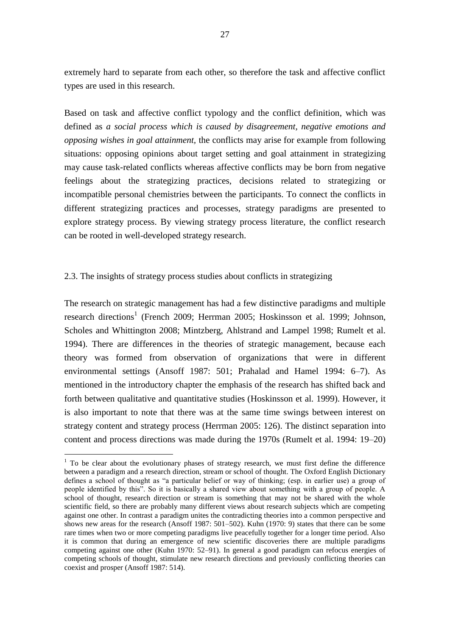extremely hard to separate from each other, so therefore the task and affective conflict types are used in this research.

Based on task and affective conflict typology and the conflict definition, which was defined as *a social process which is caused by disagreement, negative emotions and opposing wishes in goal attainment,* the conflicts may arise for example from following situations: opposing opinions about target setting and goal attainment in strategizing may cause task-related conflicts whereas affective conflicts may be born from negative feelings about the strategizing practices, decisions related to strategizing or incompatible personal chemistries between the participants. To connect the conflicts in different strategizing practices and processes, strategy paradigms are presented to explore strategy process. By viewing strategy process literature, the conflict research can be rooted in well-developed strategy research.

## 2.3. The insights of strategy process studies about conflicts in strategizing

1

The research on strategic management has had a few distinctive paradigms and multiple research directions<sup>1</sup> (French 2009; Herrman 2005; Hoskinsson et al. 1999; Johnson, Scholes and Whittington 2008; Mintzberg, Ahlstrand and Lampel 1998; Rumelt et al. 1994). There are differences in the theories of strategic management, because each theory was formed from observation of organizations that were in different environmental settings (Ansoff 1987: 501; Prahalad and Hamel 1994: 6–7). As mentioned in the introductory chapter the emphasis of the research has shifted back and forth between qualitative and quantitative studies (Hoskinsson et al. 1999). However, it is also important to note that there was at the same time swings between interest on strategy content and strategy process (Herrman 2005: 126). The distinct separation into content and process directions was made during the 1970s (Rumelt et al. 1994: 19–20)

 $1$  To be clear about the evolutionary phases of strategy research, we must first define the difference between a paradigm and a research direction, stream or school of thought. The Oxford English Dictionary defines a school of thought as "a particular belief or way of thinking; (esp. in earlier use) a group of people identified by this". So it is basically a shared view about something with a group of people. A school of thought, research direction or stream is something that may not be shared with the whole scientific field, so there are probably many different views about research subjects which are competing against one other. In contrast a paradigm unites the contradicting theories into a common perspective and shows new areas for the research (Ansoff 1987: 501–502). Kuhn (1970: 9) states that there can be some rare times when two or more competing paradigms live peacefully together for a longer time period. Also it is common that during an emergence of new scientific discoveries there are multiple paradigms competing against one other (Kuhn 1970: 52–91). In general a good paradigm can refocus energies of competing schools of thought, stimulate new research directions and previously conflicting theories can coexist and prosper (Ansoff 1987: 514).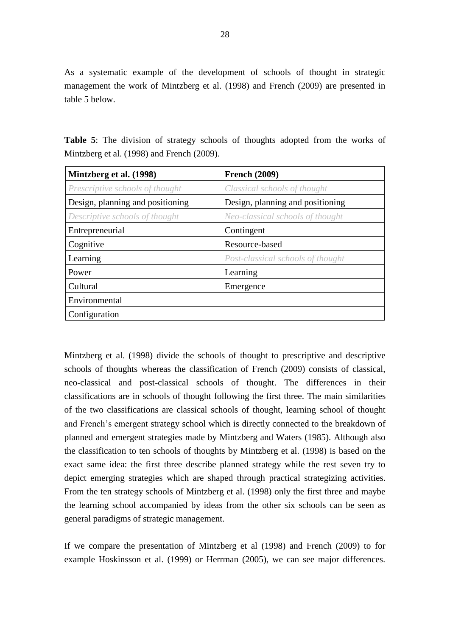As a systematic example of the development of schools of thought in strategic management the work of Mintzberg et al. (1998) and French (2009) are presented in table 5 below.

<span id="page-29-0"></span>**Table 5**: The division of strategy schools of thoughts adopted from the works of Mintzberg et al. (1998) and French (2009).

| Mintzberg et al. (1998)          | <b>French (2009)</b>              |
|----------------------------------|-----------------------------------|
| Prescriptive schools of thought  | Classical schools of thought      |
| Design, planning and positioning | Design, planning and positioning  |
| Descriptive schools of thought   | Neo-classical schools of thought  |
| Entrepreneurial                  | Contingent                        |
| Cognitive                        | Resource-based                    |
| Learning                         | Post-classical schools of thought |
| Power                            | Learning                          |
| Cultural                         | Emergence                         |
| Environmental                    |                                   |
| Configuration                    |                                   |

Mintzberg et al. (1998) divide the schools of thought to prescriptive and descriptive schools of thoughts whereas the classification of French (2009) consists of classical, neo-classical and post-classical schools of thought. The differences in their classifications are in schools of thought following the first three. The main similarities of the two classifications are classical schools of thought, learning school of thought and French's emergent strategy school which is directly connected to the breakdown of planned and emergent strategies made by Mintzberg and Waters (1985). Although also the classification to ten schools of thoughts by Mintzberg et al. (1998) is based on the exact same idea: the first three describe planned strategy while the rest seven try to depict emerging strategies which are shaped through practical strategizing activities. From the ten strategy schools of Mintzberg et al. (1998) only the first three and maybe the learning school accompanied by ideas from the other six schools can be seen as general paradigms of strategic management.

If we compare the presentation of Mintzberg et al (1998) and French (2009) to for example Hoskinsson et al. (1999) or Herrman (2005), we can see major differences.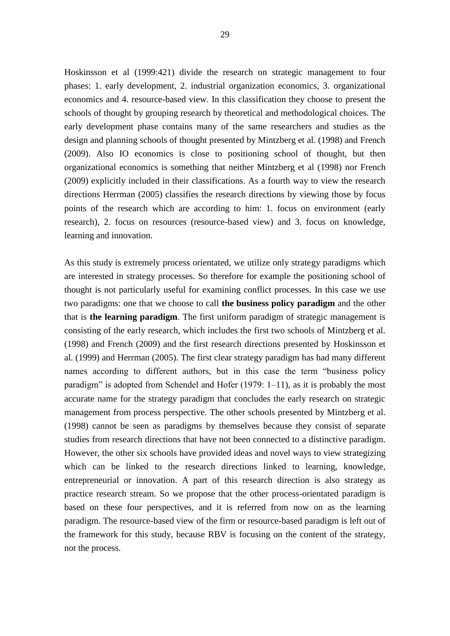Hoskinsson et al (1999:421) divide the research on strategic management to four phases: 1. early development, 2. industrial organization economics, 3. organizational economics and 4. resource-based view. In this classification they choose to present the schools of thought by grouping research by theoretical and methodological choices. The early development phase contains many of the same researchers and studies as the design and planning schools of thought presented by Mintzberg et al. (1998) and French (2009). Also IO economics is close to positioning school of thought, but then organizational economics is something that neither Mintzberg et al (1998) nor French (2009) explicitly included in their classifications. As a fourth way to view the research directions Herrman (2005) classifies the research directions by viewing those by focus points of the research which are according to him: 1. focus on environment (early research), 2. focus on resources (resource-based view) and 3. focus on knowledge, learning and innovation.

As this study is extremely process orientated, we utilize only strategy paradigms which are interested in strategy processes. So therefore for example the positioning school of thought is not particularly useful for examining conflict processes. In this case we use two paradigms: one that we choose to call **the business policy paradigm** and the other that is **the learning paradigm**. The first uniform paradigm of strategic management is consisting of the early research, which includes the first two schools of Mintzberg et al. (1998) and French (2009) and the first research directions presented by Hoskinsson et al. (1999) and Herrman (2005). The first clear strategy paradigm has had many different names according to different authors, but in this case the term "business policy paradigm" is adopted from Schendel and Hofer (1979: 1–11), as it is probably the most accurate name for the strategy paradigm that concludes the early research on strategic management from process perspective. The other schools presented by Mintzberg et al. (1998) cannot be seen as paradigms by themselves because they consist of separate studies from research directions that have not been connected to a distinctive paradigm. However, the other six schools have provided ideas and novel ways to view strategizing which can be linked to the research directions linked to learning, knowledge, entrepreneurial or innovation. A part of this research direction is also strategy as practice research stream. So we propose that the other process-orientated paradigm is based on these four perspectives, and it is referred from now on as the learning paradigm. The resource-based view of the firm or resource-based paradigm is left out of the framework for this study, because RBV is focusing on the content of the strategy, not the process.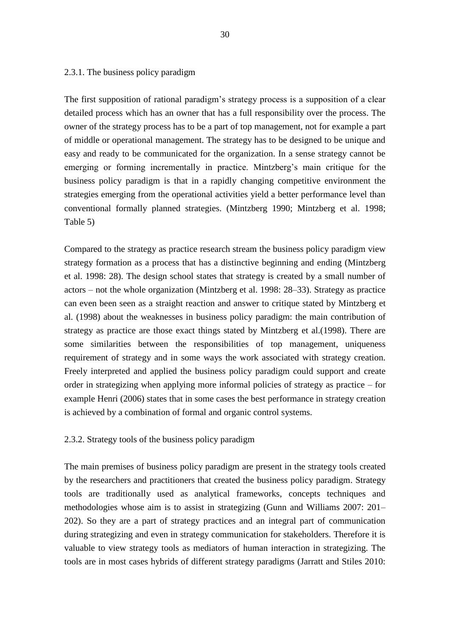#### 2.3.1. The business policy paradigm

The first supposition of rational paradigm's strategy process is a supposition of a clear detailed process which has an owner that has a full responsibility over the process. The owner of the strategy process has to be a part of top management, not for example a part of middle or operational management. The strategy has to be designed to be unique and easy and ready to be communicated for the organization. In a sense strategy cannot be emerging or forming incrementally in practice. Mintzberg's main critique for the business policy paradigm is that in a rapidly changing competitive environment the strategies emerging from the operational activities yield a better performance level than conventional formally planned strategies. (Mintzberg 1990; Mintzberg et al. 1998; Table 5)

Compared to the strategy as practice research stream the business policy paradigm view strategy formation as a process that has a distinctive beginning and ending (Mintzberg et al. 1998: 28). The design school states that strategy is created by a small number of actors – not the whole organization (Mintzberg et al. 1998: 28–33). Strategy as practice can even been seen as a straight reaction and answer to critique stated by Mintzberg et al. (1998) about the weaknesses in business policy paradigm: the main contribution of strategy as practice are those exact things stated by Mintzberg et al.(1998). There are some similarities between the responsibilities of top management, uniqueness requirement of strategy and in some ways the work associated with strategy creation. Freely interpreted and applied the business policy paradigm could support and create order in strategizing when applying more informal policies of strategy as practice – for example Henri (2006) states that in some cases the best performance in strategy creation is achieved by a combination of formal and organic control systems.

### 2.3.2. Strategy tools of the business policy paradigm

The main premises of business policy paradigm are present in the strategy tools created by the researchers and practitioners that created the business policy paradigm. Strategy tools are traditionally used as analytical frameworks, concepts techniques and methodologies whose aim is to assist in strategizing (Gunn and Williams 2007: 201– 202). So they are a part of strategy practices and an integral part of communication during strategizing and even in strategy communication for stakeholders. Therefore it is valuable to view strategy tools as mediators of human interaction in strategizing. The tools are in most cases hybrids of different strategy paradigms (Jarratt and Stiles 2010: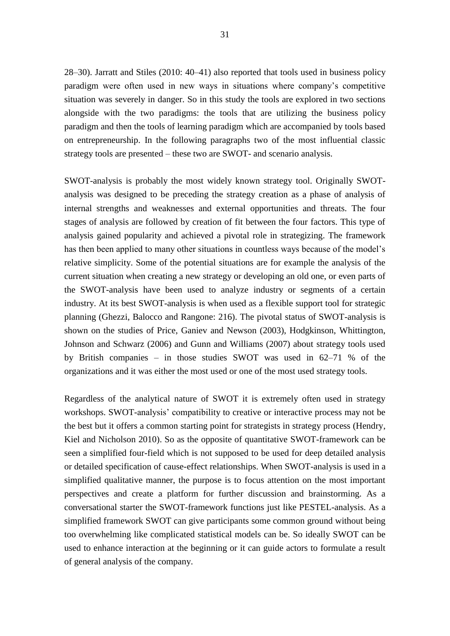28–30). Jarratt and Stiles (2010: 40–41) also reported that tools used in business policy paradigm were often used in new ways in situations where company's competitive situation was severely in danger. So in this study the tools are explored in two sections alongside with the two paradigms: the tools that are utilizing the business policy paradigm and then the tools of learning paradigm which are accompanied by tools based on entrepreneurship. In the following paragraphs two of the most influential classic strategy tools are presented – these two are SWOT- and scenario analysis.

SWOT-analysis is probably the most widely known strategy tool. Originally SWOTanalysis was designed to be preceding the strategy creation as a phase of analysis of internal strengths and weaknesses and external opportunities and threats. The four stages of analysis are followed by creation of fit between the four factors. This type of analysis gained popularity and achieved a pivotal role in strategizing. The framework has then been applied to many other situations in countless ways because of the model's relative simplicity. Some of the potential situations are for example the analysis of the current situation when creating a new strategy or developing an old one, or even parts of the SWOT-analysis have been used to analyze industry or segments of a certain industry. At its best SWOT-analysis is when used as a flexible support tool for strategic planning (Ghezzi, Balocco and Rangone: 216). The pivotal status of SWOT-analysis is shown on the studies of Price, Ganiev and Newson (2003), Hodgkinson, Whittington, Johnson and Schwarz (2006) and Gunn and Williams (2007) about strategy tools used by British companies – in those studies SWOT was used in 62–71 % of the organizations and it was either the most used or one of the most used strategy tools.

Regardless of the analytical nature of SWOT it is extremely often used in strategy workshops. SWOT-analysis' compatibility to creative or interactive process may not be the best but it offers a common starting point for strategists in strategy process (Hendry, Kiel and Nicholson 2010). So as the opposite of quantitative SWOT-framework can be seen a simplified four-field which is not supposed to be used for deep detailed analysis or detailed specification of cause-effect relationships. When SWOT-analysis is used in a simplified qualitative manner, the purpose is to focus attention on the most important perspectives and create a platform for further discussion and brainstorming. As a conversational starter the SWOT-framework functions just like PESTEL-analysis. As a simplified framework SWOT can give participants some common ground without being too overwhelming like complicated statistical models can be. So ideally SWOT can be used to enhance interaction at the beginning or it can guide actors to formulate a result of general analysis of the company.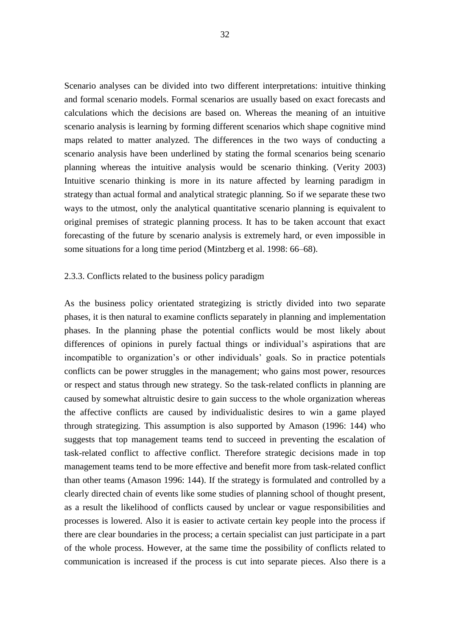Scenario analyses can be divided into two different interpretations: intuitive thinking and formal scenario models. Formal scenarios are usually based on exact forecasts and calculations which the decisions are based on. Whereas the meaning of an intuitive scenario analysis is learning by forming different scenarios which shape cognitive mind maps related to matter analyzed. The differences in the two ways of conducting a scenario analysis have been underlined by stating the formal scenarios being scenario planning whereas the intuitive analysis would be scenario thinking. (Verity 2003) Intuitive scenario thinking is more in its nature affected by learning paradigm in strategy than actual formal and analytical strategic planning. So if we separate these two ways to the utmost, only the analytical quantitative scenario planning is equivalent to original premises of strategic planning process. It has to be taken account that exact forecasting of the future by scenario analysis is extremely hard, or even impossible in some situations for a long time period (Mintzberg et al. 1998: 66–68).

#### 2.3.3. Conflicts related to the business policy paradigm

As the business policy orientated strategizing is strictly divided into two separate phases, it is then natural to examine conflicts separately in planning and implementation phases. In the planning phase the potential conflicts would be most likely about differences of opinions in purely factual things or individual's aspirations that are incompatible to organization's or other individuals' goals. So in practice potentials conflicts can be power struggles in the management; who gains most power, resources or respect and status through new strategy. So the task-related conflicts in planning are caused by somewhat altruistic desire to gain success to the whole organization whereas the affective conflicts are caused by individualistic desires to win a game played through strategizing. This assumption is also supported by Amason (1996: 144) who suggests that top management teams tend to succeed in preventing the escalation of task-related conflict to affective conflict. Therefore strategic decisions made in top management teams tend to be more effective and benefit more from task-related conflict than other teams (Amason 1996: 144). If the strategy is formulated and controlled by a clearly directed chain of events like some studies of planning school of thought present, as a result the likelihood of conflicts caused by unclear or vague responsibilities and processes is lowered. Also it is easier to activate certain key people into the process if there are clear boundaries in the process; a certain specialist can just participate in a part of the whole process. However, at the same time the possibility of conflicts related to communication is increased if the process is cut into separate pieces. Also there is a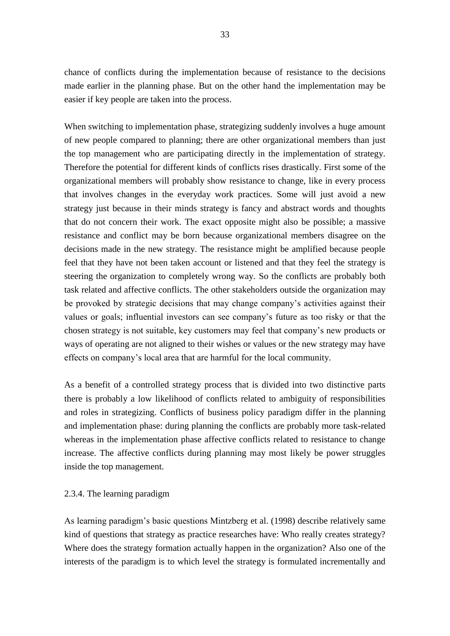chance of conflicts during the implementation because of resistance to the decisions made earlier in the planning phase. But on the other hand the implementation may be easier if key people are taken into the process.

When switching to implementation phase, strategizing suddenly involves a huge amount of new people compared to planning; there are other organizational members than just the top management who are participating directly in the implementation of strategy. Therefore the potential for different kinds of conflicts rises drastically. First some of the organizational members will probably show resistance to change, like in every process that involves changes in the everyday work practices. Some will just avoid a new strategy just because in their minds strategy is fancy and abstract words and thoughts that do not concern their work. The exact opposite might also be possible; a massive resistance and conflict may be born because organizational members disagree on the decisions made in the new strategy. The resistance might be amplified because people feel that they have not been taken account or listened and that they feel the strategy is steering the organization to completely wrong way. So the conflicts are probably both task related and affective conflicts. The other stakeholders outside the organization may be provoked by strategic decisions that may change company's activities against their values or goals; influential investors can see company's future as too risky or that the chosen strategy is not suitable, key customers may feel that company's new products or ways of operating are not aligned to their wishes or values or the new strategy may have effects on company's local area that are harmful for the local community.

As a benefit of a controlled strategy process that is divided into two distinctive parts there is probably a low likelihood of conflicts related to ambiguity of responsibilities and roles in strategizing. Conflicts of business policy paradigm differ in the planning and implementation phase: during planning the conflicts are probably more task-related whereas in the implementation phase affective conflicts related to resistance to change increase. The affective conflicts during planning may most likely be power struggles inside the top management.

### 2.3.4. The learning paradigm

As learning paradigm's basic questions Mintzberg et al. (1998) describe relatively same kind of questions that strategy as practice researches have: Who really creates strategy? Where does the strategy formation actually happen in the organization? Also one of the interests of the paradigm is to which level the strategy is formulated incrementally and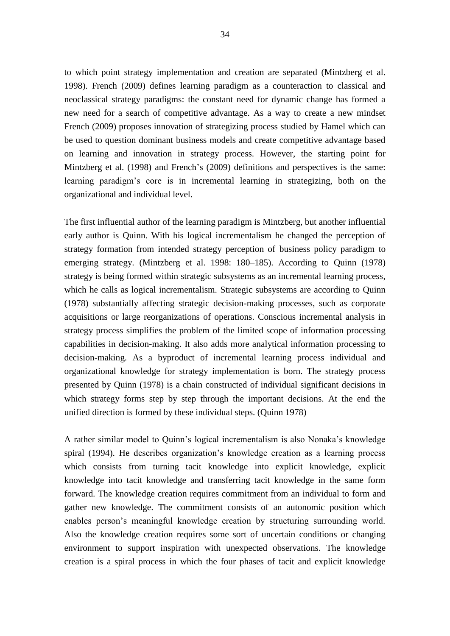to which point strategy implementation and creation are separated (Mintzberg et al. 1998). French (2009) defines learning paradigm as a counteraction to classical and neoclassical strategy paradigms: the constant need for dynamic change has formed a new need for a search of competitive advantage. As a way to create a new mindset French (2009) proposes innovation of strategizing process studied by Hamel which can be used to question dominant business models and create competitive advantage based on learning and innovation in strategy process. However, the starting point for Mintzberg et al. (1998) and French's (2009) definitions and perspectives is the same: learning paradigm's core is in incremental learning in strategizing, both on the organizational and individual level.

The first influential author of the learning paradigm is Mintzberg, but another influential early author is Quinn. With his logical incrementalism he changed the perception of strategy formation from intended strategy perception of business policy paradigm to emerging strategy. (Mintzberg et al. 1998: 180–185). According to Quinn (1978) strategy is being formed within strategic subsystems as an incremental learning process, which he calls as logical incrementalism. Strategic subsystems are according to Quinn (1978) substantially affecting strategic decision-making processes, such as corporate acquisitions or large reorganizations of operations. Conscious incremental analysis in strategy process simplifies the problem of the limited scope of information processing capabilities in decision-making. It also adds more analytical information processing to decision-making. As a byproduct of incremental learning process individual and organizational knowledge for strategy implementation is born. The strategy process presented by Quinn (1978) is a chain constructed of individual significant decisions in which strategy forms step by step through the important decisions. At the end the unified direction is formed by these individual steps. (Quinn 1978)

A rather similar model to Quinn's logical incrementalism is also Nonaka's knowledge spiral (1994). He describes organization's knowledge creation as a learning process which consists from turning tacit knowledge into explicit knowledge, explicit knowledge into tacit knowledge and transferring tacit knowledge in the same form forward. The knowledge creation requires commitment from an individual to form and gather new knowledge. The commitment consists of an autonomic position which enables person's meaningful knowledge creation by structuring surrounding world. Also the knowledge creation requires some sort of uncertain conditions or changing environment to support inspiration with unexpected observations. The knowledge creation is a spiral process in which the four phases of tacit and explicit knowledge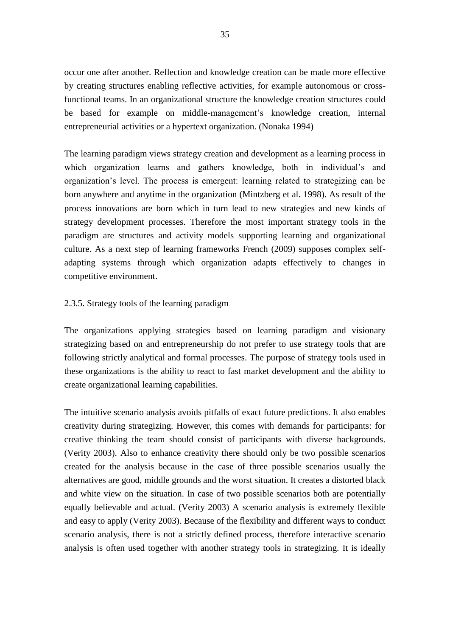occur one after another. Reflection and knowledge creation can be made more effective by creating structures enabling reflective activities, for example autonomous or crossfunctional teams. In an organizational structure the knowledge creation structures could be based for example on middle-management's knowledge creation, internal entrepreneurial activities or a hypertext organization. (Nonaka 1994)

The learning paradigm views strategy creation and development as a learning process in which organization learns and gathers knowledge, both in individual's and organization's level. The process is emergent: learning related to strategizing can be born anywhere and anytime in the organization (Mintzberg et al. 1998). As result of the process innovations are born which in turn lead to new strategies and new kinds of strategy development processes. Therefore the most important strategy tools in the paradigm are structures and activity models supporting learning and organizational culture. As a next step of learning frameworks French (2009) supposes complex selfadapting systems through which organization adapts effectively to changes in competitive environment.

## 2.3.5. Strategy tools of the learning paradigm

The organizations applying strategies based on learning paradigm and visionary strategizing based on and entrepreneurship do not prefer to use strategy tools that are following strictly analytical and formal processes. The purpose of strategy tools used in these organizations is the ability to react to fast market development and the ability to create organizational learning capabilities.

The intuitive scenario analysis avoids pitfalls of exact future predictions. It also enables creativity during strategizing. However, this comes with demands for participants: for creative thinking the team should consist of participants with diverse backgrounds. (Verity 2003). Also to enhance creativity there should only be two possible scenarios created for the analysis because in the case of three possible scenarios usually the alternatives are good, middle grounds and the worst situation. It creates a distorted black and white view on the situation. In case of two possible scenarios both are potentially equally believable and actual. (Verity 2003) A scenario analysis is extremely flexible and easy to apply (Verity 2003). Because of the flexibility and different ways to conduct scenario analysis, there is not a strictly defined process, therefore interactive scenario analysis is often used together with another strategy tools in strategizing. It is ideally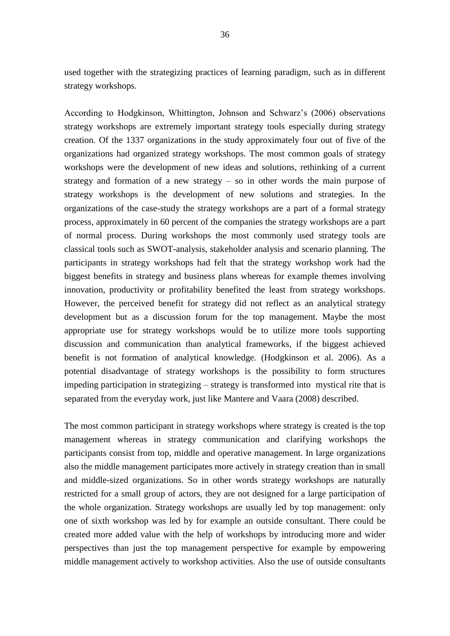used together with the strategizing practices of learning paradigm, such as in different strategy workshops.

According to Hodgkinson, Whittington, Johnson and Schwarz's (2006) observations strategy workshops are extremely important strategy tools especially during strategy creation. Of the 1337 organizations in the study approximately four out of five of the organizations had organized strategy workshops. The most common goals of strategy workshops were the development of new ideas and solutions, rethinking of a current strategy and formation of a new strategy – so in other words the main purpose of strategy workshops is the development of new solutions and strategies. In the organizations of the case-study the strategy workshops are a part of a formal strategy process, approximately in 60 percent of the companies the strategy workshops are a part of normal process. During workshops the most commonly used strategy tools are classical tools such as SWOT-analysis, stakeholder analysis and scenario planning. The participants in strategy workshops had felt that the strategy workshop work had the biggest benefits in strategy and business plans whereas for example themes involving innovation, productivity or profitability benefited the least from strategy workshops. However, the perceived benefit for strategy did not reflect as an analytical strategy development but as a discussion forum for the top management. Maybe the most appropriate use for strategy workshops would be to utilize more tools supporting discussion and communication than analytical frameworks, if the biggest achieved benefit is not formation of analytical knowledge. (Hodgkinson et al. 2006). As a potential disadvantage of strategy workshops is the possibility to form structures impeding participation in strategizing – strategy is transformed into mystical rite that is separated from the everyday work, just like Mantere and Vaara (2008) described.

The most common participant in strategy workshops where strategy is created is the top management whereas in strategy communication and clarifying workshops the participants consist from top, middle and operative management. In large organizations also the middle management participates more actively in strategy creation than in small and middle-sized organizations. So in other words strategy workshops are naturally restricted for a small group of actors, they are not designed for a large participation of the whole organization. Strategy workshops are usually led by top management: only one of sixth workshop was led by for example an outside consultant. There could be created more added value with the help of workshops by introducing more and wider perspectives than just the top management perspective for example by empowering middle management actively to workshop activities. Also the use of outside consultants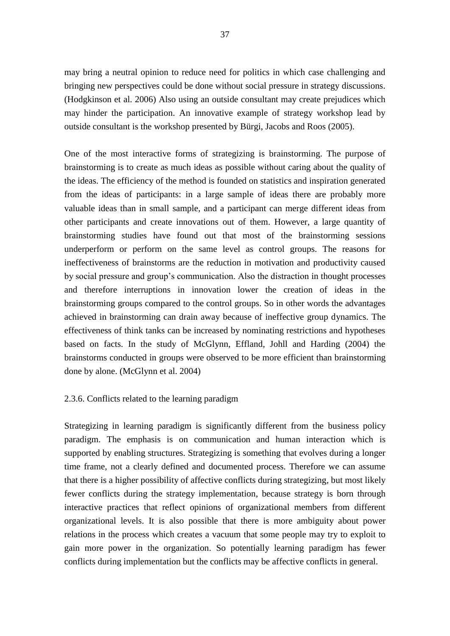may bring a neutral opinion to reduce need for politics in which case challenging and bringing new perspectives could be done without social pressure in strategy discussions. (Hodgkinson et al. 2006) Also using an outside consultant may create prejudices which may hinder the participation. An innovative example of strategy workshop lead by outside consultant is the workshop presented by Bürgi, Jacobs and Roos (2005).

One of the most interactive forms of strategizing is brainstorming. The purpose of brainstorming is to create as much ideas as possible without caring about the quality of the ideas. The efficiency of the method is founded on statistics and inspiration generated from the ideas of participants: in a large sample of ideas there are probably more valuable ideas than in small sample, and a participant can merge different ideas from other participants and create innovations out of them. However, a large quantity of brainstorming studies have found out that most of the brainstorming sessions underperform or perform on the same level as control groups. The reasons for ineffectiveness of brainstorms are the reduction in motivation and productivity caused by social pressure and group's communication. Also the distraction in thought processes and therefore interruptions in innovation lower the creation of ideas in the brainstorming groups compared to the control groups. So in other words the advantages achieved in brainstorming can drain away because of ineffective group dynamics. The effectiveness of think tanks can be increased by nominating restrictions and hypotheses based on facts. In the study of McGlynn, Effland, Johll and Harding (2004) the brainstorms conducted in groups were observed to be more efficient than brainstorming done by alone. (McGlynn et al. 2004)

# 2.3.6. Conflicts related to the learning paradigm

Strategizing in learning paradigm is significantly different from the business policy paradigm. The emphasis is on communication and human interaction which is supported by enabling structures. Strategizing is something that evolves during a longer time frame, not a clearly defined and documented process. Therefore we can assume that there is a higher possibility of affective conflicts during strategizing, but most likely fewer conflicts during the strategy implementation, because strategy is born through interactive practices that reflect opinions of organizational members from different organizational levels. It is also possible that there is more ambiguity about power relations in the process which creates a vacuum that some people may try to exploit to gain more power in the organization. So potentially learning paradigm has fewer conflicts during implementation but the conflicts may be affective conflicts in general.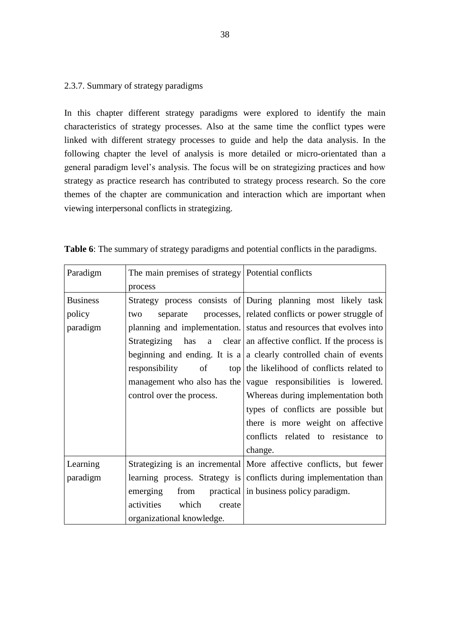## 2.3.7. Summary of strategy paradigms

In this chapter different strategy paradigms were explored to identify the main characteristics of strategy processes. Also at the same time the conflict types were linked with different strategy processes to guide and help the data analysis. In the following chapter the level of analysis is more detailed or micro-orientated than a general paradigm level's analysis. The focus will be on strategizing practices and how strategy as practice research has contributed to strategy process research. So the core themes of the chapter are communication and interaction which are important when viewing interpersonal conflicts in strategizing.

| Paradigm        | The main premises of strategy   Potential conflicts |                                                                     |  |  |
|-----------------|-----------------------------------------------------|---------------------------------------------------------------------|--|--|
|                 | process                                             |                                                                     |  |  |
| <b>Business</b> |                                                     | Strategy process consists of During planning most likely task       |  |  |
| policy          | two                                                 | separate processes, related conflicts or power struggle of          |  |  |
| paradigm        |                                                     | planning and implementation. status and resources that evolves into |  |  |
|                 | Strategizing<br>has                                 | a clear an affective conflict. If the process is                    |  |  |
|                 |                                                     | beginning and ending. It is a a clearly controlled chain of events  |  |  |
|                 | responsibility<br>of                                | top the likelihood of conflicts related to                          |  |  |
|                 |                                                     | management who also has the vague responsibilities is lowered.      |  |  |
|                 | control over the process.                           | Whereas during implementation both                                  |  |  |
|                 |                                                     | types of conflicts are possible but                                 |  |  |
|                 |                                                     | there is more weight on affective                                   |  |  |
|                 |                                                     | conflicts related to resistance to                                  |  |  |
|                 |                                                     | change.                                                             |  |  |
| Learning        |                                                     | Strategizing is an incremental More affective conflicts, but fewer  |  |  |
| paradigm        |                                                     | learning process. Strategy is conflicts during implementation than  |  |  |
|                 | emerging<br>from                                    | practical in business policy paradigm.                              |  |  |
|                 | activities<br>which<br>create                       |                                                                     |  |  |
|                 | organizational knowledge.                           |                                                                     |  |  |

|  |  |  |  |  |  | Table 6: The summary of strategy paradigms and potential conflicts in the paradigms. |
|--|--|--|--|--|--|--------------------------------------------------------------------------------------|
|--|--|--|--|--|--|--------------------------------------------------------------------------------------|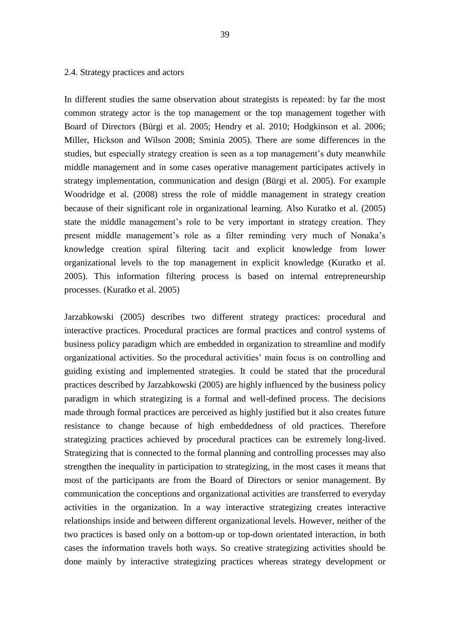#### 2.4. Strategy practices and actors

In different studies the same observation about strategists is repeated: by far the most common strategy actor is the top management or the top management together with Board of Directors (Bürgi et al. 2005; Hendry et al. 2010; Hodgkinson et al. 2006; Miller, Hickson and Wilson 2008; Sminia 2005). There are some differences in the studies, but especially strategy creation is seen as a top management's duty meanwhile middle management and in some cases operative management participates actively in strategy implementation, communication and design (Bürgi et al. 2005). For example Woodridge et al. (2008) stress the role of middle management in strategy creation because of their significant role in organizational learning. Also Kuratko et al. (2005) state the middle management's role to be very important in strategy creation. They present middle management's role as a filter reminding very much of Nonaka's knowledge creation spiral filtering tacit and explicit knowledge from lower organizational levels to the top management in explicit knowledge (Kuratko et al. 2005). This information filtering process is based on internal entrepreneurship processes. (Kuratko et al. 2005)

Jarzabkowski (2005) describes two different strategy practices: procedural and interactive practices. Procedural practices are formal practices and control systems of business policy paradigm which are embedded in organization to streamline and modify organizational activities. So the procedural activities' main focus is on controlling and guiding existing and implemented strategies. It could be stated that the procedural practices described by Jarzabkowski (2005) are highly influenced by the business policy paradigm in which strategizing is a formal and well-defined process. The decisions made through formal practices are perceived as highly justified but it also creates future resistance to change because of high embeddedness of old practices. Therefore strategizing practices achieved by procedural practices can be extremely long-lived. Strategizing that is connected to the formal planning and controlling processes may also strengthen the inequality in participation to strategizing, in the most cases it means that most of the participants are from the Board of Directors or senior management. By communication the conceptions and organizational activities are transferred to everyday activities in the organization. In a way interactive strategizing creates interactive relationships inside and between different organizational levels. However, neither of the two practices is based only on a bottom-up or top-down orientated interaction, in both cases the information travels both ways. So creative strategizing activities should be done mainly by interactive strategizing practices whereas strategy development or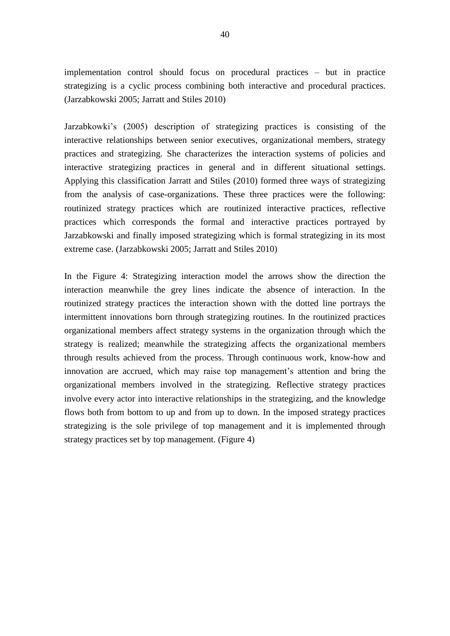implementation control should focus on procedural practices – but in practice strategizing is a cyclic process combining both interactive and procedural practices. (Jarzabkowski 2005; Jarratt and Stiles 2010)

Jarzabkowki's (2005) description of strategizing practices is consisting of the interactive relationships between senior executives, organizational members, strategy practices and strategizing. She characterizes the interaction systems of policies and interactive strategizing practices in general and in different situational settings. Applying this classification Jarratt and Stiles (2010) formed three ways of strategizing from the analysis of case-organizations. These three practices were the following: routinized strategy practices which are routinized interactive practices, reflective practices which corresponds the formal and interactive practices portrayed by Jarzabkowski and finally imposed strategizing which is formal strategizing in its most extreme case. (Jarzabkowski 2005; Jarratt and Stiles 2010)

In the Figure 4: Strategizing interaction model the arrows show the direction the interaction meanwhile the grey lines indicate the absence of interaction. In the routinized strategy practices the interaction shown with the dotted line portrays the intermittent innovations born through strategizing routines. In the routinized practices organizational members affect strategy systems in the organization through which the strategy is realized; meanwhile the strategizing affects the organizational members through results achieved from the process. Through continuous work, know-how and innovation are accrued, which may raise top management's attention and bring the organizational members involved in the strategizing. Reflective strategy practices involve every actor into interactive relationships in the strategizing, and the knowledge flows both from bottom to up and from up to down. In the imposed strategy practices strategizing is the sole privilege of top management and it is implemented through strategy practices set by top management. (Figure 4)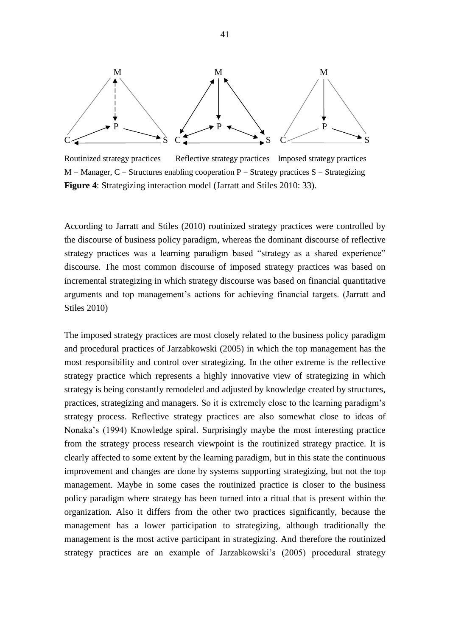

Routinized strategy practices Reflective strategy practices Imposed strategy practices  $M =$ Manager, C = Structures enabling cooperation P = Strategy practices S = Strategizing **Figure 4**: Strategizing interaction model (Jarratt and Stiles 2010: 33).

According to Jarratt and Stiles (2010) routinized strategy practices were controlled by the discourse of business policy paradigm, whereas the dominant discourse of reflective strategy practices was a learning paradigm based "strategy as a shared experience" discourse. The most common discourse of imposed strategy practices was based on incremental strategizing in which strategy discourse was based on financial quantitative arguments and top management's actions for achieving financial targets. (Jarratt and Stiles 2010)

The imposed strategy practices are most closely related to the business policy paradigm and procedural practices of Jarzabkowski (2005) in which the top management has the most responsibility and control over strategizing. In the other extreme is the reflective strategy practice which represents a highly innovative view of strategizing in which strategy is being constantly remodeled and adjusted by knowledge created by structures, practices, strategizing and managers. So it is extremely close to the learning paradigm's strategy process. Reflective strategy practices are also somewhat close to ideas of Nonaka's (1994) Knowledge spiral. Surprisingly maybe the most interesting practice from the strategy process research viewpoint is the routinized strategy practice. It is clearly affected to some extent by the learning paradigm, but in this state the continuous improvement and changes are done by systems supporting strategizing, but not the top management. Maybe in some cases the routinized practice is closer to the business policy paradigm where strategy has been turned into a ritual that is present within the organization. Also it differs from the other two practices significantly, because the management has a lower participation to strategizing, although traditionally the management is the most active participant in strategizing. And therefore the routinized strategy practices are an example of Jarzabkowski's (2005) procedural strategy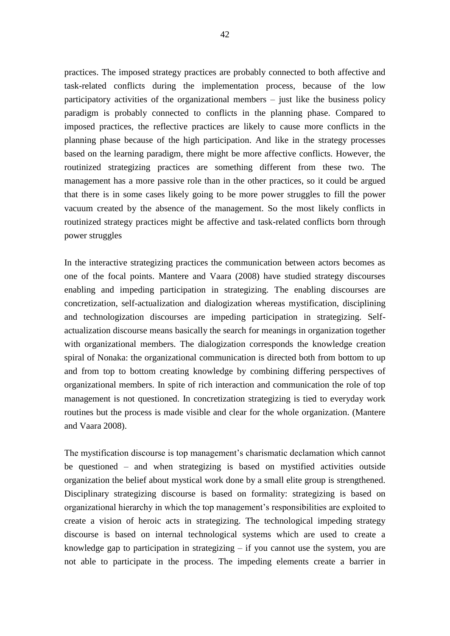practices. The imposed strategy practices are probably connected to both affective and task-related conflicts during the implementation process, because of the low participatory activities of the organizational members – just like the business policy paradigm is probably connected to conflicts in the planning phase. Compared to imposed practices, the reflective practices are likely to cause more conflicts in the planning phase because of the high participation. And like in the strategy processes based on the learning paradigm, there might be more affective conflicts. However, the routinized strategizing practices are something different from these two. The management has a more passive role than in the other practices, so it could be argued that there is in some cases likely going to be more power struggles to fill the power vacuum created by the absence of the management. So the most likely conflicts in routinized strategy practices might be affective and task-related conflicts born through power struggles

In the interactive strategizing practices the communication between actors becomes as one of the focal points. Mantere and Vaara (2008) have studied strategy discourses enabling and impeding participation in strategizing. The enabling discourses are concretization, self-actualization and dialogization whereas mystification, disciplining and technologization discourses are impeding participation in strategizing. Selfactualization discourse means basically the search for meanings in organization together with organizational members. The dialogization corresponds the knowledge creation spiral of Nonaka: the organizational communication is directed both from bottom to up and from top to bottom creating knowledge by combining differing perspectives of organizational members. In spite of rich interaction and communication the role of top management is not questioned. In concretization strategizing is tied to everyday work routines but the process is made visible and clear for the whole organization. (Mantere and Vaara 2008).

The mystification discourse is top management's charismatic declamation which cannot be questioned – and when strategizing is based on mystified activities outside organization the belief about mystical work done by a small elite group is strengthened. Disciplinary strategizing discourse is based on formality: strategizing is based on organizational hierarchy in which the top management's responsibilities are exploited to create a vision of heroic acts in strategizing. The technological impeding strategy discourse is based on internal technological systems which are used to create a knowledge gap to participation in strategizing – if you cannot use the system, you are not able to participate in the process. The impeding elements create a barrier in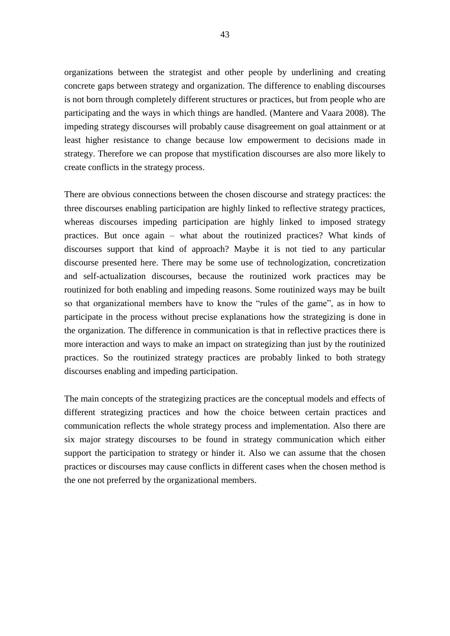organizations between the strategist and other people by underlining and creating concrete gaps between strategy and organization. The difference to enabling discourses is not born through completely different structures or practices, but from people who are participating and the ways in which things are handled. (Mantere and Vaara 2008). The impeding strategy discourses will probably cause disagreement on goal attainment or at least higher resistance to change because low empowerment to decisions made in strategy. Therefore we can propose that mystification discourses are also more likely to create conflicts in the strategy process.

There are obvious connections between the chosen discourse and strategy practices: the three discourses enabling participation are highly linked to reflective strategy practices, whereas discourses impeding participation are highly linked to imposed strategy practices. But once again – what about the routinized practices? What kinds of discourses support that kind of approach? Maybe it is not tied to any particular discourse presented here. There may be some use of technologization, concretization and self-actualization discourses, because the routinized work practices may be routinized for both enabling and impeding reasons. Some routinized ways may be built so that organizational members have to know the "rules of the game", as in how to participate in the process without precise explanations how the strategizing is done in the organization. The difference in communication is that in reflective practices there is more interaction and ways to make an impact on strategizing than just by the routinized practices. So the routinized strategy practices are probably linked to both strategy discourses enabling and impeding participation.

The main concepts of the strategizing practices are the conceptual models and effects of different strategizing practices and how the choice between certain practices and communication reflects the whole strategy process and implementation. Also there are six major strategy discourses to be found in strategy communication which either support the participation to strategy or hinder it. Also we can assume that the chosen practices or discourses may cause conflicts in different cases when the chosen method is the one not preferred by the organizational members.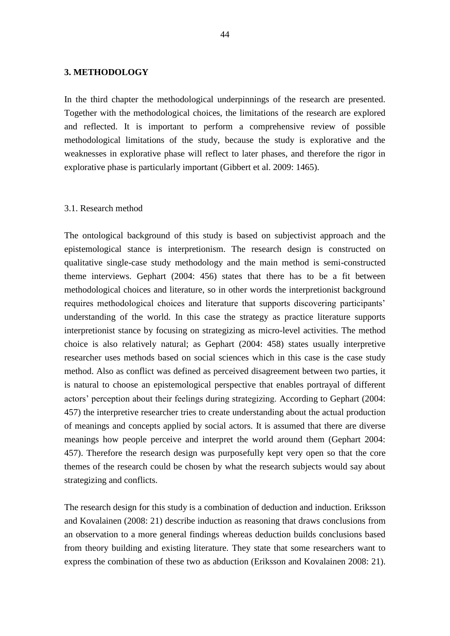## **3. METHODOLOGY**

In the third chapter the methodological underpinnings of the research are presented. Together with the methodological choices, the limitations of the research are explored and reflected. It is important to perform a comprehensive review of possible methodological limitations of the study, because the study is explorative and the weaknesses in explorative phase will reflect to later phases, and therefore the rigor in explorative phase is particularly important (Gibbert et al. 2009: 1465).

#### 3.1. Research method

The ontological background of this study is based on subjectivist approach and the epistemological stance is interpretionism. The research design is constructed on qualitative single-case study methodology and the main method is semi-constructed theme interviews. Gephart (2004: 456) states that there has to be a fit between methodological choices and literature, so in other words the interpretionist background requires methodological choices and literature that supports discovering participants' understanding of the world. In this case the strategy as practice literature supports interpretionist stance by focusing on strategizing as micro-level activities. The method choice is also relatively natural; as Gephart (2004: 458) states usually interpretive researcher uses methods based on social sciences which in this case is the case study method. Also as conflict was defined as perceived disagreement between two parties, it is natural to choose an epistemological perspective that enables portrayal of different actors' perception about their feelings during strategizing. According to Gephart (2004: 457) the interpretive researcher tries to create understanding about the actual production of meanings and concepts applied by social actors. It is assumed that there are diverse meanings how people perceive and interpret the world around them (Gephart 2004: 457). Therefore the research design was purposefully kept very open so that the core themes of the research could be chosen by what the research subjects would say about strategizing and conflicts.

The research design for this study is a combination of deduction and induction. Eriksson and Kovalainen (2008: 21) describe induction as reasoning that draws conclusions from an observation to a more general findings whereas deduction builds conclusions based from theory building and existing literature. They state that some researchers want to express the combination of these two as abduction (Eriksson and Kovalainen 2008: 21).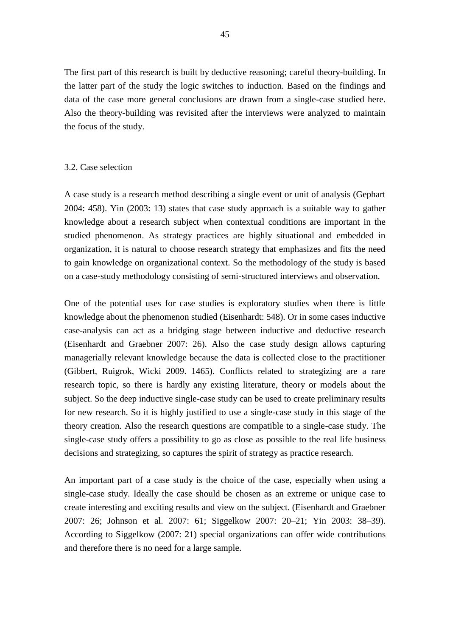The first part of this research is built by deductive reasoning; careful theory-building. In the latter part of the study the logic switches to induction. Based on the findings and data of the case more general conclusions are drawn from a single-case studied here. Also the theory-building was revisited after the interviews were analyzed to maintain the focus of the study.

#### 3.2. Case selection

A case study is a research method describing a single event or unit of analysis (Gephart 2004: 458). Yin (2003: 13) states that case study approach is a suitable way to gather knowledge about a research subject when contextual conditions are important in the studied phenomenon. As strategy practices are highly situational and embedded in organization, it is natural to choose research strategy that emphasizes and fits the need to gain knowledge on organizational context. So the methodology of the study is based on a case-study methodology consisting of semi-structured interviews and observation.

One of the potential uses for case studies is exploratory studies when there is little knowledge about the phenomenon studied (Eisenhardt: 548). Or in some cases inductive case-analysis can act as a bridging stage between inductive and deductive research (Eisenhardt and Graebner 2007: 26). Also the case study design allows capturing managerially relevant knowledge because the data is collected close to the practitioner (Gibbert, Ruigrok, Wicki 2009. 1465). Conflicts related to strategizing are a rare research topic, so there is hardly any existing literature, theory or models about the subject. So the deep inductive single-case study can be used to create preliminary results for new research. So it is highly justified to use a single-case study in this stage of the theory creation. Also the research questions are compatible to a single-case study. The single-case study offers a possibility to go as close as possible to the real life business decisions and strategizing, so captures the spirit of strategy as practice research.

An important part of a case study is the choice of the case, especially when using a single-case study. Ideally the case should be chosen as an extreme or unique case to create interesting and exciting results and view on the subject. (Eisenhardt and Graebner 2007: 26; Johnson et al. 2007: 61; Siggelkow 2007: 20–21; Yin 2003: 38–39). According to Siggelkow (2007: 21) special organizations can offer wide contributions and therefore there is no need for a large sample.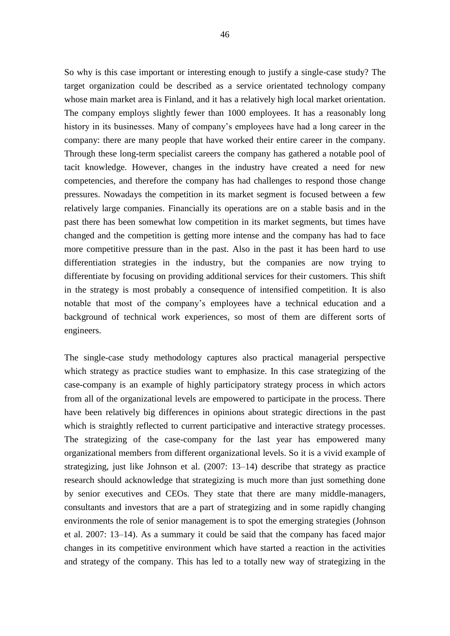So why is this case important or interesting enough to justify a single-case study? The target organization could be described as a service orientated technology company whose main market area is Finland, and it has a relatively high local market orientation. The company employs slightly fewer than 1000 employees. It has a reasonably long history in its businesses. Many of company's employees have had a long career in the company: there are many people that have worked their entire career in the company. Through these long-term specialist careers the company has gathered a notable pool of tacit knowledge. However, changes in the industry have created a need for new competencies, and therefore the company has had challenges to respond those change pressures. Nowadays the competition in its market segment is focused between a few relatively large companies. Financially its operations are on a stable basis and in the past there has been somewhat low competition in its market segments, but times have changed and the competition is getting more intense and the company has had to face more competitive pressure than in the past. Also in the past it has been hard to use differentiation strategies in the industry, but the companies are now trying to differentiate by focusing on providing additional services for their customers. This shift in the strategy is most probably a consequence of intensified competition. It is also notable that most of the company's employees have a technical education and a background of technical work experiences, so most of them are different sorts of engineers.

The single-case study methodology captures also practical managerial perspective which strategy as practice studies want to emphasize. In this case strategizing of the case-company is an example of highly participatory strategy process in which actors from all of the organizational levels are empowered to participate in the process. There have been relatively big differences in opinions about strategic directions in the past which is straightly reflected to current participative and interactive strategy processes. The strategizing of the case-company for the last year has empowered many organizational members from different organizational levels. So it is a vivid example of strategizing, just like Johnson et al. (2007: 13–14) describe that strategy as practice research should acknowledge that strategizing is much more than just something done by senior executives and CEOs. They state that there are many middle-managers, consultants and investors that are a part of strategizing and in some rapidly changing environments the role of senior management is to spot the emerging strategies (Johnson et al. 2007: 13–14). As a summary it could be said that the company has faced major changes in its competitive environment which have started a reaction in the activities and strategy of the company. This has led to a totally new way of strategizing in the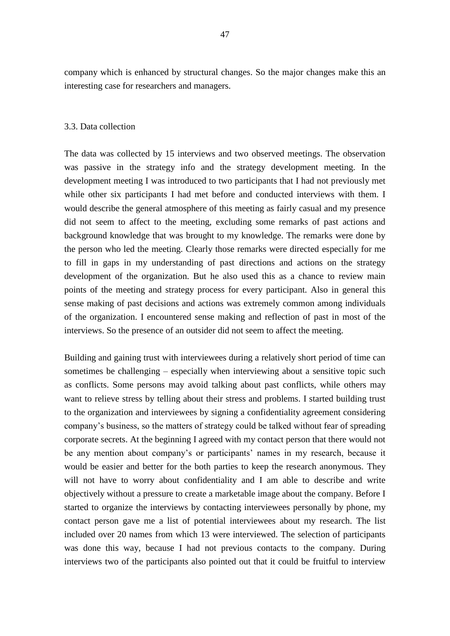company which is enhanced by structural changes. So the major changes make this an interesting case for researchers and managers.

## 3.3. Data collection

The data was collected by 15 interviews and two observed meetings. The observation was passive in the strategy info and the strategy development meeting. In the development meeting I was introduced to two participants that I had not previously met while other six participants I had met before and conducted interviews with them. I would describe the general atmosphere of this meeting as fairly casual and my presence did not seem to affect to the meeting, excluding some remarks of past actions and background knowledge that was brought to my knowledge. The remarks were done by the person who led the meeting. Clearly those remarks were directed especially for me to fill in gaps in my understanding of past directions and actions on the strategy development of the organization. But he also used this as a chance to review main points of the meeting and strategy process for every participant. Also in general this sense making of past decisions and actions was extremely common among individuals of the organization. I encountered sense making and reflection of past in most of the interviews. So the presence of an outsider did not seem to affect the meeting.

Building and gaining trust with interviewees during a relatively short period of time can sometimes be challenging – especially when interviewing about a sensitive topic such as conflicts. Some persons may avoid talking about past conflicts, while others may want to relieve stress by telling about their stress and problems. I started building trust to the organization and interviewees by signing a confidentiality agreement considering company's business, so the matters of strategy could be talked without fear of spreading corporate secrets. At the beginning I agreed with my contact person that there would not be any mention about company's or participants' names in my research, because it would be easier and better for the both parties to keep the research anonymous. They will not have to worry about confidentiality and I am able to describe and write objectively without a pressure to create a marketable image about the company. Before I started to organize the interviews by contacting interviewees personally by phone, my contact person gave me a list of potential interviewees about my research. The list included over 20 names from which 13 were interviewed. The selection of participants was done this way, because I had not previous contacts to the company. During interviews two of the participants also pointed out that it could be fruitful to interview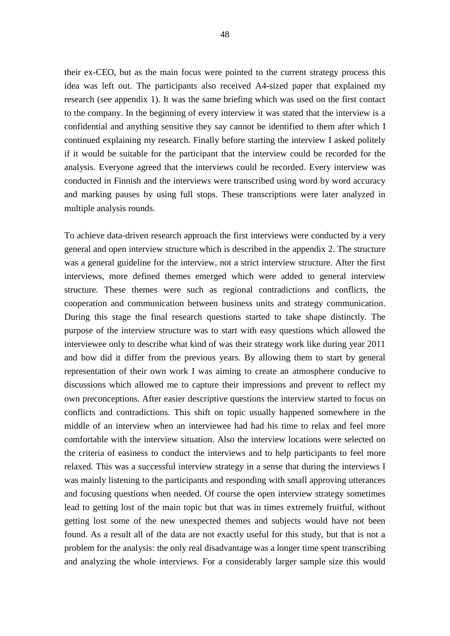their ex-CEO, but as the main focus were pointed to the current strategy process this idea was left out. The participants also received A4-sized paper that explained my research (see appendix 1). It was the same briefing which was used on the first contact to the company. In the beginning of every interview it was stated that the interview is a confidential and anything sensitive they say cannot be identified to them after which I continued explaining my research. Finally before starting the interview I asked politely if it would be suitable for the participant that the interview could be recorded for the analysis. Everyone agreed that the interviews could be recorded. Every interview was conducted in Finnish and the interviews were transcribed using word by word accuracy and marking pauses by using full stops. These transcriptions were later analyzed in multiple analysis rounds.

To achieve data-driven research approach the first interviews were conducted by a very general and open interview structure which is described in the appendix 2. The structure was a general guideline for the interview, not a strict interview structure. After the first interviews, more defined themes emerged which were added to general interview structure. These themes were such as regional contradictions and conflicts, the cooperation and communication between business units and strategy communication. During this stage the final research questions started to take shape distinctly. The purpose of the interview structure was to start with easy questions which allowed the interviewee only to describe what kind of was their strategy work like during year 2011 and how did it differ from the previous years. By allowing them to start by general representation of their own work I was aiming to create an atmosphere conducive to discussions which allowed me to capture their impressions and prevent to reflect my own preconceptions. After easier descriptive questions the interview started to focus on conflicts and contradictions. This shift on topic usually happened somewhere in the middle of an interview when an interviewee had had his time to relax and feel more comfortable with the interview situation. Also the interview locations were selected on the criteria of easiness to conduct the interviews and to help participants to feel more relaxed. This was a successful interview strategy in a sense that during the interviews I was mainly listening to the participants and responding with small approving utterances and focusing questions when needed. Of course the open interview strategy sometimes lead to getting lost of the main topic but that was in times extremely fruitful, without getting lost some of the new unexpected themes and subjects would have not been found. As a result all of the data are not exactly useful for this study, but that is not a problem for the analysis: the only real disadvantage was a longer time spent transcribing and analyzing the whole interviews. For a considerably larger sample size this would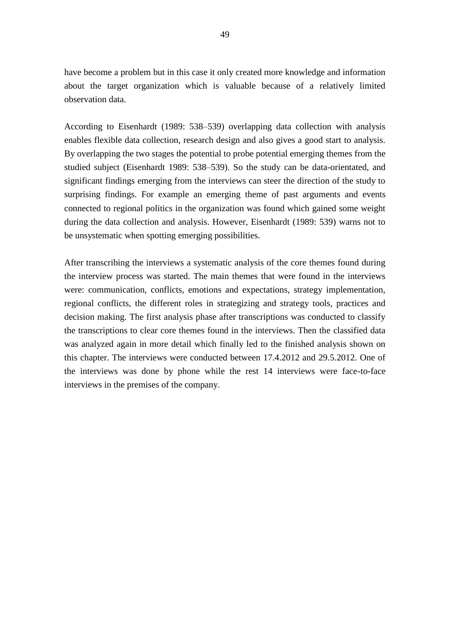have become a problem but in this case it only created more knowledge and information about the target organization which is valuable because of a relatively limited observation data.

According to Eisenhardt (1989: 538–539) overlapping data collection with analysis enables flexible data collection, research design and also gives a good start to analysis. By overlapping the two stages the potential to probe potential emerging themes from the studied subject (Eisenhardt 1989: 538–539). So the study can be data-orientated, and significant findings emerging from the interviews can steer the direction of the study to surprising findings. For example an emerging theme of past arguments and events connected to regional politics in the organization was found which gained some weight during the data collection and analysis. However, Eisenhardt (1989: 539) warns not to be unsystematic when spotting emerging possibilities.

After transcribing the interviews a systematic analysis of the core themes found during the interview process was started. The main themes that were found in the interviews were: communication, conflicts, emotions and expectations, strategy implementation, regional conflicts, the different roles in strategizing and strategy tools, practices and decision making. The first analysis phase after transcriptions was conducted to classify the transcriptions to clear core themes found in the interviews. Then the classified data was analyzed again in more detail which finally led to the finished analysis shown on this chapter. The interviews were conducted between 17.4.2012 and 29.5.2012. One of the interviews was done by phone while the rest 14 interviews were face-to-face interviews in the premises of the company.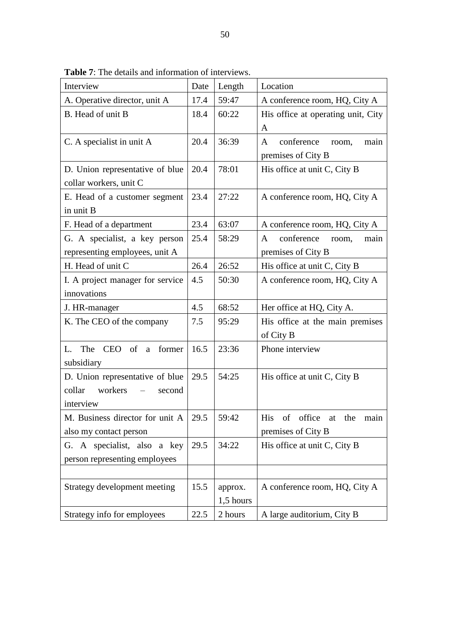| Interview                                    | Date | Length    | Location                                    |  |
|----------------------------------------------|------|-----------|---------------------------------------------|--|
|                                              | 17.4 | 59:47     |                                             |  |
| A. Operative director, unit A                |      |           | A conference room, HQ, City A               |  |
| B. Head of unit B                            | 18.4 | 60:22     | His office at operating unit, City          |  |
|                                              |      |           | A                                           |  |
| C. A specialist in unit A                    | 20.4 | 36:39     | conference<br>main<br>A<br>room,            |  |
|                                              |      |           | premises of City B                          |  |
| D. Union representative of blue              | 20.4 | 78:01     | His office at unit C, City B                |  |
| collar workers, unit C                       |      |           |                                             |  |
| E. Head of a customer segment                | 23.4 | 27:22     | A conference room, HQ, City A               |  |
| in unit B                                    |      |           |                                             |  |
| F. Head of a department                      | 23.4 | 63:07     | A conference room, HQ, City A               |  |
| G. A specialist, a key person                | 25.4 | 58:29     | conference<br>room,<br>main<br>$\mathsf{A}$ |  |
| representing employees, unit A               |      |           | premises of City B                          |  |
| H. Head of unit C                            | 26.4 | 26:52     | His office at unit C, City B                |  |
| I. A project manager for service             | 4.5  | 50:30     | A conference room, HQ, City A               |  |
| innovations                                  |      |           |                                             |  |
| J. HR-manager                                | 4.5  | 68:52     | Her office at HQ, City A.                   |  |
| K. The CEO of the company                    | 7.5  | 95:29     | His office at the main premises             |  |
|                                              |      |           | of City B                                   |  |
| CEO of<br>former<br>The<br>L.<br>a           | 16.5 | 23:36     | Phone interview                             |  |
| subsidiary                                   |      |           |                                             |  |
| D. Union representative of blue              | 29.5 | 54:25     | His office at unit C, City B                |  |
| collar<br>workers<br>second                  |      |           |                                             |  |
|                                              |      |           |                                             |  |
| interview                                    |      |           |                                             |  |
| M. Business director for unit A $\vert$ 29.5 |      | 59:42     | His of office<br>the<br>at<br>main          |  |
| also my contact person                       |      |           | premises of City B                          |  |
| G. A specialist, also a key                  | 29.5 | 34:22     | His office at unit C, City B                |  |
| person representing employees                |      |           |                                             |  |
|                                              |      |           |                                             |  |
| Strategy development meeting                 | 15.5 | approx.   | A conference room, HQ, City A               |  |
|                                              |      | 1,5 hours |                                             |  |
| Strategy info for employees                  | 22.5 | 2 hours   | A large auditorium, City B                  |  |

**Table 7**: The details and information of interviews.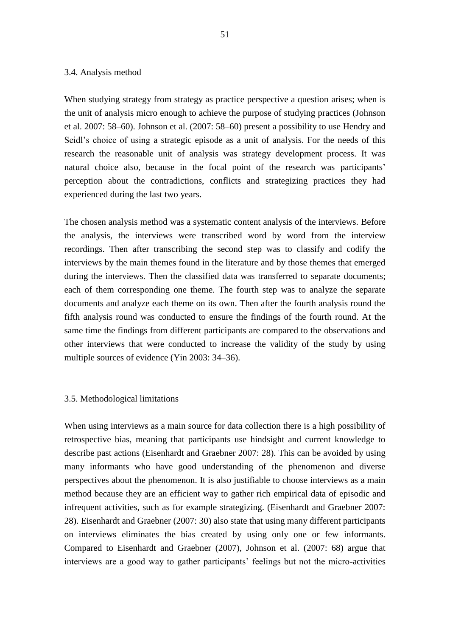#### 3.4. Analysis method

When studying strategy from strategy as practice perspective a question arises; when is the unit of analysis micro enough to achieve the purpose of studying practices (Johnson et al. 2007: 58–60). Johnson et al. (2007: 58–60) present a possibility to use Hendry and Seidl's choice of using a strategic episode as a unit of analysis. For the needs of this research the reasonable unit of analysis was strategy development process. It was natural choice also, because in the focal point of the research was participants' perception about the contradictions, conflicts and strategizing practices they had experienced during the last two years.

The chosen analysis method was a systematic content analysis of the interviews. Before the analysis, the interviews were transcribed word by word from the interview recordings. Then after transcribing the second step was to classify and codify the interviews by the main themes found in the literature and by those themes that emerged during the interviews. Then the classified data was transferred to separate documents; each of them corresponding one theme. The fourth step was to analyze the separate documents and analyze each theme on its own. Then after the fourth analysis round the fifth analysis round was conducted to ensure the findings of the fourth round. At the same time the findings from different participants are compared to the observations and other interviews that were conducted to increase the validity of the study by using multiple sources of evidence (Yin 2003: 34–36).

## 3.5. Methodological limitations

When using interviews as a main source for data collection there is a high possibility of retrospective bias, meaning that participants use hindsight and current knowledge to describe past actions (Eisenhardt and Graebner 2007: 28). This can be avoided by using many informants who have good understanding of the phenomenon and diverse perspectives about the phenomenon. It is also justifiable to choose interviews as a main method because they are an efficient way to gather rich empirical data of episodic and infrequent activities, such as for example strategizing. (Eisenhardt and Graebner 2007: 28). Eisenhardt and Graebner (2007: 30) also state that using many different participants on interviews eliminates the bias created by using only one or few informants. Compared to Eisenhardt and Graebner (2007), Johnson et al. (2007: 68) argue that interviews are a good way to gather participants' feelings but not the micro-activities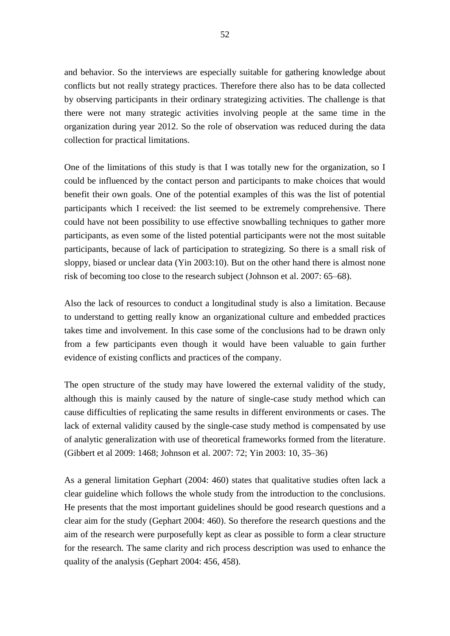and behavior. So the interviews are especially suitable for gathering knowledge about conflicts but not really strategy practices. Therefore there also has to be data collected by observing participants in their ordinary strategizing activities. The challenge is that there were not many strategic activities involving people at the same time in the organization during year 2012. So the role of observation was reduced during the data collection for practical limitations.

One of the limitations of this study is that I was totally new for the organization, so I could be influenced by the contact person and participants to make choices that would benefit their own goals. One of the potential examples of this was the list of potential participants which I received: the list seemed to be extremely comprehensive. There could have not been possibility to use effective snowballing techniques to gather more participants, as even some of the listed potential participants were not the most suitable participants, because of lack of participation to strategizing. So there is a small risk of sloppy, biased or unclear data (Yin 2003:10). But on the other hand there is almost none risk of becoming too close to the research subject (Johnson et al. 2007: 65–68).

Also the lack of resources to conduct a longitudinal study is also a limitation. Because to understand to getting really know an organizational culture and embedded practices takes time and involvement. In this case some of the conclusions had to be drawn only from a few participants even though it would have been valuable to gain further evidence of existing conflicts and practices of the company.

The open structure of the study may have lowered the external validity of the study, although this is mainly caused by the nature of single-case study method which can cause difficulties of replicating the same results in different environments or cases. The lack of external validity caused by the single-case study method is compensated by use of analytic generalization with use of theoretical frameworks formed from the literature. (Gibbert et al 2009: 1468; Johnson et al. 2007: 72; Yin 2003: 10, 35–36)

As a general limitation Gephart (2004: 460) states that qualitative studies often lack a clear guideline which follows the whole study from the introduction to the conclusions. He presents that the most important guidelines should be good research questions and a clear aim for the study (Gephart 2004: 460). So therefore the research questions and the aim of the research were purposefully kept as clear as possible to form a clear structure for the research. The same clarity and rich process description was used to enhance the quality of the analysis (Gephart 2004: 456, 458).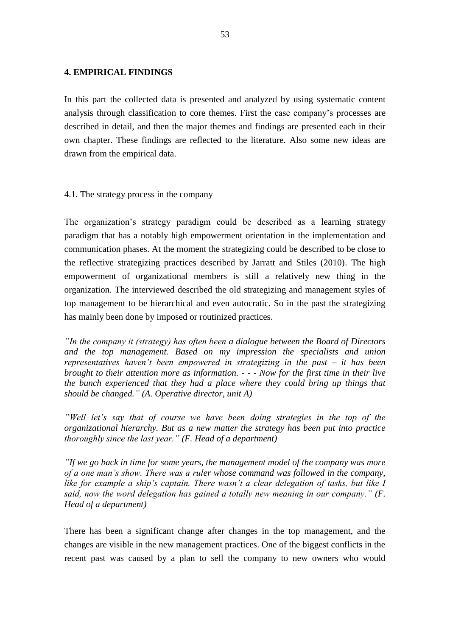## **4. EMPIRICAL FINDINGS**

In this part the collected data is presented and analyzed by using systematic content analysis through classification to core themes. First the case company's processes are described in detail, and then the major themes and findings are presented each in their own chapter. These findings are reflected to the literature. Also some new ideas are drawn from the empirical data.

## 4.1. The strategy process in the company

The organization's strategy paradigm could be described as a learning strategy paradigm that has a notably high empowerment orientation in the implementation and communication phases. At the moment the strategizing could be described to be close to the reflective strategizing practices described by Jarratt and Stiles (2010). The high empowerment of organizational members is still a relatively new thing in the organization. The interviewed described the old strategizing and management styles of top management to be hierarchical and even autocratic. So in the past the strategizing has mainly been done by imposed or routinized practices.

*"In the company it (strategy) has often been a dialogue between the Board of Directors and the top management. Based on my impression the specialists and union representatives haven't been empowered in strategizing in the past – it has been brought to their attention more as information. - - - Now for the first time in their live the bunch experienced that they had a place where they could bring up things that should be changed." (A. Operative director, unit A)*

*"Well let's say that of course we have been doing strategies in the top of the organizational hierarchy. But as a new matter the strategy has been put into practice thoroughly since the last year." (F. Head of a department)*

*"If we go back in time for some years, the management model of the company was more of a one man's show. There was a ruler whose command was followed in the company,*  like for example a ship's captain. There wasn't a clear delegation of tasks, but like I *said, now the word delegation has gained a totally new meaning in our company." (F. Head of a department)*

There has been a significant change after changes in the top management, and the changes are visible in the new management practices. One of the biggest conflicts in the recent past was caused by a plan to sell the company to new owners who would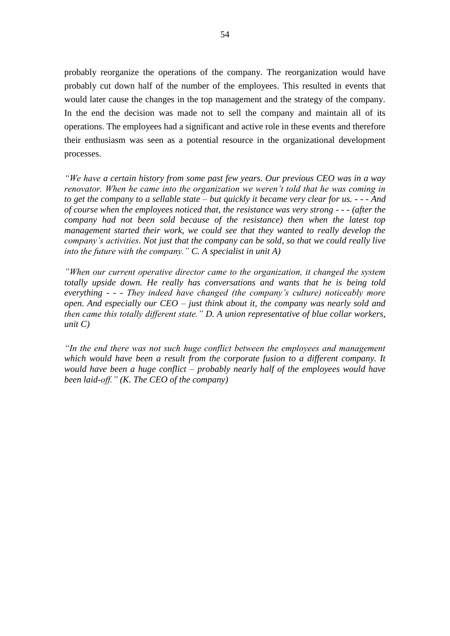probably reorganize the operations of the company. The reorganization would have probably cut down half of the number of the employees. This resulted in events that would later cause the changes in the top management and the strategy of the company. In the end the decision was made not to sell the company and maintain all of its operations. The employees had a significant and active role in these events and therefore their enthusiasm was seen as a potential resource in the organizational development processes.

*"We have a certain history from some past few years. Our previous CEO was in a way renovator. When he came into the organization we weren't told that he was coming in to get the company to a sellable state – but quickly it became very clear for us. - - - And of course when the employees noticed that, the resistance was very strong - - - (after the company had not been sold because of the resistance) then when the latest top management started their work, we could see that they wanted to really develop the company's activities. Not just that the company can be sold, so that we could really live into the future with the company." C. A specialist in unit A)*

*"When our current operative director came to the organization, it changed the system totally upside down. He really has conversations and wants that he is being told everything - - - They indeed have changed (the company's culture) noticeably more open. And especially our CEO – just think about it, the company was nearly sold and then came this totally different state." D. A union representative of blue collar workers, unit C)*

*"In the end there was not such huge conflict between the employees and management*  which would have been a result from the corporate fusion to a different company. It *would have been a huge conflict – probably nearly half of the employees would have been laid-off." (K. The CEO of the company)*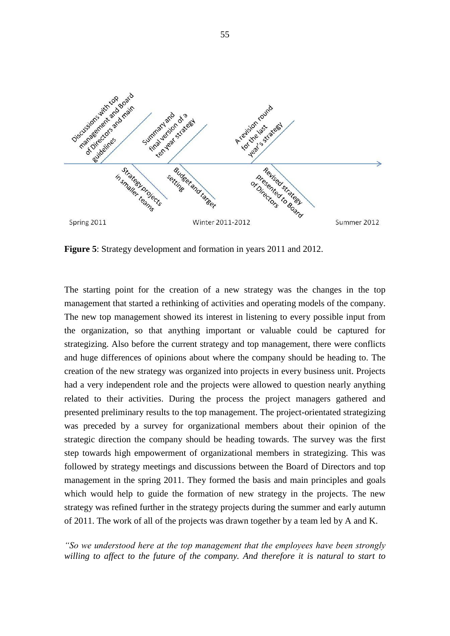

**Figure 5**: Strategy development and formation in years 2011 and 2012.

The starting point for the creation of a new strategy was the changes in the top management that started a rethinking of activities and operating models of the company. The new top management showed its interest in listening to every possible input from the organization, so that anything important or valuable could be captured for strategizing. Also before the current strategy and top management, there were conflicts and huge differences of opinions about where the company should be heading to. The creation of the new strategy was organized into projects in every business unit. Projects had a very independent role and the projects were allowed to question nearly anything related to their activities. During the process the project managers gathered and presented preliminary results to the top management. The project-orientated strategizing was preceded by a survey for organizational members about their opinion of the strategic direction the company should be heading towards. The survey was the first step towards high empowerment of organizational members in strategizing. This was followed by strategy meetings and discussions between the Board of Directors and top management in the spring 2011. They formed the basis and main principles and goals which would help to guide the formation of new strategy in the projects. The new strategy was refined further in the strategy projects during the summer and early autumn of 2011. The work of all of the projects was drawn together by a team led by A and K.

*"So we understood here at the top management that the employees have been strongly*  willing to affect to the future of the company. And therefore it is natural to start to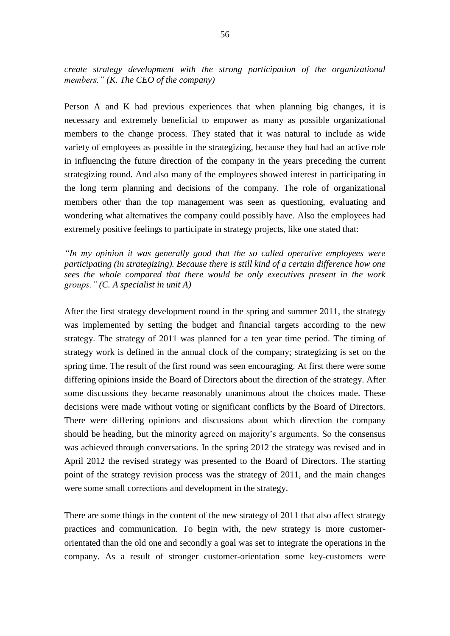*create strategy development with the strong participation of the organizational members." (K. The CEO of the company)*

Person A and K had previous experiences that when planning big changes, it is necessary and extremely beneficial to empower as many as possible organizational members to the change process. They stated that it was natural to include as wide variety of employees as possible in the strategizing, because they had had an active role in influencing the future direction of the company in the years preceding the current strategizing round. And also many of the employees showed interest in participating in the long term planning and decisions of the company. The role of organizational members other than the top management was seen as questioning, evaluating and wondering what alternatives the company could possibly have. Also the employees had extremely positive feelings to participate in strategy projects, like one stated that:

*"In my opinion it was generally good that the so called operative employees were participating (in strategizing). Because there is still kind of a certain difference how one sees the whole compared that there would be only executives present in the work groups." (C. A specialist in unit A)*

After the first strategy development round in the spring and summer 2011, the strategy was implemented by setting the budget and financial targets according to the new strategy. The strategy of 2011 was planned for a ten year time period. The timing of strategy work is defined in the annual clock of the company; strategizing is set on the spring time. The result of the first round was seen encouraging. At first there were some differing opinions inside the Board of Directors about the direction of the strategy. After some discussions they became reasonably unanimous about the choices made. These decisions were made without voting or significant conflicts by the Board of Directors. There were differing opinions and discussions about which direction the company should be heading, but the minority agreed on majority's arguments. So the consensus was achieved through conversations. In the spring 2012 the strategy was revised and in April 2012 the revised strategy was presented to the Board of Directors. The starting point of the strategy revision process was the strategy of 2011, and the main changes were some small corrections and development in the strategy.

There are some things in the content of the new strategy of 2011 that also affect strategy practices and communication. To begin with, the new strategy is more customerorientated than the old one and secondly a goal was set to integrate the operations in the company. As a result of stronger customer-orientation some key-customers were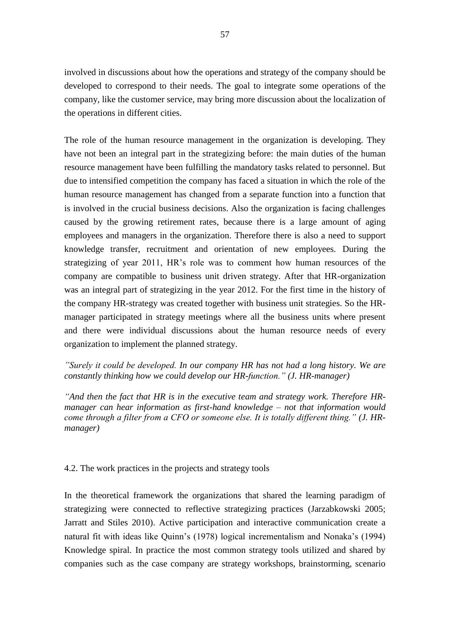involved in discussions about how the operations and strategy of the company should be developed to correspond to their needs. The goal to integrate some operations of the company, like the customer service, may bring more discussion about the localization of the operations in different cities.

The role of the human resource management in the organization is developing. They have not been an integral part in the strategizing before: the main duties of the human resource management have been fulfilling the mandatory tasks related to personnel. But due to intensified competition the company has faced a situation in which the role of the human resource management has changed from a separate function into a function that is involved in the crucial business decisions. Also the organization is facing challenges caused by the growing retirement rates, because there is a large amount of aging employees and managers in the organization. Therefore there is also a need to support knowledge transfer, recruitment and orientation of new employees. During the strategizing of year 2011, HR's role was to comment how human resources of the company are compatible to business unit driven strategy. After that HR-organization was an integral part of strategizing in the year 2012. For the first time in the history of the company HR-strategy was created together with business unit strategies. So the HRmanager participated in strategy meetings where all the business units where present and there were individual discussions about the human resource needs of every organization to implement the planned strategy.

*"Surely it could be developed. In our company HR has not had a long history. We are constantly thinking how we could develop our HR-function." (J. HR-manager)*

*"And then the fact that HR is in the executive team and strategy work. Therefore HRmanager can hear information as first-hand knowledge – not that information would come through a filter from a CFO or someone else. It is totally different thing." (J. HRmanager)*

4.2. The work practices in the projects and strategy tools

In the theoretical framework the organizations that shared the learning paradigm of strategizing were connected to reflective strategizing practices (Jarzabkowski 2005; Jarratt and Stiles 2010). Active participation and interactive communication create a natural fit with ideas like Quinn's (1978) logical incrementalism and Nonaka's (1994) Knowledge spiral. In practice the most common strategy tools utilized and shared by companies such as the case company are strategy workshops, brainstorming, scenario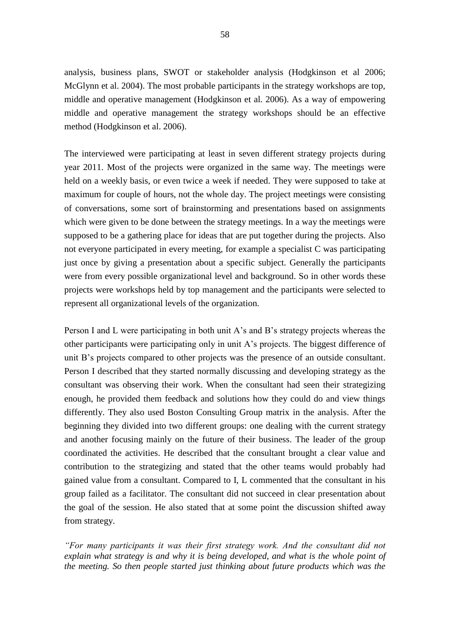analysis, business plans, SWOT or stakeholder analysis (Hodgkinson et al 2006; McGlynn et al. 2004). The most probable participants in the strategy workshops are top, middle and operative management (Hodgkinson et al. 2006). As a way of empowering middle and operative management the strategy workshops should be an effective method (Hodgkinson et al. 2006).

The interviewed were participating at least in seven different strategy projects during year 2011. Most of the projects were organized in the same way. The meetings were held on a weekly basis, or even twice a week if needed. They were supposed to take at maximum for couple of hours, not the whole day. The project meetings were consisting of conversations, some sort of brainstorming and presentations based on assignments which were given to be done between the strategy meetings. In a way the meetings were supposed to be a gathering place for ideas that are put together during the projects. Also not everyone participated in every meeting, for example a specialist C was participating just once by giving a presentation about a specific subject. Generally the participants were from every possible organizational level and background. So in other words these projects were workshops held by top management and the participants were selected to represent all organizational levels of the organization.

Person I and L were participating in both unit A's and B's strategy projects whereas the other participants were participating only in unit A's projects. The biggest difference of unit B's projects compared to other projects was the presence of an outside consultant. Person I described that they started normally discussing and developing strategy as the consultant was observing their work. When the consultant had seen their strategizing enough, he provided them feedback and solutions how they could do and view things differently. They also used Boston Consulting Group matrix in the analysis. After the beginning they divided into two different groups: one dealing with the current strategy and another focusing mainly on the future of their business. The leader of the group coordinated the activities. He described that the consultant brought a clear value and contribution to the strategizing and stated that the other teams would probably had gained value from a consultant. Compared to I, L commented that the consultant in his group failed as a facilitator. The consultant did not succeed in clear presentation about the goal of the session. He also stated that at some point the discussion shifted away from strategy.

*"For many participants it was their first strategy work. And the consultant did not*  explain what strategy is and why it is being developed, and what is the whole point of *the meeting. So then people started just thinking about future products which was the*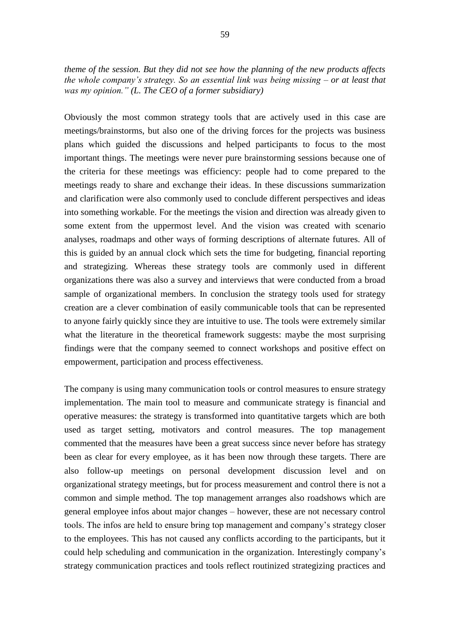*theme of the session. But they did not see how the planning of the new products affects the whole company's strategy. So an essential link was being missing – or at least that was my opinion." (L. The CEO of a former subsidiary)*

Obviously the most common strategy tools that are actively used in this case are meetings/brainstorms, but also one of the driving forces for the projects was business plans which guided the discussions and helped participants to focus to the most important things. The meetings were never pure brainstorming sessions because one of the criteria for these meetings was efficiency: people had to come prepared to the meetings ready to share and exchange their ideas. In these discussions summarization and clarification were also commonly used to conclude different perspectives and ideas into something workable. For the meetings the vision and direction was already given to some extent from the uppermost level. And the vision was created with scenario analyses, roadmaps and other ways of forming descriptions of alternate futures. All of this is guided by an annual clock which sets the time for budgeting, financial reporting and strategizing. Whereas these strategy tools are commonly used in different organizations there was also a survey and interviews that were conducted from a broad sample of organizational members. In conclusion the strategy tools used for strategy creation are a clever combination of easily communicable tools that can be represented to anyone fairly quickly since they are intuitive to use. The tools were extremely similar what the literature in the theoretical framework suggests: maybe the most surprising findings were that the company seemed to connect workshops and positive effect on empowerment, participation and process effectiveness.

The company is using many communication tools or control measures to ensure strategy implementation. The main tool to measure and communicate strategy is financial and operative measures: the strategy is transformed into quantitative targets which are both used as target setting, motivators and control measures. The top management commented that the measures have been a great success since never before has strategy been as clear for every employee, as it has been now through these targets. There are also follow-up meetings on personal development discussion level and on organizational strategy meetings, but for process measurement and control there is not a common and simple method. The top management arranges also roadshows which are general employee infos about major changes – however, these are not necessary control tools. The infos are held to ensure bring top management and company's strategy closer to the employees. This has not caused any conflicts according to the participants, but it could help scheduling and communication in the organization. Interestingly company's strategy communication practices and tools reflect routinized strategizing practices and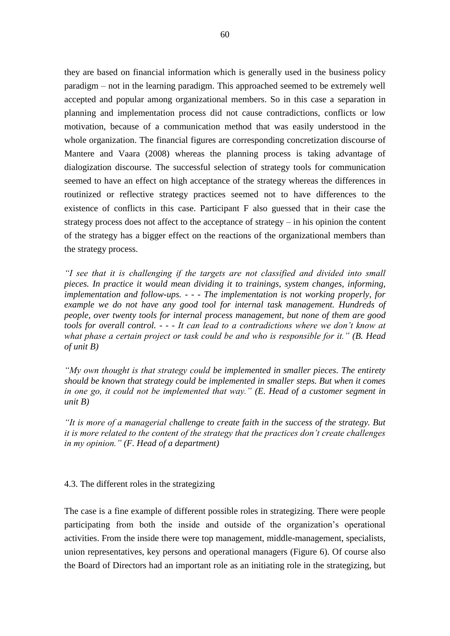they are based on financial information which is generally used in the business policy paradigm – not in the learning paradigm. This approached seemed to be extremely well accepted and popular among organizational members. So in this case a separation in planning and implementation process did not cause contradictions, conflicts or low motivation, because of a communication method that was easily understood in the whole organization. The financial figures are corresponding concretization discourse of Mantere and Vaara (2008) whereas the planning process is taking advantage of dialogization discourse. The successful selection of strategy tools for communication seemed to have an effect on high acceptance of the strategy whereas the differences in routinized or reflective strategy practices seemed not to have differences to the existence of conflicts in this case. Participant F also guessed that in their case the strategy process does not affect to the acceptance of strategy – in his opinion the content of the strategy has a bigger effect on the reactions of the organizational members than the strategy process.

*"I see that it is challenging if the targets are not classified and divided into small pieces. In practice it would mean dividing it to trainings, system changes, informing, implementation and follow-ups. - - - The implementation is not working properly, for example we do not have any good tool for internal task management. Hundreds of people, over twenty tools for internal process management, but none of them are good tools for overall control. - - - It can lead to a contradictions where we don't know at what phase a certain project or task could be and who is responsible for it." (B. Head of unit B)*

*"My own thought is that strategy could be implemented in smaller pieces. The entirety should be known that strategy could be implemented in smaller steps. But when it comes in one go, it could not be implemented that way." (E. Head of a customer segment in unit B)*

*"It is more of a managerial challenge to create faith in the success of the strategy. But it is more related to the content of the strategy that the practices don't create challenges in my opinion." (F. Head of a department)*

4.3. The different roles in the strategizing

The case is a fine example of different possible roles in strategizing. There were people participating from both the inside and outside of the organization's operational activities. From the inside there were top management, middle-management, specialists, union representatives, key persons and operational managers (Figure 6). Of course also the Board of Directors had an important role as an initiating role in the strategizing, but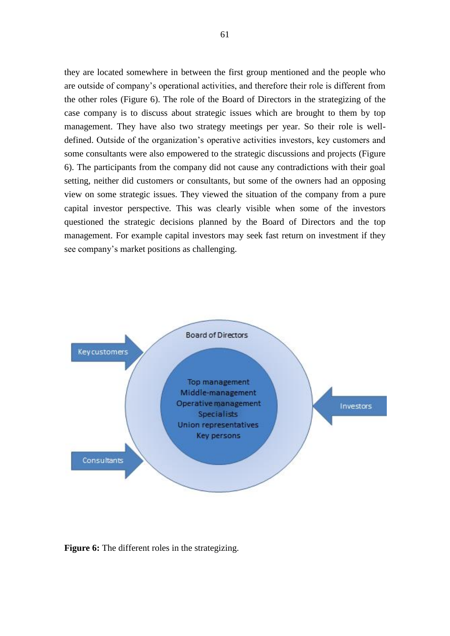they are located somewhere in between the first group mentioned and the people who are outside of company's operational activities, and therefore their role is different from the other roles (Figure 6). The role of the Board of Directors in the strategizing of the case company is to discuss about strategic issues which are brought to them by top management. They have also two strategy meetings per year. So their role is welldefined. Outside of the organization's operative activities investors, key customers and some consultants were also empowered to the strategic discussions and projects (Figure 6). The participants from the company did not cause any contradictions with their goal setting, neither did customers or consultants, but some of the owners had an opposing view on some strategic issues. They viewed the situation of the company from a pure capital investor perspective. This was clearly visible when some of the investors questioned the strategic decisions planned by the Board of Directors and the top management. For example capital investors may seek fast return on investment if they see company's market positions as challenging.



**Figure 6:** The different roles in the strategizing.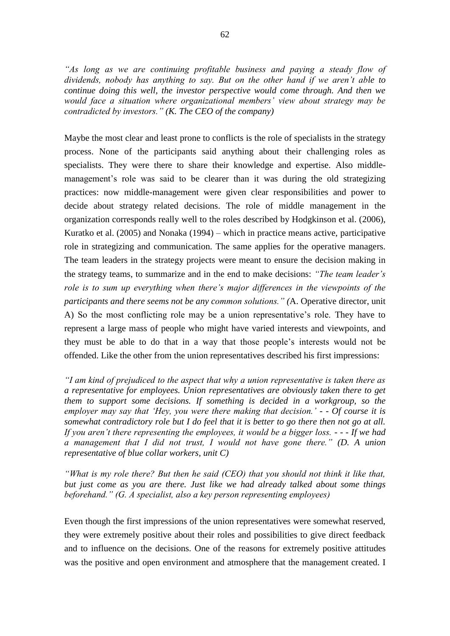*As long as we are continuing profitable business and paying a steady flow of dividends, nobody has anything to say. But on the other hand if we aren't able to continue doing this well, the investor perspective would come through. And then we would face a situation where organizational members' view about strategy may be contradicted by investors." (K. The CEO of the company)*

Maybe the most clear and least prone to conflicts is the role of specialists in the strategy process. None of the participants said anything about their challenging roles as specialists. They were there to share their knowledge and expertise. Also middlemanagement's role was said to be clearer than it was during the old strategizing practices: now middle-management were given clear responsibilities and power to decide about strategy related decisions. The role of middle management in the organization corresponds really well to the roles described by Hodgkinson et al. (2006), Kuratko et al. (2005) and Nonaka (1994) – which in practice means active, participative role in strategizing and communication. The same applies for the operative managers. The team leaders in the strategy projects were meant to ensure the decision making in the strategy teams, to summarize and in the end to make decisions: *"The team leader's role is to sum up everything when there's major differences in the viewpoints of the participants and there seems not be any common solutions." (*A. Operative director, unit A) So the most conflicting role may be a union representative's role. They have to represent a large mass of people who might have varied interests and viewpoints, and they must be able to do that in a way that those people's interests would not be offended. Like the other from the union representatives described his first impressions:

*"I am kind of prejudiced to the aspect that why a union representative is taken there as a representative for employees. Union representatives are obviously taken there to get them to support some decisions. If something is decided in a workgroup, so the employer may say that 'Hey, you were there making that decision.' - - Of course it is somewhat contradictory role but I do feel that it is better to go there then not go at all. If you aren't there representing the employees, it would be a bigger loss. - - - If we had a management that I did not trust, I would not have gone there." (D. A union representative of blue collar workers, unit C)*

*"What is my role there? But then he said (CEO) that you should not think it like that, but just come as you are there. Just like we had already talked about some things beforehand." (G. A specialist, also a key person representing employees)*

Even though the first impressions of the union representatives were somewhat reserved, they were extremely positive about their roles and possibilities to give direct feedback and to influence on the decisions. One of the reasons for extremely positive attitudes was the positive and open environment and atmosphere that the management created. I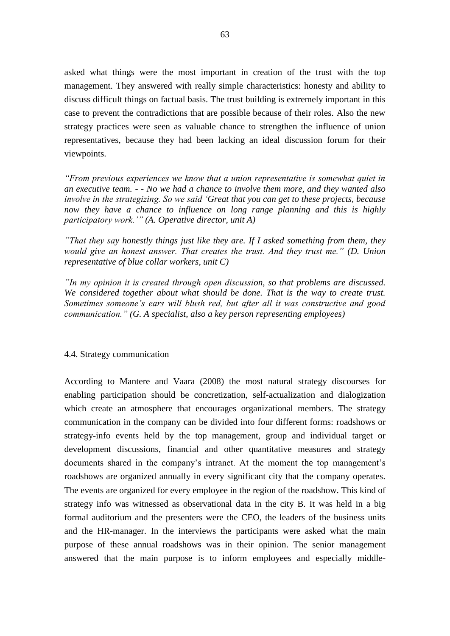asked what things were the most important in creation of the trust with the top management. They answered with really simple characteristics: honesty and ability to discuss difficult things on factual basis. The trust building is extremely important in this case to prevent the contradictions that are possible because of their roles. Also the new strategy practices were seen as valuable chance to strengthen the influence of union representatives, because they had been lacking an ideal discussion forum for their viewpoints.

*"From previous experiences we know that a union representative is somewhat quiet in an executive team. - - No we had a chance to involve them more, and they wanted also involve in the strategizing. So we said 'Great that you can get to these projects, because now they have a chance to influence on long range planning and this is highly participatory work.'" (A. Operative director, unit A)*

*"That they say honestly things just like they are. If I asked something from them, they would give an honest answer. That creates the trust. And they trust me." (D. Union representative of blue collar workers, unit C)*

*"In my opinion it is created through open discussion, so that problems are discussed. We considered together about what should be done. That is the way to create trust. Sometimes someone's ears will blush red, but after all it was constructive and good communication." (G. A specialist, also a key person representing employees)*

#### 4.4. Strategy communication

According to Mantere and Vaara (2008) the most natural strategy discourses for enabling participation should be concretization, self-actualization and dialogization which create an atmosphere that encourages organizational members. The strategy communication in the company can be divided into four different forms: roadshows or strategy-info events held by the top management, group and individual target or development discussions, financial and other quantitative measures and strategy documents shared in the company's intranet. At the moment the top management's roadshows are organized annually in every significant city that the company operates. The events are organized for every employee in the region of the roadshow. This kind of strategy info was witnessed as observational data in the city B. It was held in a big formal auditorium and the presenters were the CEO, the leaders of the business units and the HR-manager. In the interviews the participants were asked what the main purpose of these annual roadshows was in their opinion. The senior management answered that the main purpose is to inform employees and especially middle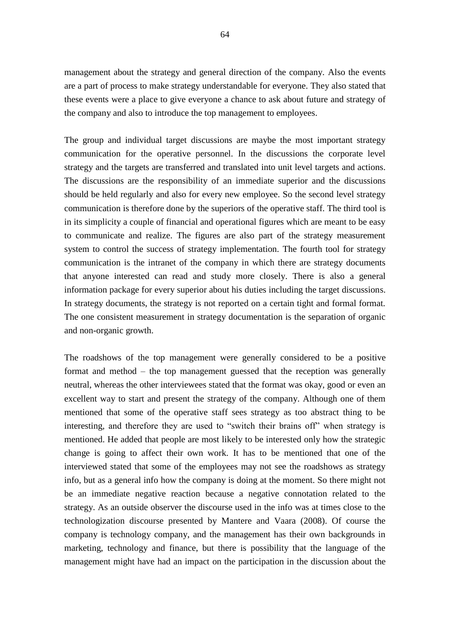management about the strategy and general direction of the company. Also the events are a part of process to make strategy understandable for everyone. They also stated that these events were a place to give everyone a chance to ask about future and strategy of the company and also to introduce the top management to employees.

The group and individual target discussions are maybe the most important strategy communication for the operative personnel. In the discussions the corporate level strategy and the targets are transferred and translated into unit level targets and actions. The discussions are the responsibility of an immediate superior and the discussions should be held regularly and also for every new employee. So the second level strategy communication is therefore done by the superiors of the operative staff. The third tool is in its simplicity a couple of financial and operational figures which are meant to be easy to communicate and realize. The figures are also part of the strategy measurement system to control the success of strategy implementation. The fourth tool for strategy communication is the intranet of the company in which there are strategy documents that anyone interested can read and study more closely. There is also a general information package for every superior about his duties including the target discussions. In strategy documents, the strategy is not reported on a certain tight and formal format. The one consistent measurement in strategy documentation is the separation of organic and non-organic growth.

The roadshows of the top management were generally considered to be a positive format and method – the top management guessed that the reception was generally neutral, whereas the other interviewees stated that the format was okay, good or even an excellent way to start and present the strategy of the company. Although one of them mentioned that some of the operative staff sees strategy as too abstract thing to be interesting, and therefore they are used to "switch their brains off" when strategy is mentioned. He added that people are most likely to be interested only how the strategic change is going to affect their own work. It has to be mentioned that one of the interviewed stated that some of the employees may not see the roadshows as strategy info, but as a general info how the company is doing at the moment. So there might not be an immediate negative reaction because a negative connotation related to the strategy. As an outside observer the discourse used in the info was at times close to the technologization discourse presented by Mantere and Vaara (2008). Of course the company is technology company, and the management has their own backgrounds in marketing, technology and finance, but there is possibility that the language of the management might have had an impact on the participation in the discussion about the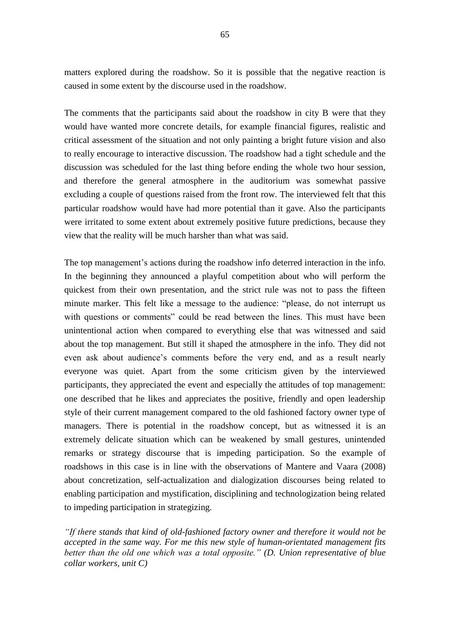matters explored during the roadshow. So it is possible that the negative reaction is caused in some extent by the discourse used in the roadshow.

The comments that the participants said about the roadshow in city B were that they would have wanted more concrete details, for example financial figures, realistic and critical assessment of the situation and not only painting a bright future vision and also to really encourage to interactive discussion. The roadshow had a tight schedule and the discussion was scheduled for the last thing before ending the whole two hour session, and therefore the general atmosphere in the auditorium was somewhat passive excluding a couple of questions raised from the front row. The interviewed felt that this particular roadshow would have had more potential than it gave. Also the participants were irritated to some extent about extremely positive future predictions, because they view that the reality will be much harsher than what was said.

The top management's actions during the roadshow info deterred interaction in the info. In the beginning they announced a playful competition about who will perform the quickest from their own presentation, and the strict rule was not to pass the fifteen minute marker. This felt like a message to the audience: "please, do not interrupt us with questions or comments" could be read between the lines. This must have been unintentional action when compared to everything else that was witnessed and said about the top management. But still it shaped the atmosphere in the info. They did not even ask about audience's comments before the very end, and as a result nearly everyone was quiet. Apart from the some criticism given by the interviewed participants, they appreciated the event and especially the attitudes of top management: one described that he likes and appreciates the positive, friendly and open leadership style of their current management compared to the old fashioned factory owner type of managers. There is potential in the roadshow concept, but as witnessed it is an extremely delicate situation which can be weakened by small gestures, unintended remarks or strategy discourse that is impeding participation. So the example of roadshows in this case is in line with the observations of Mantere and Vaara (2008) about concretization, self-actualization and dialogization discourses being related to enabling participation and mystification, disciplining and technologization being related to impeding participation in strategizing.

*"If there stands that kind of old-fashioned factory owner and therefore it would not be accepted in the same way. For me this new style of human-orientated management fits better than the old one which was a total opposite." (D. Union representative of blue collar workers, unit C)*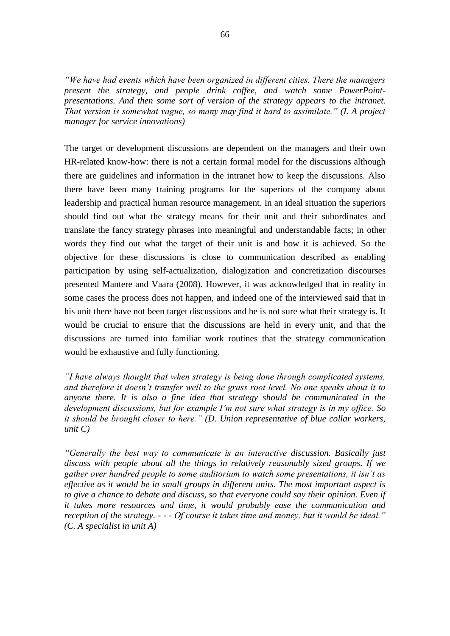*"We have had events which have been organized in different cities. There the managers present the strategy, and people drink coffee, and watch some PowerPointpresentations. And then some sort of version of the strategy appears to the intranet. That version is somewhat vague, so many may find it hard to assimilate." (I. A project manager for service innovations)*

The target or development discussions are dependent on the managers and their own HR-related know-how: there is not a certain formal model for the discussions although there are guidelines and information in the intranet how to keep the discussions. Also there have been many training programs for the superiors of the company about leadership and practical human resource management. In an ideal situation the superiors should find out what the strategy means for their unit and their subordinates and translate the fancy strategy phrases into meaningful and understandable facts; in other words they find out what the target of their unit is and how it is achieved. So the objective for these discussions is close to communication described as enabling participation by using self-actualization, dialogization and concretization discourses presented Mantere and Vaara (2008). However, it was acknowledged that in reality in some cases the process does not happen, and indeed one of the interviewed said that in his unit there have not been target discussions and he is not sure what their strategy is. It would be crucial to ensure that the discussions are held in every unit, and that the discussions are turned into familiar work routines that the strategy communication would be exhaustive and fully functioning.

*"I have always thought that when strategy is being done through complicated systems, and therefore it doesn't transfer well to the grass root level. No one speaks about it to anyone there. It is also a fine idea that strategy should be communicated in the development discussions, but for example I'm not sure what strategy is in my office. So it should be brought closer to here." (D. Union representative of blue collar workers, unit C)*

*"Generally the best way to communicate is an interactive discussion. Basically just discuss with people about all the things in relatively reasonably sized groups. If we gather over hundred people to some auditorium to watch some presentations, it isn't as effective as it would be in small groups in different units. The most important aspect is to give a chance to debate and discuss, so that everyone could say their opinion. Even if it takes more resources and time, it would probably ease the communication and reception of the strategy. - - - Of course it takes time and money, but it would be ideal." (C. A specialist in unit A)*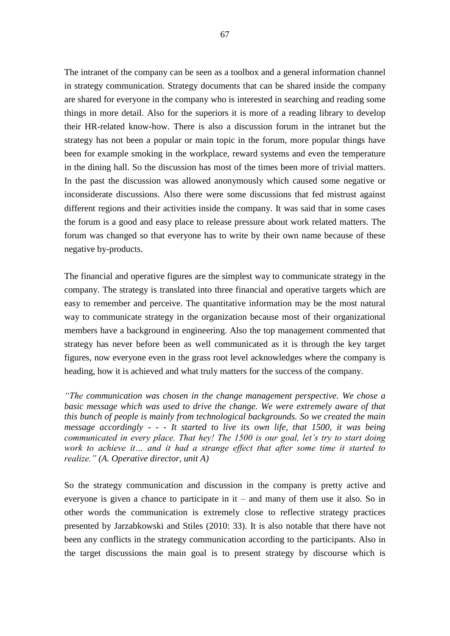The intranet of the company can be seen as a toolbox and a general information channel in strategy communication. Strategy documents that can be shared inside the company are shared for everyone in the company who is interested in searching and reading some things in more detail. Also for the superiors it is more of a reading library to develop their HR-related know-how. There is also a discussion forum in the intranet but the strategy has not been a popular or main topic in the forum, more popular things have been for example smoking in the workplace, reward systems and even the temperature in the dining hall. So the discussion has most of the times been more of trivial matters. In the past the discussion was allowed anonymously which caused some negative or inconsiderate discussions. Also there were some discussions that fed mistrust against different regions and their activities inside the company. It was said that in some cases the forum is a good and easy place to release pressure about work related matters. The forum was changed so that everyone has to write by their own name because of these negative by-products.

The financial and operative figures are the simplest way to communicate strategy in the company. The strategy is translated into three financial and operative targets which are easy to remember and perceive. The quantitative information may be the most natural way to communicate strategy in the organization because most of their organizational members have a background in engineering. Also the top management commented that strategy has never before been as well communicated as it is through the key target figures, now everyone even in the grass root level acknowledges where the company is heading, how it is achieved and what truly matters for the success of the company.

*"The communication was chosen in the change management perspective. We chose a basic message which was used to drive the change. We were extremely aware of that this bunch of people is mainly from technological backgrounds. So we created the main message accordingly - - - It started to live its own life, that 1500, it was being communicated in every place. That hey! The 1500 is our goal, let's try to start doing work to achieve it… and it had a strange effect that after some time it started to realize." (A. Operative director, unit A)*

So the strategy communication and discussion in the company is pretty active and everyone is given a chance to participate in it – and many of them use it also. So in other words the communication is extremely close to reflective strategy practices presented by Jarzabkowski and Stiles (2010: 33). It is also notable that there have not been any conflicts in the strategy communication according to the participants. Also in the target discussions the main goal is to present strategy by discourse which is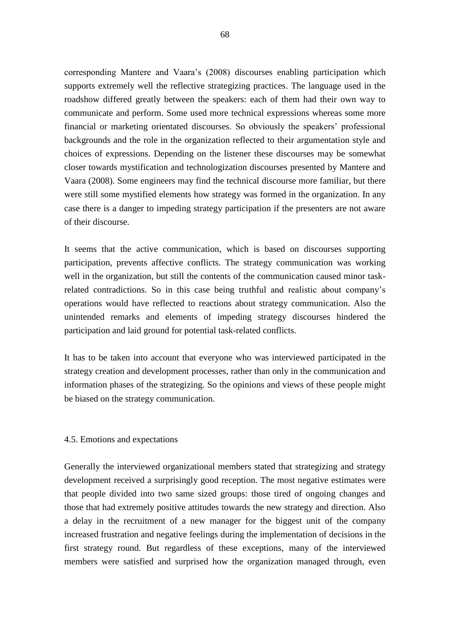corresponding Mantere and Vaara's (2008) discourses enabling participation which supports extremely well the reflective strategizing practices. The language used in the roadshow differed greatly between the speakers: each of them had their own way to communicate and perform. Some used more technical expressions whereas some more financial or marketing orientated discourses. So obviously the speakers' professional backgrounds and the role in the organization reflected to their argumentation style and choices of expressions. Depending on the listener these discourses may be somewhat closer towards mystification and technologization discourses presented by Mantere and Vaara (2008). Some engineers may find the technical discourse more familiar, but there were still some mystified elements how strategy was formed in the organization. In any case there is a danger to impeding strategy participation if the presenters are not aware of their discourse.

It seems that the active communication, which is based on discourses supporting participation, prevents affective conflicts. The strategy communication was working well in the organization, but still the contents of the communication caused minor taskrelated contradictions. So in this case being truthful and realistic about company's operations would have reflected to reactions about strategy communication. Also the unintended remarks and elements of impeding strategy discourses hindered the participation and laid ground for potential task-related conflicts.

It has to be taken into account that everyone who was interviewed participated in the strategy creation and development processes, rather than only in the communication and information phases of the strategizing. So the opinions and views of these people might be biased on the strategy communication.

## 4.5. Emotions and expectations

Generally the interviewed organizational members stated that strategizing and strategy development received a surprisingly good reception. The most negative estimates were that people divided into two same sized groups: those tired of ongoing changes and those that had extremely positive attitudes towards the new strategy and direction. Also a delay in the recruitment of a new manager for the biggest unit of the company increased frustration and negative feelings during the implementation of decisions in the first strategy round. But regardless of these exceptions, many of the interviewed members were satisfied and surprised how the organization managed through, even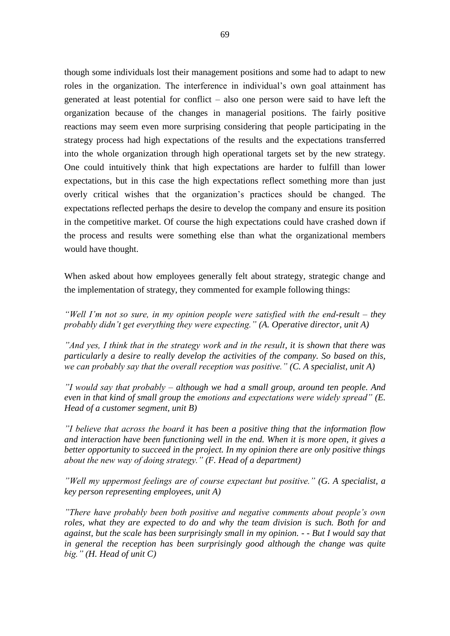though some individuals lost their management positions and some had to adapt to new roles in the organization. The interference in individual's own goal attainment has generated at least potential for conflict – also one person were said to have left the organization because of the changes in managerial positions. The fairly positive reactions may seem even more surprising considering that people participating in the strategy process had high expectations of the results and the expectations transferred into the whole organization through high operational targets set by the new strategy. One could intuitively think that high expectations are harder to fulfill than lower expectations, but in this case the high expectations reflect something more than just overly critical wishes that the organization's practices should be changed. The expectations reflected perhaps the desire to develop the company and ensure its position in the competitive market. Of course the high expectations could have crashed down if the process and results were something else than what the organizational members would have thought.

When asked about how employees generally felt about strategy, strategic change and the implementation of strategy, they commented for example following things:

*"Well I'm not so sure, in my opinion people were satisfied with the end-result – they probably didn't get everything they were expecting." (A. Operative director, unit A)*

*"And yes, I think that in the strategy work and in the result, it is shown that there was particularly a desire to really develop the activities of the company. So based on this, we can probably say that the overall reception was positive." (C. A specialist, unit A)*

*"I would say that probably – although we had a small group, around ten people. And even in that kind of small group the emotions and expectations were widely spread" (E. Head of a customer segment, unit B)*

*"I believe that across the board it has been a positive thing that the information flow and interaction have been functioning well in the end. When it is more open, it gives a better opportunity to succeed in the project. In my opinion there are only positive things about the new way of doing strategy." (F. Head of a department)*

*"Well my uppermost feelings are of course expectant but positive." (G. A specialist, a key person representing employees, unit A)*

*"There have probably been both positive and negative comments about people's own roles, what they are expected to do and why the team division is such. Both for and against, but the scale has been surprisingly small in my opinion. - - But I would say that in general the reception has been surprisingly good although the change was quite big." (H. Head of unit C)*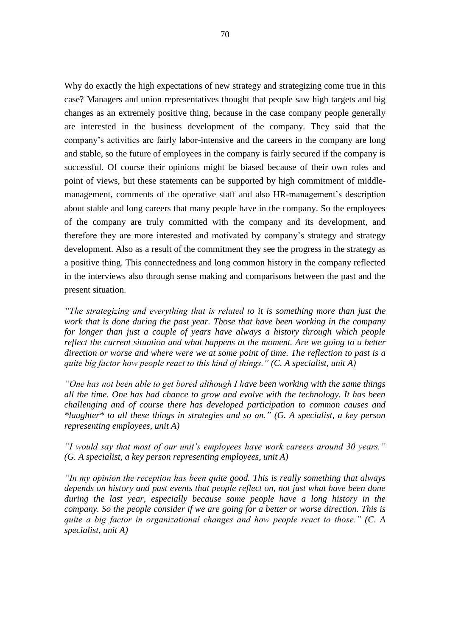Why do exactly the high expectations of new strategy and strategizing come true in this case? Managers and union representatives thought that people saw high targets and big changes as an extremely positive thing, because in the case company people generally are interested in the business development of the company. They said that the company's activities are fairly labor-intensive and the careers in the company are long and stable, so the future of employees in the company is fairly secured if the company is successful. Of course their opinions might be biased because of their own roles and point of views, but these statements can be supported by high commitment of middlemanagement, comments of the operative staff and also HR-management's description about stable and long careers that many people have in the company. So the employees of the company are truly committed with the company and its development, and therefore they are more interested and motivated by company's strategy and strategy development. Also as a result of the commitment they see the progress in the strategy as a positive thing. This connectedness and long common history in the company reflected in the interviews also through sense making and comparisons between the past and the present situation.

*"The strategizing and everything that is related to it is something more than just the work that is done during the past year. Those that have been working in the company for longer than just a couple of years have always a history through which people reflect the current situation and what happens at the moment. Are we going to a better direction or worse and where were we at some point of time. The reflection to past is a quite big factor how people react to this kind of things." (C. A specialist, unit A)*

*"One has not been able to get bored although I have been working with the same things all the time. One has had chance to grow and evolve with the technology. It has been challenging and of course there has developed participation to common causes and \*laughter\* to all these things in strategies and so on." (G. A specialist, a key person representing employees, unit A)*

*"I would say that most of our unit's employees have work careers around 30 years." (G. A specialist, a key person representing employees, unit A)*

*"In my opinion the reception has been quite good. This is really something that always depends on history and past events that people reflect on, not just what have been done during the last year, especially because some people have a long history in the company. So the people consider if we are going for a better or worse direction. This is quite a big factor in organizational changes and how people react to those." (C. A specialist, unit A)*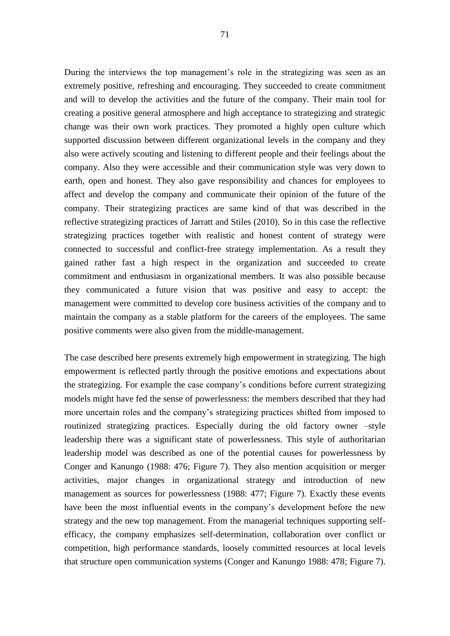During the interviews the top management's role in the strategizing was seen as an extremely positive, refreshing and encouraging. They succeeded to create commitment and will to develop the activities and the future of the company. Their main tool for creating a positive general atmosphere and high acceptance to strategizing and strategic change was their own work practices. They promoted a highly open culture which supported discussion between different organizational levels in the company and they also were actively scouting and listening to different people and their feelings about the company. Also they were accessible and their communication style was very down to earth, open and honest. They also gave responsibility and chances for employees to affect and develop the company and communicate their opinion of the future of the company. Their strategizing practices are same kind of that was described in the reflective strategizing practices of Jarratt and Stiles (2010). So in this case the reflective strategizing practices together with realistic and honest content of strategy were connected to successful and conflict-free strategy implementation. As a result they gained rather fast a high respect in the organization and succeeded to create commitment and enthusiasm in organizational members. It was also possible because they communicated a future vision that was positive and easy to accept: the management were committed to develop core business activities of the company and to maintain the company as a stable platform for the careers of the employees. The same positive comments were also given from the middle-management.

The case described here presents extremely high empowerment in strategizing. The high empowerment is reflected partly through the positive emotions and expectations about the strategizing. For example the case company's conditions before current strategizing models might have fed the sense of powerlessness: the members described that they had more uncertain roles and the company's strategizing practices shifted from imposed to routinized strategizing practices. Especially during the old factory owner –style leadership there was a significant state of powerlessness. This style of authoritarian leadership model was described as one of the potential causes for powerlessness by Conger and Kanungo (1988: 476; Figure 7). They also mention acquisition or merger activities, major changes in organizational strategy and introduction of new management as sources for powerlessness (1988: 477; Figure 7). Exactly these events have been the most influential events in the company's development before the new strategy and the new top management. From the managerial techniques supporting selfefficacy, the company emphasizes self-determination, collaboration over conflict or competition, high performance standards, loosely committed resources at local levels that structure open communication systems (Conger and Kanungo 1988: 478; Figure 7).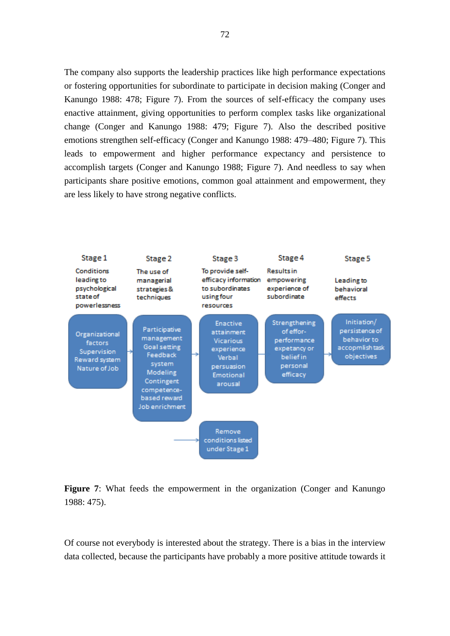The company also supports the leadership practices like high performance expectations or fostering opportunities for subordinate to participate in decision making (Conger and Kanungo 1988: 478; Figure 7). From the sources of self-efficacy the company uses enactive attainment, giving opportunities to perform complex tasks like organizational change (Conger and Kanungo 1988: 479; Figure 7). Also the described positive emotions strengthen self-efficacy (Conger and Kanungo 1988: 479–480; Figure 7). This leads to empowerment and higher performance expectancy and persistence to accomplish targets (Conger and Kanungo 1988; Figure 7). And needless to say when participants share positive emotions, common goal attainment and empowerment, they are less likely to have strong negative conflicts.





Of course not everybody is interested about the strategy. There is a bias in the interview data collected, because the participants have probably a more positive attitude towards it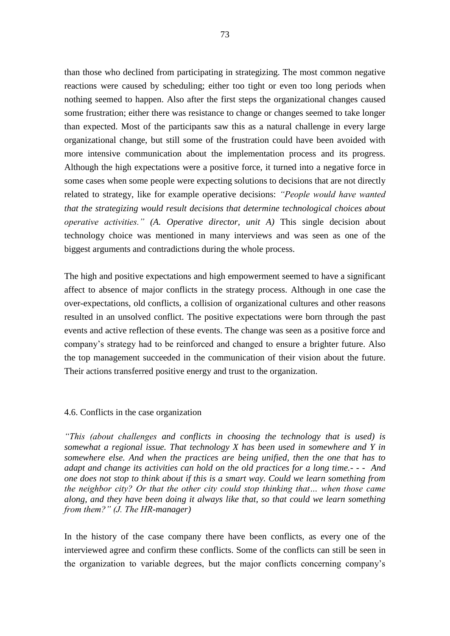than those who declined from participating in strategizing. The most common negative reactions were caused by scheduling; either too tight or even too long periods when nothing seemed to happen. Also after the first steps the organizational changes caused some frustration; either there was resistance to change or changes seemed to take longer than expected. Most of the participants saw this as a natural challenge in every large organizational change, but still some of the frustration could have been avoided with more intensive communication about the implementation process and its progress. Although the high expectations were a positive force, it turned into a negative force in some cases when some people were expecting solutions to decisions that are not directly related to strategy, like for example operative decisions: *"People would have wanted that the strategizing would result decisions that determine technological choices about operative activities." (A. Operative director, unit A)* This single decision about technology choice was mentioned in many interviews and was seen as one of the biggest arguments and contradictions during the whole process.

The high and positive expectations and high empowerment seemed to have a significant affect to absence of major conflicts in the strategy process. Although in one case the over-expectations, old conflicts, a collision of organizational cultures and other reasons resulted in an unsolved conflict. The positive expectations were born through the past events and active reflection of these events. The change was seen as a positive force and company's strategy had to be reinforced and changed to ensure a brighter future. Also the top management succeeded in the communication of their vision about the future. Their actions transferred positive energy and trust to the organization.

# 4.6. Conflicts in the case organization

*"This (about challenges and conflicts in choosing the technology that is used) is somewhat a regional issue. That technology X has been used in somewhere and Y in somewhere else. And when the practices are being unified, then the one that has to adapt and change its activities can hold on the old practices for a long time.- - - And one does not stop to think about if this is a smart way. Could we learn something from the neighbor city? Or that the other city could stop thinking that… when those came along, and they have been doing it always like that, so that could we learn something from them?" (J. The HR-manager)*

In the history of the case company there have been conflicts, as every one of the interviewed agree and confirm these conflicts. Some of the conflicts can still be seen in the organization to variable degrees, but the major conflicts concerning company's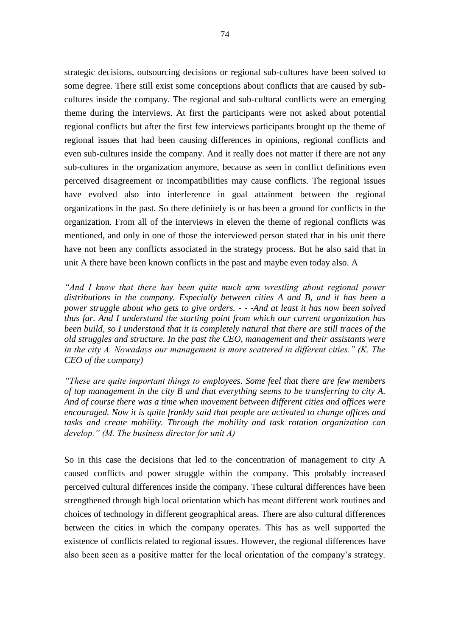strategic decisions, outsourcing decisions or regional sub-cultures have been solved to some degree. There still exist some conceptions about conflicts that are caused by subcultures inside the company. The regional and sub-cultural conflicts were an emerging theme during the interviews. At first the participants were not asked about potential regional conflicts but after the first few interviews participants brought up the theme of regional issues that had been causing differences in opinions, regional conflicts and even sub-cultures inside the company. And it really does not matter if there are not any sub-cultures in the organization anymore, because as seen in conflict definitions even perceived disagreement or incompatibilities may cause conflicts. The regional issues have evolved also into interference in goal attainment between the regional organizations in the past. So there definitely is or has been a ground for conflicts in the organization. From all of the interviews in eleven the theme of regional conflicts was mentioned, and only in one of those the interviewed person stated that in his unit there have not been any conflicts associated in the strategy process. But he also said that in unit A there have been known conflicts in the past and maybe even today also. A

*"And I know that there has been quite much arm wrestling about regional power distributions in the company. Especially between cities A and B, and it has been a power struggle about who gets to give orders. - - -And at least it has now been solved thus far. And I understand the starting point from which our current organization has been build, so I understand that it is completely natural that there are still traces of the old struggles and structure. In the past the CEO, management and their assistants were in the city A. Nowadays our management is more scattered in different cities." (K. The CEO of the company)*

*"These are quite important things to employees. Some feel that there are few members of top management in the city B and that everything seems to be transferring to city A. And of course there was a time when movement between different cities and offices were encouraged. Now it is quite frankly said that people are activated to change offices and tasks and create mobility. Through the mobility and task rotation organization can develop." (M. The business director for unit A)*

So in this case the decisions that led to the concentration of management to city A caused conflicts and power struggle within the company. This probably increased perceived cultural differences inside the company. These cultural differences have been strengthened through high local orientation which has meant different work routines and choices of technology in different geographical areas. There are also cultural differences between the cities in which the company operates. This has as well supported the existence of conflicts related to regional issues. However, the regional differences have also been seen as a positive matter for the local orientation of the company's strategy.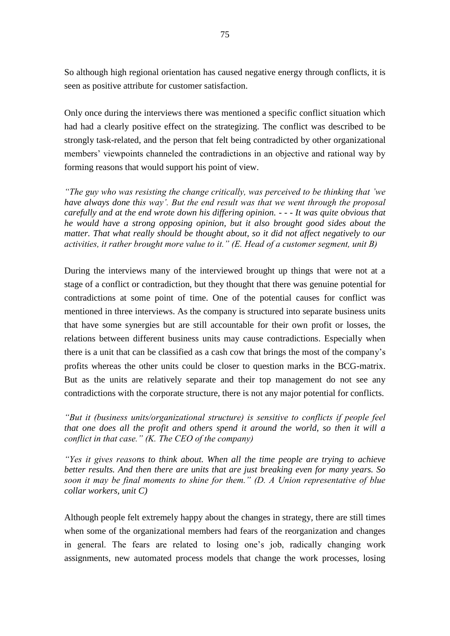So although high regional orientation has caused negative energy through conflicts, it is seen as positive attribute for customer satisfaction.

Only once during the interviews there was mentioned a specific conflict situation which had had a clearly positive effect on the strategizing. The conflict was described to be strongly task-related, and the person that felt being contradicted by other organizational members' viewpoints channeled the contradictions in an objective and rational way by forming reasons that would support his point of view.

*"The guy who was resisting the change critically, was perceived to be thinking that 'we have always done this way'. But the end result was that we went through the proposal carefully and at the end wrote down his differing opinion. - - - It was quite obvious that he would have a strong opposing opinion, but it also brought good sides about the matter. That what really should be thought about, so it did not affect negatively to our activities, it rather brought more value to it." (E. Head of a customer segment, unit B)*

During the interviews many of the interviewed brought up things that were not at a stage of a conflict or contradiction, but they thought that there was genuine potential for contradictions at some point of time. One of the potential causes for conflict was mentioned in three interviews. As the company is structured into separate business units that have some synergies but are still accountable for their own profit or losses, the relations between different business units may cause contradictions. Especially when there is a unit that can be classified as a cash cow that brings the most of the company's profits whereas the other units could be closer to question marks in the BCG-matrix. But as the units are relatively separate and their top management do not see any contradictions with the corporate structure, there is not any major potential for conflicts.

*"But it (business units/organizational structure) is sensitive to conflicts if people feel that one does all the profit and others spend it around the world, so then it will a conflict in that case." (K. The CEO of the company)*

*"Yes it gives reasons to think about. When all the time people are trying to achieve better results. And then there are units that are just breaking even for many years. So soon it may be final moments to shine for them." (D. A Union representative of blue collar workers, unit C)*

Although people felt extremely happy about the changes in strategy, there are still times when some of the organizational members had fears of the reorganization and changes in general. The fears are related to losing one's job, radically changing work assignments, new automated process models that change the work processes, losing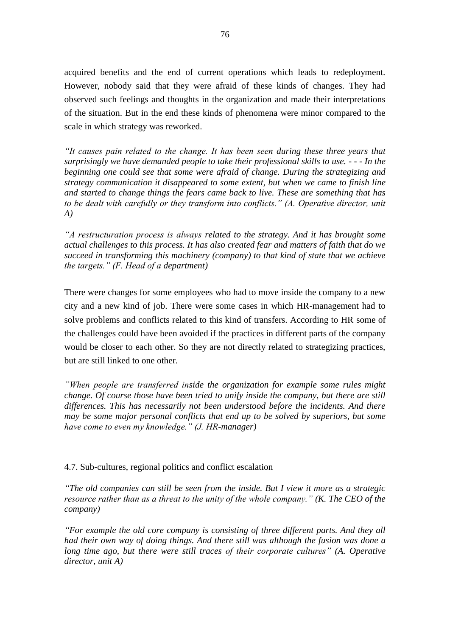acquired benefits and the end of current operations which leads to redeployment. However, nobody said that they were afraid of these kinds of changes. They had observed such feelings and thoughts in the organization and made their interpretations of the situation. But in the end these kinds of phenomena were minor compared to the scale in which strategy was reworked.

*"It causes pain related to the change. It has been seen during these three years that surprisingly we have demanded people to take their professional skills to use. - - - In the beginning one could see that some were afraid of change. During the strategizing and strategy communication it disappeared to some extent, but when we came to finish line and started to change things the fears came back to live. These are something that has to be dealt with carefully or they transform into conflicts." (A. Operative director, unit A)*

*"A restructuration process is always related to the strategy. And it has brought some actual challenges to this process. It has also created fear and matters of faith that do we succeed in transforming this machinery (company) to that kind of state that we achieve the targets." (F. Head of a department)*

There were changes for some employees who had to move inside the company to a new city and a new kind of job. There were some cases in which HR-management had to solve problems and conflicts related to this kind of transfers. According to HR some of the challenges could have been avoided if the practices in different parts of the company would be closer to each other. So they are not directly related to strategizing practices, but are still linked to one other.

*"When people are transferred inside the organization for example some rules might change. Of course those have been tried to unify inside the company, but there are still differences. This has necessarily not been understood before the incidents. And there may be some major personal conflicts that end up to be solved by superiors, but some have come to even my knowledge." (J. HR-manager)*

4.7. Sub-cultures, regional politics and conflict escalation

*"The old companies can still be seen from the inside. But I view it more as a strategic resource rather than as a threat to the unity of the whole company." (K. The CEO of the company)*

*"For example the old core company is consisting of three different parts. And they all had their own way of doing things. And there still was although the fusion was done a long time ago, but there were still traces of their corporate cultures" (A. Operative director, unit A)*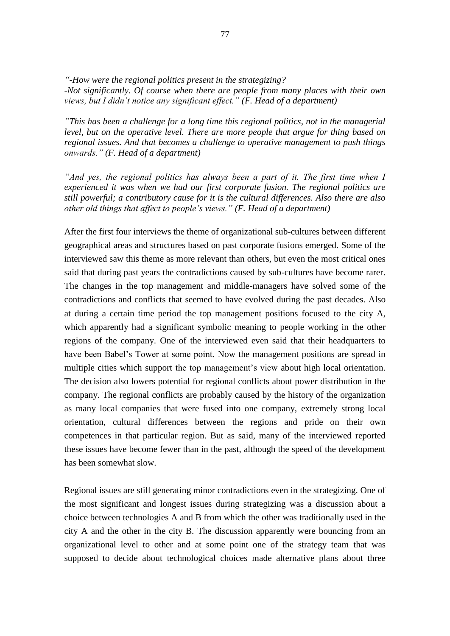*"-How were the regional politics present in the strategizing? -Not significantly. Of course when there are people from many places with their own views, but I didn't notice any significant effect." (F. Head of a department)*

*"This has been a challenge for a long time this regional politics, not in the managerial level, but on the operative level. There are more people that argue for thing based on regional issues. And that becomes a challenge to operative management to push things onwards." (F. Head of a department)*

*And yes, the regional politics has always been a part of it. The first time when I experienced it was when we had our first corporate fusion. The regional politics are still powerful; a contributory cause for it is the cultural differences. Also there are also other old things that affect to people's views." (F. Head of a department)*

After the first four interviews the theme of organizational sub-cultures between different geographical areas and structures based on past corporate fusions emerged. Some of the interviewed saw this theme as more relevant than others, but even the most critical ones said that during past years the contradictions caused by sub-cultures have become rarer. The changes in the top management and middle-managers have solved some of the contradictions and conflicts that seemed to have evolved during the past decades. Also at during a certain time period the top management positions focused to the city A, which apparently had a significant symbolic meaning to people working in the other regions of the company. One of the interviewed even said that their headquarters to have been Babel's Tower at some point. Now the management positions are spread in multiple cities which support the top management's view about high local orientation. The decision also lowers potential for regional conflicts about power distribution in the company. The regional conflicts are probably caused by the history of the organization as many local companies that were fused into one company, extremely strong local orientation, cultural differences between the regions and pride on their own competences in that particular region. But as said, many of the interviewed reported these issues have become fewer than in the past, although the speed of the development has been somewhat slow.

Regional issues are still generating minor contradictions even in the strategizing. One of the most significant and longest issues during strategizing was a discussion about a choice between technologies A and B from which the other was traditionally used in the city A and the other in the city B. The discussion apparently were bouncing from an organizational level to other and at some point one of the strategy team that was supposed to decide about technological choices made alternative plans about three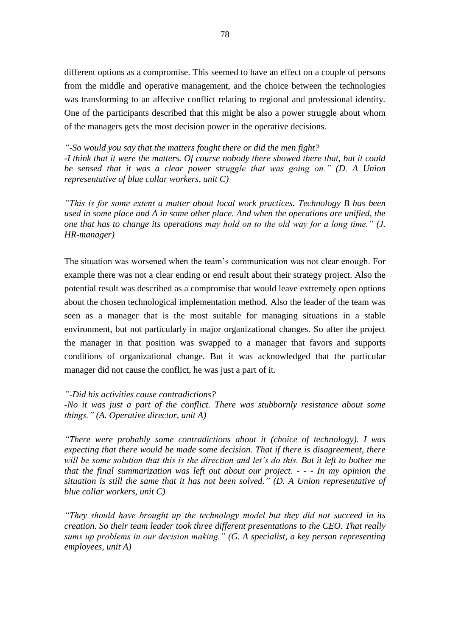different options as a compromise. This seemed to have an effect on a couple of persons from the middle and operative management, and the choice between the technologies was transforming to an affective conflict relating to regional and professional identity. One of the participants described that this might be also a power struggle about whom of the managers gets the most decision power in the operative decisions.

*"-So would you say that the matters fought there or did the men fight? -I think that it were the matters. Of course nobody there showed there that, but it could be sensed that it was a clear power struggle that was going on." (D. A Union representative of blue collar workers, unit C)*

*"This is for some extent a matter about local work practices. Technology B has been used in some place and A in some other place. And when the operations are unified, the one that has to change its operations may hold on to the old way for a long time." (J. HR-manager)*

The situation was worsened when the team's communication was not clear enough. For example there was not a clear ending or end result about their strategy project. Also the potential result was described as a compromise that would leave extremely open options about the chosen technological implementation method. Also the leader of the team was seen as a manager that is the most suitable for managing situations in a stable environment, but not particularly in major organizational changes. So after the project the manager in that position was swapped to a manager that favors and supports conditions of organizational change. But it was acknowledged that the particular manager did not cause the conflict, he was just a part of it.

*"-Did his activities cause contradictions?*

*-No it was just a part of the conflict. There was stubbornly resistance about some things." (A. Operative director, unit A)*

*"There were probably some contradictions about it (choice of technology). I was expecting that there would be made some decision. That if there is disagreement, there will be some solution that this is the direction and let's do this. But it left to bother me that the final summarization was left out about our project. - - - In my opinion the situation is still the same that it has not been solved." (D. A Union representative of blue collar workers, unit C)*

*"They should have brought up the technology model but they did not succeed in its creation. So their team leader took three different presentations to the CEO. That really sums up problems in our decision making." (G. A specialist, a key person representing employees, unit A)*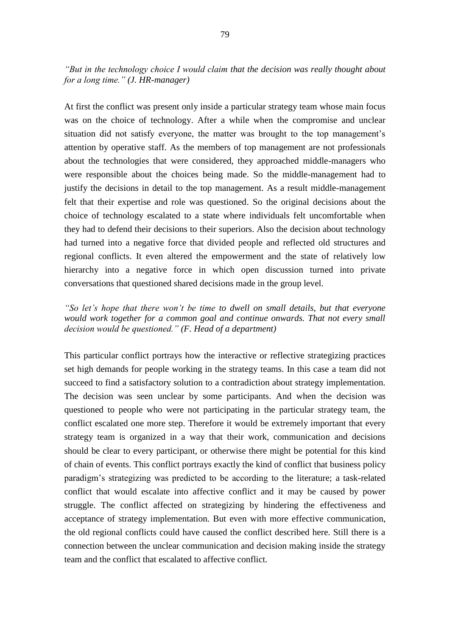*"But in the technology choice I would claim that the decision was really thought about for a long time." (J. HR-manager)*

At first the conflict was present only inside a particular strategy team whose main focus was on the choice of technology. After a while when the compromise and unclear situation did not satisfy everyone, the matter was brought to the top management's attention by operative staff. As the members of top management are not professionals about the technologies that were considered, they approached middle-managers who were responsible about the choices being made. So the middle-management had to justify the decisions in detail to the top management. As a result middle-management felt that their expertise and role was questioned. So the original decisions about the choice of technology escalated to a state where individuals felt uncomfortable when they had to defend their decisions to their superiors. Also the decision about technology had turned into a negative force that divided people and reflected old structures and regional conflicts. It even altered the empowerment and the state of relatively low hierarchy into a negative force in which open discussion turned into private conversations that questioned shared decisions made in the group level.

*"So let's hope that there won't be time to dwell on small details, but that everyone*  would work together for a common goal and continue onwards. That not every small *decision would be questioned." (F. Head of a department)*

This particular conflict portrays how the interactive or reflective strategizing practices set high demands for people working in the strategy teams. In this case a team did not succeed to find a satisfactory solution to a contradiction about strategy implementation. The decision was seen unclear by some participants. And when the decision was questioned to people who were not participating in the particular strategy team, the conflict escalated one more step. Therefore it would be extremely important that every strategy team is organized in a way that their work, communication and decisions should be clear to every participant, or otherwise there might be potential for this kind of chain of events. This conflict portrays exactly the kind of conflict that business policy paradigm's strategizing was predicted to be according to the literature; a task-related conflict that would escalate into affective conflict and it may be caused by power struggle. The conflict affected on strategizing by hindering the effectiveness and acceptance of strategy implementation. But even with more effective communication, the old regional conflicts could have caused the conflict described here. Still there is a connection between the unclear communication and decision making inside the strategy team and the conflict that escalated to affective conflict.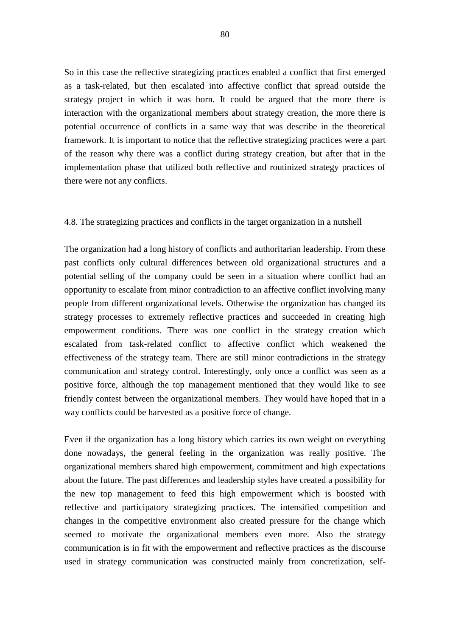So in this case the reflective strategizing practices enabled a conflict that first emerged as a task-related, but then escalated into affective conflict that spread outside the strategy project in which it was born. It could be argued that the more there is interaction with the organizational members about strategy creation, the more there is potential occurrence of conflicts in a same way that was describe in the theoretical framework. It is important to notice that the reflective strategizing practices were a part of the reason why there was a conflict during strategy creation, but after that in the implementation phase that utilized both reflective and routinized strategy practices of there were not any conflicts.

## 4.8. The strategizing practices and conflicts in the target organization in a nutshell

The organization had a long history of conflicts and authoritarian leadership. From these past conflicts only cultural differences between old organizational structures and a potential selling of the company could be seen in a situation where conflict had an opportunity to escalate from minor contradiction to an affective conflict involving many people from different organizational levels. Otherwise the organization has changed its strategy processes to extremely reflective practices and succeeded in creating high empowerment conditions. There was one conflict in the strategy creation which escalated from task-related conflict to affective conflict which weakened the effectiveness of the strategy team. There are still minor contradictions in the strategy communication and strategy control. Interestingly, only once a conflict was seen as a positive force, although the top management mentioned that they would like to see friendly contest between the organizational members. They would have hoped that in a way conflicts could be harvested as a positive force of change.

Even if the organization has a long history which carries its own weight on everything done nowadays, the general feeling in the organization was really positive. The organizational members shared high empowerment, commitment and high expectations about the future. The past differences and leadership styles have created a possibility for the new top management to feed this high empowerment which is boosted with reflective and participatory strategizing practices. The intensified competition and changes in the competitive environment also created pressure for the change which seemed to motivate the organizational members even more. Also the strategy communication is in fit with the empowerment and reflective practices as the discourse used in strategy communication was constructed mainly from concretization, self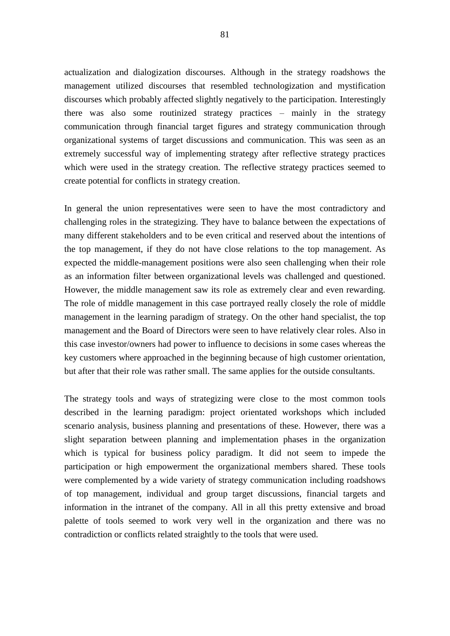actualization and dialogization discourses. Although in the strategy roadshows the management utilized discourses that resembled technologization and mystification discourses which probably affected slightly negatively to the participation. Interestingly there was also some routinized strategy practices – mainly in the strategy communication through financial target figures and strategy communication through organizational systems of target discussions and communication. This was seen as an extremely successful way of implementing strategy after reflective strategy practices which were used in the strategy creation. The reflective strategy practices seemed to create potential for conflicts in strategy creation.

In general the union representatives were seen to have the most contradictory and challenging roles in the strategizing. They have to balance between the expectations of many different stakeholders and to be even critical and reserved about the intentions of the top management, if they do not have close relations to the top management. As expected the middle-management positions were also seen challenging when their role as an information filter between organizational levels was challenged and questioned. However, the middle management saw its role as extremely clear and even rewarding. The role of middle management in this case portrayed really closely the role of middle management in the learning paradigm of strategy. On the other hand specialist, the top management and the Board of Directors were seen to have relatively clear roles. Also in this case investor/owners had power to influence to decisions in some cases whereas the key customers where approached in the beginning because of high customer orientation, but after that their role was rather small. The same applies for the outside consultants.

The strategy tools and ways of strategizing were close to the most common tools described in the learning paradigm: project orientated workshops which included scenario analysis, business planning and presentations of these. However, there was a slight separation between planning and implementation phases in the organization which is typical for business policy paradigm. It did not seem to impede the participation or high empowerment the organizational members shared. These tools were complemented by a wide variety of strategy communication including roadshows of top management, individual and group target discussions, financial targets and information in the intranet of the company. All in all this pretty extensive and broad palette of tools seemed to work very well in the organization and there was no contradiction or conflicts related straightly to the tools that were used.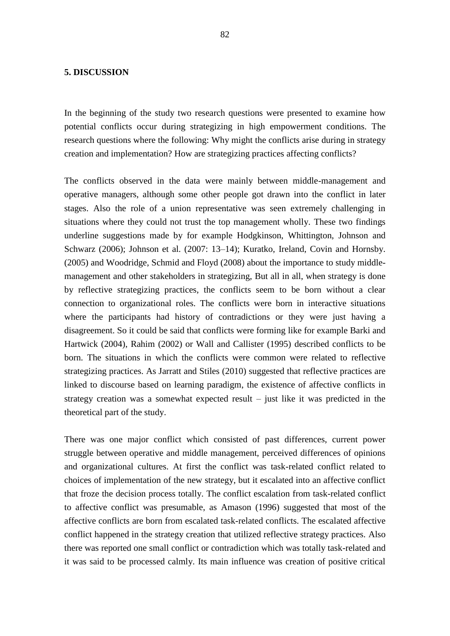### **5. DISCUSSION**

In the beginning of the study two research questions were presented to examine how potential conflicts occur during strategizing in high empowerment conditions. The research questions where the following: Why might the conflicts arise during in strategy creation and implementation? How are strategizing practices affecting conflicts?

The conflicts observed in the data were mainly between middle-management and operative managers, although some other people got drawn into the conflict in later stages. Also the role of a union representative was seen extremely challenging in situations where they could not trust the top management wholly. These two findings underline suggestions made by for example Hodgkinson, Whittington, Johnson and Schwarz (2006); Johnson et al. (2007: 13–14); Kuratko, Ireland, Covin and Hornsby. (2005) and Woodridge, Schmid and Floyd (2008) about the importance to study middlemanagement and other stakeholders in strategizing, But all in all, when strategy is done by reflective strategizing practices, the conflicts seem to be born without a clear connection to organizational roles. The conflicts were born in interactive situations where the participants had history of contradictions or they were just having a disagreement. So it could be said that conflicts were forming like for example Barki and Hartwick (2004), Rahim (2002) or Wall and Callister (1995) described conflicts to be born. The situations in which the conflicts were common were related to reflective strategizing practices. As Jarratt and Stiles (2010) suggested that reflective practices are linked to discourse based on learning paradigm, the existence of affective conflicts in strategy creation was a somewhat expected result – just like it was predicted in the theoretical part of the study.

There was one major conflict which consisted of past differences, current power struggle between operative and middle management, perceived differences of opinions and organizational cultures. At first the conflict was task-related conflict related to choices of implementation of the new strategy, but it escalated into an affective conflict that froze the decision process totally. The conflict escalation from task-related conflict to affective conflict was presumable, as Amason (1996) suggested that most of the affective conflicts are born from escalated task-related conflicts. The escalated affective conflict happened in the strategy creation that utilized reflective strategy practices. Also there was reported one small conflict or contradiction which was totally task-related and it was said to be processed calmly. Its main influence was creation of positive critical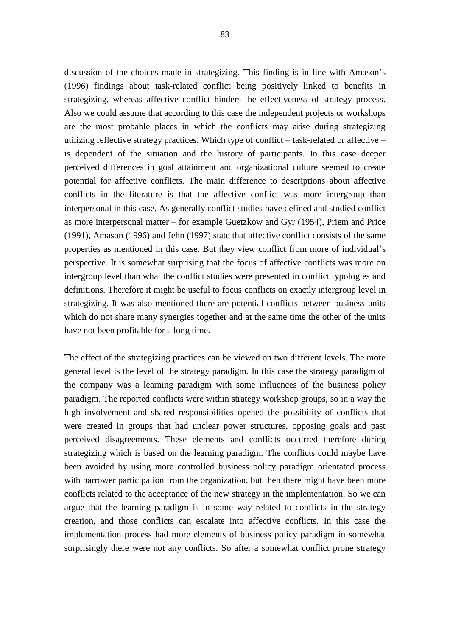discussion of the choices made in strategizing. This finding is in line with Amason's (1996) findings about task-related conflict being positively linked to benefits in strategizing, whereas affective conflict hinders the effectiveness of strategy process. Also we could assume that according to this case the independent projects or workshops are the most probable places in which the conflicts may arise during strategizing utilizing reflective strategy practices. Which type of conflict – task-related or affective – is dependent of the situation and the history of participants. In this case deeper perceived differences in goal attainment and organizational culture seemed to create potential for affective conflicts. The main difference to descriptions about affective conflicts in the literature is that the affective conflict was more intergroup than interpersonal in this case. As generally conflict studies have defined and studied conflict as more interpersonal matter – for example Guetzkow and Gyr (1954), Priem and Price (1991), Amason (1996) and Jehn (1997) state that affective conflict consists of the same properties as mentioned in this case. But they view conflict from more of individual's perspective. It is somewhat surprising that the focus of affective conflicts was more on intergroup level than what the conflict studies were presented in conflict typologies and definitions. Therefore it might be useful to focus conflicts on exactly intergroup level in strategizing. It was also mentioned there are potential conflicts between business units which do not share many synergies together and at the same time the other of the units have not been profitable for a long time.

The effect of the strategizing practices can be viewed on two different levels. The more general level is the level of the strategy paradigm. In this case the strategy paradigm of the company was a learning paradigm with some influences of the business policy paradigm. The reported conflicts were within strategy workshop groups, so in a way the high involvement and shared responsibilities opened the possibility of conflicts that were created in groups that had unclear power structures, opposing goals and past perceived disagreements. These elements and conflicts occurred therefore during strategizing which is based on the learning paradigm. The conflicts could maybe have been avoided by using more controlled business policy paradigm orientated process with narrower participation from the organization, but then there might have been more conflicts related to the acceptance of the new strategy in the implementation. So we can argue that the learning paradigm is in some way related to conflicts in the strategy creation, and those conflicts can escalate into affective conflicts. In this case the implementation process had more elements of business policy paradigm in somewhat surprisingly there were not any conflicts. So after a somewhat conflict prone strategy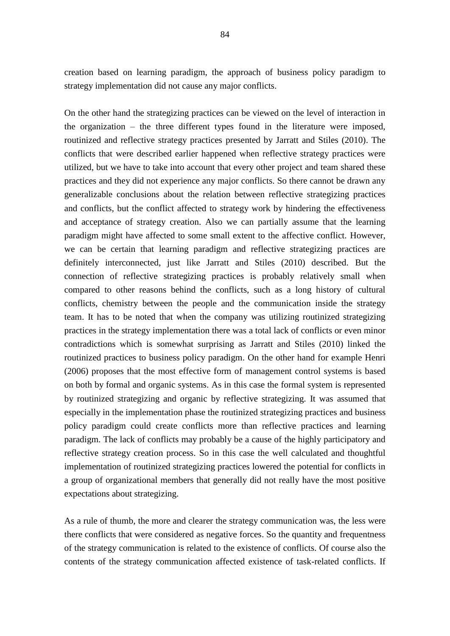creation based on learning paradigm, the approach of business policy paradigm to strategy implementation did not cause any major conflicts.

On the other hand the strategizing practices can be viewed on the level of interaction in the organization – the three different types found in the literature were imposed, routinized and reflective strategy practices presented by Jarratt and Stiles (2010). The conflicts that were described earlier happened when reflective strategy practices were utilized, but we have to take into account that every other project and team shared these practices and they did not experience any major conflicts. So there cannot be drawn any generalizable conclusions about the relation between reflective strategizing practices and conflicts, but the conflict affected to strategy work by hindering the effectiveness and acceptance of strategy creation. Also we can partially assume that the learning paradigm might have affected to some small extent to the affective conflict. However, we can be certain that learning paradigm and reflective strategizing practices are definitely interconnected, just like Jarratt and Stiles (2010) described. But the connection of reflective strategizing practices is probably relatively small when compared to other reasons behind the conflicts, such as a long history of cultural conflicts, chemistry between the people and the communication inside the strategy team. It has to be noted that when the company was utilizing routinized strategizing practices in the strategy implementation there was a total lack of conflicts or even minor contradictions which is somewhat surprising as Jarratt and Stiles (2010) linked the routinized practices to business policy paradigm. On the other hand for example Henri (2006) proposes that the most effective form of management control systems is based on both by formal and organic systems. As in this case the formal system is represented by routinized strategizing and organic by reflective strategizing. It was assumed that especially in the implementation phase the routinized strategizing practices and business policy paradigm could create conflicts more than reflective practices and learning paradigm. The lack of conflicts may probably be a cause of the highly participatory and reflective strategy creation process. So in this case the well calculated and thoughtful implementation of routinized strategizing practices lowered the potential for conflicts in a group of organizational members that generally did not really have the most positive expectations about strategizing.

As a rule of thumb, the more and clearer the strategy communication was, the less were there conflicts that were considered as negative forces. So the quantity and frequentness of the strategy communication is related to the existence of conflicts. Of course also the contents of the strategy communication affected existence of task-related conflicts. If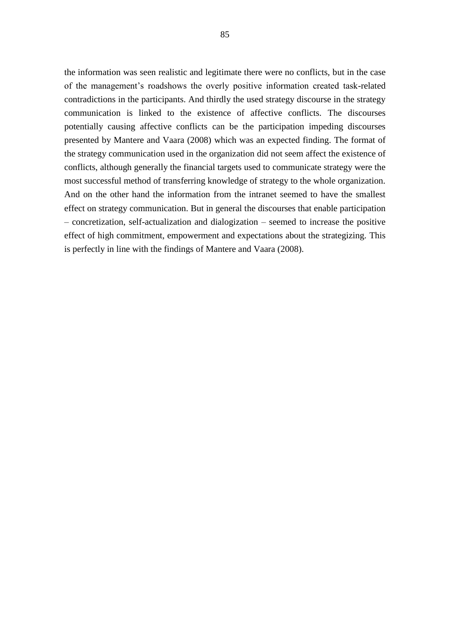the information was seen realistic and legitimate there were no conflicts, but in the case of the management's roadshows the overly positive information created task-related contradictions in the participants. And thirdly the used strategy discourse in the strategy communication is linked to the existence of affective conflicts. The discourses potentially causing affective conflicts can be the participation impeding discourses presented by Mantere and Vaara (2008) which was an expected finding. The format of the strategy communication used in the organization did not seem affect the existence of conflicts, although generally the financial targets used to communicate strategy were the most successful method of transferring knowledge of strategy to the whole organization. And on the other hand the information from the intranet seemed to have the smallest effect on strategy communication. But in general the discourses that enable participation – concretization, self-actualization and dialogization – seemed to increase the positive effect of high commitment, empowerment and expectations about the strategizing. This is perfectly in line with the findings of Mantere and Vaara (2008).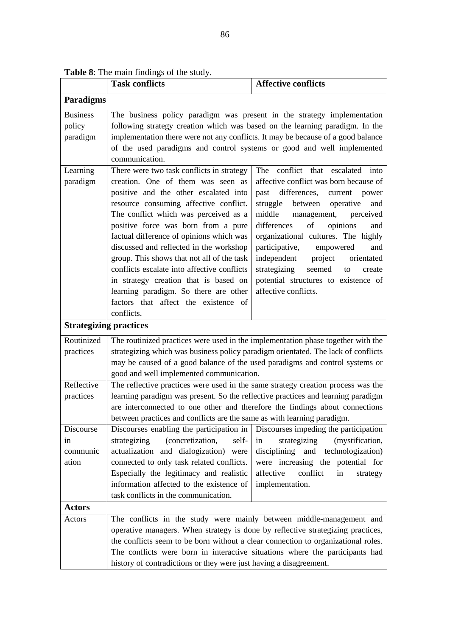|  |  |  | <b>Table 8:</b> The main findings of the study. |  |  |
|--|--|--|-------------------------------------------------|--|--|
|--|--|--|-------------------------------------------------|--|--|

|                                       | <b>Task conflicts</b>                                                                                                                                                                                                                                                                                                                                                                                                                                                                                                                                                         | <b>Affective conflicts</b>                                                                                                                                                                                                                                                                                                                                                                                                                                               |  |  |  |  |
|---------------------------------------|-------------------------------------------------------------------------------------------------------------------------------------------------------------------------------------------------------------------------------------------------------------------------------------------------------------------------------------------------------------------------------------------------------------------------------------------------------------------------------------------------------------------------------------------------------------------------------|--------------------------------------------------------------------------------------------------------------------------------------------------------------------------------------------------------------------------------------------------------------------------------------------------------------------------------------------------------------------------------------------------------------------------------------------------------------------------|--|--|--|--|
| Paradigms                             |                                                                                                                                                                                                                                                                                                                                                                                                                                                                                                                                                                               |                                                                                                                                                                                                                                                                                                                                                                                                                                                                          |  |  |  |  |
| <b>Business</b><br>policy<br>paradigm | The business policy paradigm was present in the strategy implementation<br>following strategy creation which was based on the learning paradigm. In the<br>implementation there were not any conflicts. It may be because of a good balance<br>of the used paradigms and control systems or good and well implemented<br>communication.                                                                                                                                                                                                                                       |                                                                                                                                                                                                                                                                                                                                                                                                                                                                          |  |  |  |  |
| Learning<br>paradigm                  | There were two task conflicts in strategy<br>creation. One of them was seen as<br>positive and the other escalated into<br>resource consuming affective conflict.<br>The conflict which was perceived as a<br>positive force was born from a pure<br>factual difference of opinions which was<br>discussed and reflected in the workshop<br>group. This shows that not all of the task<br>conflicts escalate into affective conflicts<br>in strategy creation that is based on<br>learning paradigm. So there are other<br>factors that affect the existence of<br>conflicts. | The conflict that escalated<br>into<br>affective conflict was born because of<br>past differences,<br>current<br>power<br>struggle<br>between operative<br>and<br>middle<br>perceived<br>management,<br>of<br>differences<br>opinions<br>and<br>organizational cultures. The highly<br>participative,<br>empowered<br>and<br>independent project<br>orientated<br>strategizing<br>seemed<br>to<br>create<br>potential structures to existence of<br>affective conflicts. |  |  |  |  |
|                                       | <b>Strategizing practices</b>                                                                                                                                                                                                                                                                                                                                                                                                                                                                                                                                                 |                                                                                                                                                                                                                                                                                                                                                                                                                                                                          |  |  |  |  |
| Routinized<br>practices               | The routinized practices were used in the implementation phase together with the<br>strategizing which was business policy paradigm orientated. The lack of conflicts<br>may be caused of a good balance of the used paradigms and control systems or<br>good and well implemented communication.                                                                                                                                                                                                                                                                             |                                                                                                                                                                                                                                                                                                                                                                                                                                                                          |  |  |  |  |
| Reflective<br>practices               | The reflective practices were used in the same strategy creation process was the<br>learning paradigm was present. So the reflective practices and learning paradigm<br>are interconnected to one other and therefore the findings about connections<br>between practices and conflicts are the same as with learning paradigm.                                                                                                                                                                                                                                               |                                                                                                                                                                                                                                                                                                                                                                                                                                                                          |  |  |  |  |
| Discourse<br>in<br>communic<br>ation  | Discourses enabling the participation in<br>(concretization,<br>strategizing<br>self-<br>actualization and dialogization) were<br>connected to only task related conflicts.<br>Especially the legitimacy and realistic<br>information affected to the existence of<br>task conflicts in the communication.                                                                                                                                                                                                                                                                    | Discourses impeding the participation<br>strategizing<br>(mystification,<br>in<br>disciplining<br>and<br>technologization)<br>were increasing the potential for<br>affective<br>conflict<br>in<br>strategy<br>implementation.                                                                                                                                                                                                                                            |  |  |  |  |
| Actors                                |                                                                                                                                                                                                                                                                                                                                                                                                                                                                                                                                                                               |                                                                                                                                                                                                                                                                                                                                                                                                                                                                          |  |  |  |  |
| Actors                                | The conflicts in the study were mainly between middle-management and<br>operative managers. When strategy is done by reflective strategizing practices,<br>the conflicts seem to be born without a clear connection to organizational roles.<br>The conflicts were born in interactive situations where the participants had<br>history of contradictions or they were just having a disagreement.                                                                                                                                                                            |                                                                                                                                                                                                                                                                                                                                                                                                                                                                          |  |  |  |  |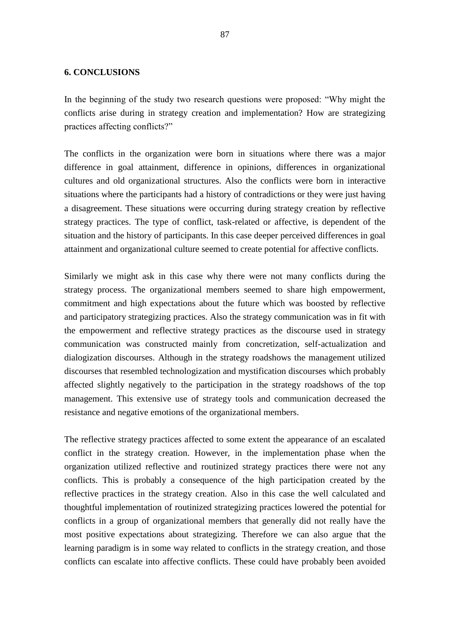## **6. CONCLUSIONS**

In the beginning of the study two research questions were proposed: "Why might the conflicts arise during in strategy creation and implementation? How are strategizing practices affecting conflicts?"

The conflicts in the organization were born in situations where there was a major difference in goal attainment, difference in opinions, differences in organizational cultures and old organizational structures. Also the conflicts were born in interactive situations where the participants had a history of contradictions or they were just having a disagreement. These situations were occurring during strategy creation by reflective strategy practices. The type of conflict, task-related or affective, is dependent of the situation and the history of participants. In this case deeper perceived differences in goal attainment and organizational culture seemed to create potential for affective conflicts.

Similarly we might ask in this case why there were not many conflicts during the strategy process. The organizational members seemed to share high empowerment, commitment and high expectations about the future which was boosted by reflective and participatory strategizing practices. Also the strategy communication was in fit with the empowerment and reflective strategy practices as the discourse used in strategy communication was constructed mainly from concretization, self-actualization and dialogization discourses. Although in the strategy roadshows the management utilized discourses that resembled technologization and mystification discourses which probably affected slightly negatively to the participation in the strategy roadshows of the top management. This extensive use of strategy tools and communication decreased the resistance and negative emotions of the organizational members.

The reflective strategy practices affected to some extent the appearance of an escalated conflict in the strategy creation. However, in the implementation phase when the organization utilized reflective and routinized strategy practices there were not any conflicts. This is probably a consequence of the high participation created by the reflective practices in the strategy creation. Also in this case the well calculated and thoughtful implementation of routinized strategizing practices lowered the potential for conflicts in a group of organizational members that generally did not really have the most positive expectations about strategizing. Therefore we can also argue that the learning paradigm is in some way related to conflicts in the strategy creation, and those conflicts can escalate into affective conflicts. These could have probably been avoided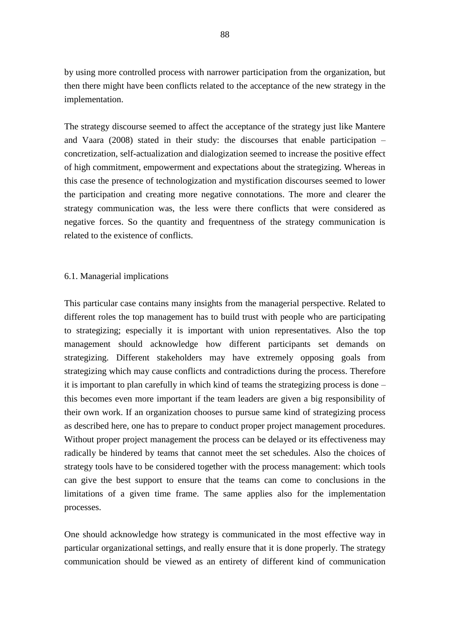by using more controlled process with narrower participation from the organization, but then there might have been conflicts related to the acceptance of the new strategy in the implementation.

The strategy discourse seemed to affect the acceptance of the strategy just like Mantere and Vaara (2008) stated in their study: the discourses that enable participation – concretization, self-actualization and dialogization seemed to increase the positive effect of high commitment, empowerment and expectations about the strategizing. Whereas in this case the presence of technologization and mystification discourses seemed to lower the participation and creating more negative connotations. The more and clearer the strategy communication was, the less were there conflicts that were considered as negative forces. So the quantity and frequentness of the strategy communication is related to the existence of conflicts.

### 6.1. Managerial implications

This particular case contains many insights from the managerial perspective. Related to different roles the top management has to build trust with people who are participating to strategizing; especially it is important with union representatives. Also the top management should acknowledge how different participants set demands on strategizing. Different stakeholders may have extremely opposing goals from strategizing which may cause conflicts and contradictions during the process. Therefore it is important to plan carefully in which kind of teams the strategizing process is done – this becomes even more important if the team leaders are given a big responsibility of their own work. If an organization chooses to pursue same kind of strategizing process as described here, one has to prepare to conduct proper project management procedures. Without proper project management the process can be delayed or its effectiveness may radically be hindered by teams that cannot meet the set schedules. Also the choices of strategy tools have to be considered together with the process management: which tools can give the best support to ensure that the teams can come to conclusions in the limitations of a given time frame. The same applies also for the implementation processes.

One should acknowledge how strategy is communicated in the most effective way in particular organizational settings, and really ensure that it is done properly. The strategy communication should be viewed as an entirety of different kind of communication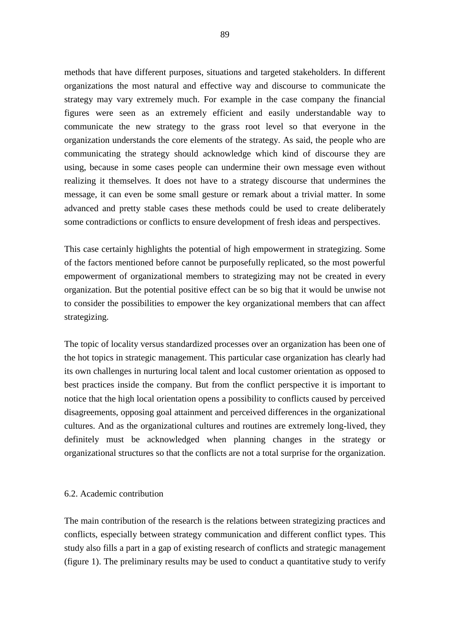methods that have different purposes, situations and targeted stakeholders. In different organizations the most natural and effective way and discourse to communicate the strategy may vary extremely much. For example in the case company the financial figures were seen as an extremely efficient and easily understandable way to communicate the new strategy to the grass root level so that everyone in the organization understands the core elements of the strategy. As said, the people who are communicating the strategy should acknowledge which kind of discourse they are using, because in some cases people can undermine their own message even without realizing it themselves. It does not have to a strategy discourse that undermines the message, it can even be some small gesture or remark about a trivial matter. In some advanced and pretty stable cases these methods could be used to create deliberately some contradictions or conflicts to ensure development of fresh ideas and perspectives.

This case certainly highlights the potential of high empowerment in strategizing. Some of the factors mentioned before cannot be purposefully replicated, so the most powerful empowerment of organizational members to strategizing may not be created in every organization. But the potential positive effect can be so big that it would be unwise not to consider the possibilities to empower the key organizational members that can affect strategizing.

The topic of locality versus standardized processes over an organization has been one of the hot topics in strategic management. This particular case organization has clearly had its own challenges in nurturing local talent and local customer orientation as opposed to best practices inside the company. But from the conflict perspective it is important to notice that the high local orientation opens a possibility to conflicts caused by perceived disagreements, opposing goal attainment and perceived differences in the organizational cultures. And as the organizational cultures and routines are extremely long-lived, they definitely must be acknowledged when planning changes in the strategy or organizational structures so that the conflicts are not a total surprise for the organization.

## 6.2. Academic contribution

The main contribution of the research is the relations between strategizing practices and conflicts, especially between strategy communication and different conflict types. This study also fills a part in a gap of existing research of conflicts and strategic management (figure 1). The preliminary results may be used to conduct a quantitative study to verify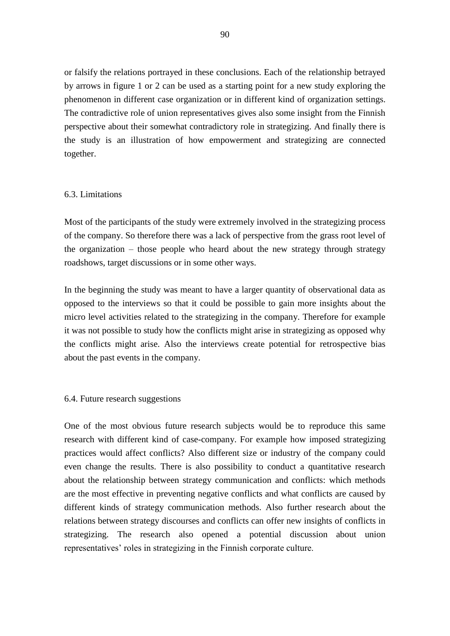or falsify the relations portrayed in these conclusions. Each of the relationship betrayed by arrows in figure 1 or 2 can be used as a starting point for a new study exploring the phenomenon in different case organization or in different kind of organization settings. The contradictive role of union representatives gives also some insight from the Finnish perspective about their somewhat contradictory role in strategizing. And finally there is the study is an illustration of how empowerment and strategizing are connected together.

# 6.3. Limitations

Most of the participants of the study were extremely involved in the strategizing process of the company. So therefore there was a lack of perspective from the grass root level of the organization – those people who heard about the new strategy through strategy roadshows, target discussions or in some other ways.

In the beginning the study was meant to have a larger quantity of observational data as opposed to the interviews so that it could be possible to gain more insights about the micro level activities related to the strategizing in the company. Therefore for example it was not possible to study how the conflicts might arise in strategizing as opposed why the conflicts might arise. Also the interviews create potential for retrospective bias about the past events in the company.

## 6.4. Future research suggestions

One of the most obvious future research subjects would be to reproduce this same research with different kind of case-company. For example how imposed strategizing practices would affect conflicts? Also different size or industry of the company could even change the results. There is also possibility to conduct a quantitative research about the relationship between strategy communication and conflicts: which methods are the most effective in preventing negative conflicts and what conflicts are caused by different kinds of strategy communication methods. Also further research about the relations between strategy discourses and conflicts can offer new insights of conflicts in strategizing. The research also opened a potential discussion about union representatives' roles in strategizing in the Finnish corporate culture.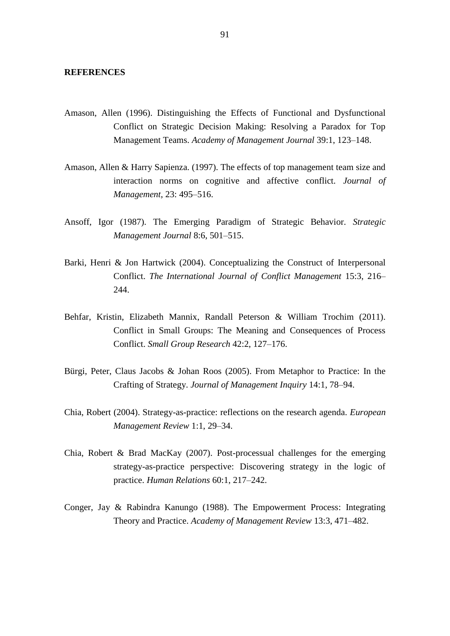#### **REFERENCES**

- Amason, Allen (1996). Distinguishing the Effects of Functional and Dysfunctional Conflict on Strategic Decision Making: Resolving a Paradox for Top Management Teams. *Academy of Management Journal* 39:1, 123–148.
- Amason, Allen & Harry Sapienza. (1997). The effects of top management team size and interaction norms on cognitive and affective conflict. *Journal of Management*, 23: 495–516.
- Ansoff, Igor (1987). The Emerging Paradigm of Strategic Behavior. *Strategic Management Journal* 8:6, 501–515.
- Barki, Henri & Jon Hartwick (2004). Conceptualizing the Construct of Interpersonal Conflict. *The International Journal of Conflict Management* 15:3, 216– 244.
- Behfar, Kristin, Elizabeth Mannix, Randall Peterson & William Trochim (2011). Conflict in Small Groups: The Meaning and Consequences of Process Conflict. *Small Group Research* 42:2, 127–176.
- Bürgi, Peter, Claus Jacobs & Johan Roos (2005). From Metaphor to Practice: In the Crafting of Strategy. *Journal of Management Inquiry* 14:1, 78–94.
- Chia, Robert (2004). Strategy-as-practice: reflections on the research agenda. *European Management Review* 1:1, 29–34.
- Chia, Robert & Brad MacKay (2007). Post-processual challenges for the emerging strategy-as-practice perspective: Discovering strategy in the logic of practice. *Human Relations* 60:1, 217–242.
- Conger, Jay & Rabindra Kanungo (1988). The Empowerment Process: Integrating Theory and Practice. *Academy of Management Review* 13:3, 471–482.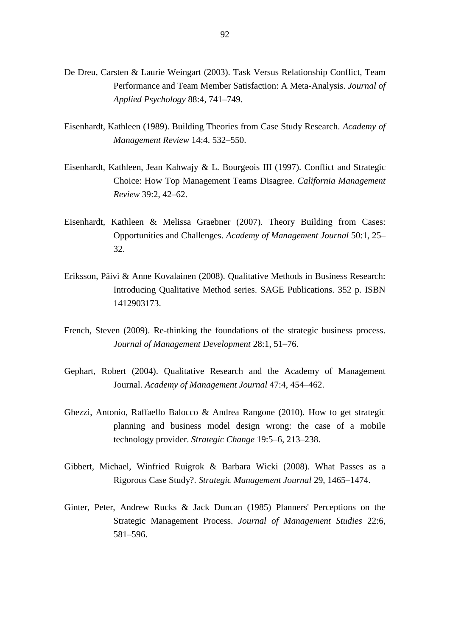- De Dreu, Carsten & Laurie Weingart (2003). Task Versus Relationship Conflict, Team Performance and Team Member Satisfaction: A Meta-Analysis. *Journal of Applied Psychology* 88:4, 741–749.
- Eisenhardt, Kathleen (1989). Building Theories from Case Study Research. *Academy of Management Review* 14:4. 532–550.
- Eisenhardt, Kathleen, Jean Kahwajy & L. Bourgeois III (1997). Conflict and Strategic Choice: How Top Management Teams Disagree. *California Management Review* 39:2, 42–62.
- Eisenhardt, Kathleen & Melissa Graebner (2007). Theory Building from Cases: Opportunities and Challenges. *Academy of Management Journal* 50:1, 25– 32.
- Eriksson, Päivi & Anne Kovalainen (2008). Qualitative Methods in Business Research: Introducing Qualitative Method series. SAGE Publications. 352 p. ISBN 1412903173.
- French, Steven (2009). Re-thinking the foundations of the strategic business process. *Journal of Management Development* 28:1, 51–76.
- Gephart, Robert (2004). Qualitative Research and the Academy of Management Journal. *Academy of Management Journal* 47:4, 454–462.
- Ghezzi, Antonio, Raffaello Balocco & Andrea Rangone (2010). How to get strategic planning and business model design wrong: the case of a mobile technology provider. *Strategic Change* 19:5–6, 213–238.
- Gibbert, Michael, Winfried Ruigrok & Barbara Wicki (2008). What Passes as a Rigorous Case Study?. *Strategic Management Journal* 29, 1465–1474.
- Ginter, Peter, Andrew Rucks & Jack Duncan (1985) Planners' Perceptions on the Strategic Management Process. *Journal of Management Studies* 22:6, 581–596.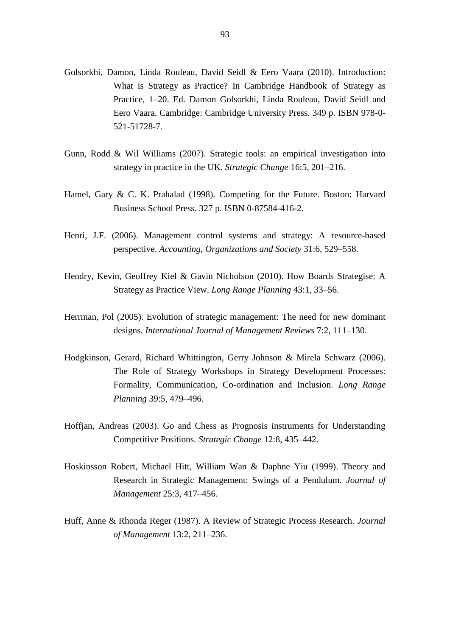- Golsorkhi, Damon, Linda Rouleau, David Seidl & Eero Vaara (2010). Introduction: What is Strategy as Practice? In Cambridge Handbook of Strategy as Practice, 1–20. Ed. Damon Golsorkhi, Linda Rouleau, David Seidl and Eero Vaara. Cambridge: Cambridge University Press. 349 p. ISBN 978-0- 521-51728-7.
- Gunn, Rodd & Wil Williams (2007). Strategic tools: an empirical investigation into strategy in practice in the UK. *Strategic Change* 16:5, 201–216.
- Hamel, Gary & C. K. Prahalad (1998). Competing for the Future. Boston: Harvard Business School Press. 327 p. ISBN 0-87584-416-2.
- Henri, J.F. (2006). Management control systems and strategy: A resource-based perspective. *Accounting, Organizations and Society* 31:6, 529–558.
- Hendry, Kevin, Geoffrey Kiel & Gavin Nicholson (2010). How Boards Strategise: A Strategy as Practice View. *Long Range Planning* 43:1, 33–56.
- Herrman, Pol (2005). Evolution of strategic management: The need for new dominant designs*. International Journal of Management Reviews* 7:2, 111–130.
- Hodgkinson, Gerard, Richard Whittington, Gerry Johnson & Mirela Schwarz (2006). The Role of Strategy Workshops in Strategy Development Processes: Formality, Communication, Co-ordination and Inclusion. *Long Range Planning* 39:5, 479–496.
- Hoffjan, Andreas (2003). Go and Chess as Prognosis instruments for Understanding Competitive Positions. *Strategic Change* 12:8, 435–442.
- Hoskinsson Robert, Michael Hitt, William Wan & Daphne Yiu (1999). Theory and Research in Strategic Management: Swings of a Pendulum. *Journal of Management* 25:3, 417–456.
- Huff, Anne & Rhonda Reger (1987). A Review of Strategic Process Research. *Journal of Management* 13:2, 211–236.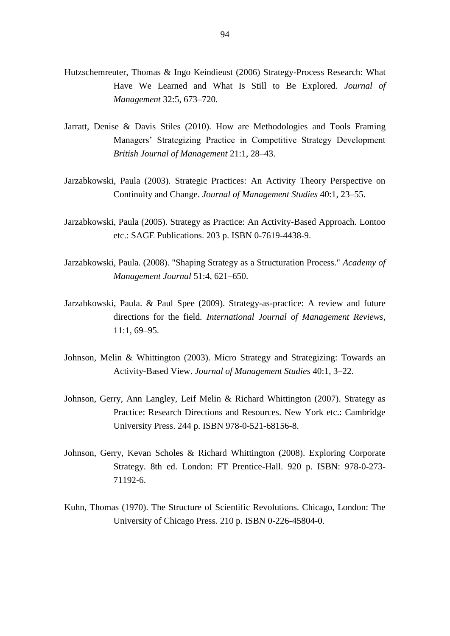- Hutzschemreuter, Thomas & Ingo Keindieust (2006) Strategy-Process Research: What Have We Learned and What Is Still to Be Explored. *Journal of Management* 32:5, 673–720.
- Jarratt, Denise & Davis Stiles (2010). How are Methodologies and Tools Framing Managers' Strategizing Practice in Competitive Strategy Development *British Journal of Management* 21:1, 28–43.
- Jarzabkowski, Paula (2003). Strategic Practices: An Activity Theory Perspective on Continuity and Change. *Journal of Management Studies* 40:1, 23–55.
- Jarzabkowski, Paula (2005). Strategy as Practice: An Activity-Based Approach. Lontoo etc.: SAGE Publications. 203 p. ISBN 0-7619-4438-9.
- Jarzabkowski, Paula. (2008). "Shaping Strategy as a Structuration Process." *Academy of Management Journal* 51:4, 621–650.
- Jarzabkowski, Paula. & Paul Spee (2009). Strategy-as-practice: A review and future directions for the field*. International Journal of Management Reviews*, 11:1, 69–95.
- Johnson, Melin & Whittington (2003). Micro Strategy and Strategizing: Towards an Activity-Based View. *Journal of Management Studies* 40:1, 3–22.
- Johnson, Gerry, Ann Langley, Leif Melin & Richard Whittington (2007). Strategy as Practice: Research Directions and Resources. New York etc.: Cambridge University Press. 244 p. ISBN 978-0-521-68156-8.
- Johnson, Gerry, Kevan Scholes & Richard Whittington (2008). Exploring Corporate Strategy. 8th ed. London: FT Prentice-Hall. 920 p. ISBN: 978-0-273- 71192-6.
- Kuhn, Thomas (1970). The Structure of Scientific Revolutions. Chicago, London: The University of Chicago Press. 210 p. ISBN 0-226-45804-0.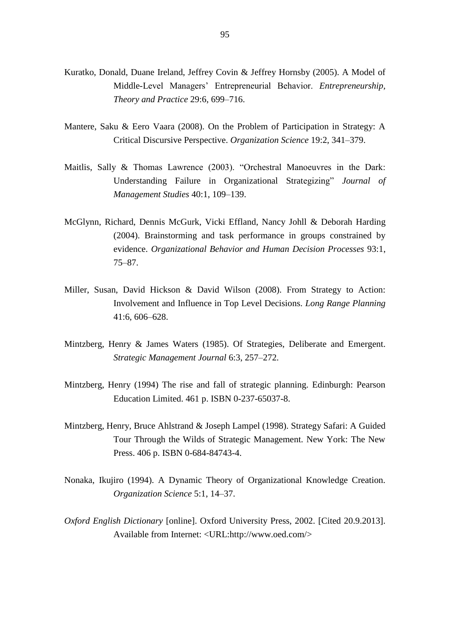- Kuratko, Donald, Duane Ireland, Jeffrey Covin & Jeffrey Hornsby (2005). A Model of Middle-Level Managers' Entrepreneurial Behavior. *Entrepreneurship, Theory and Practice* 29:6, 699–716.
- Mantere, Saku & Eero Vaara (2008). On the Problem of Participation in Strategy: A Critical Discursive Perspective. *Organization Science* 19:2, 341–379.
- Maitlis, Sally & Thomas Lawrence (2003). "Orchestral Manoeuvres in the Dark: Understanding Failure in Organizational Strategizing" *Journal of Management Studies* 40:1, 109–139.
- McGlynn, Richard, Dennis McGurk, Vicki Effland, Nancy Johll & Deborah Harding (2004). Brainstorming and task performance in groups constrained by evidence. *Organizational Behavior and Human Decision Processes* 93:1, 75–87.
- Miller, Susan, David Hickson & David Wilson (2008). From Strategy to Action: Involvement and Influence in Top Level Decisions. *Long Range Planning* 41:6, 606–628.
- Mintzberg, Henry & James Waters (1985). Of Strategies, Deliberate and Emergent. *Strategic Management Journal* 6:3, 257–272.
- Mintzberg, Henry (1994) The rise and fall of strategic planning. Edinburgh: Pearson Education Limited. 461 p. ISBN 0-237-65037-8.
- Mintzberg, Henry, Bruce Ahlstrand & Joseph Lampel (1998). Strategy Safari: A Guided Tour Through the Wilds of Strategic Management. New York: The New Press. 406 p. ISBN 0-684-84743-4.
- Nonaka, Ikujiro (1994). A Dynamic Theory of Organizational Knowledge Creation. *Organization Science* 5:1, 14–37.
- *Oxford English Dictionary* [online]. Oxford University Press, 2002. [Cited 20.9.2013]. Available from Internet: <URL:http://www.oed.com/>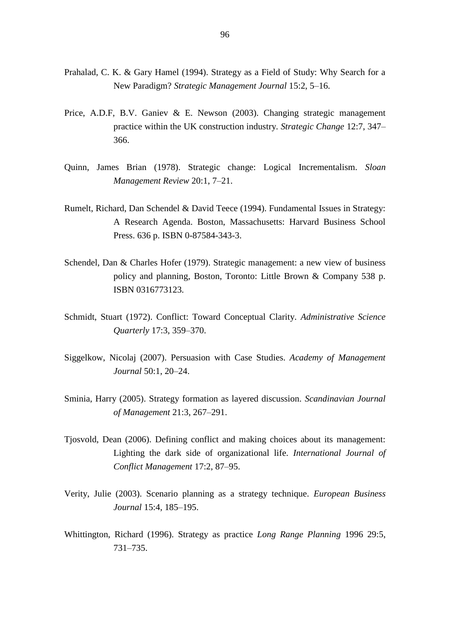- Prahalad, C. K. & Gary Hamel (1994). Strategy as a Field of Study: Why Search for a New Paradigm? *Strategic Management Journal* 15:2, 5–16.
- Price, A.D.F, B.V. Ganiev & E. Newson (2003). Changing strategic management practice within the UK construction industry. *Strategic Change* 12:7, 347– 366.
- Quinn, James Brian (1978). Strategic change: Logical Incrementalism. *Sloan Management Review* 20:1, 7–21.
- Rumelt, Richard, Dan Schendel & David Teece (1994). Fundamental Issues in Strategy: A Research Agenda. Boston, Massachusetts: Harvard Business School Press. 636 p. ISBN 0-87584-343-3.
- Schendel, Dan & Charles Hofer (1979). Strategic management: a new view of business policy and planning, Boston, Toronto: Little Brown & Company 538 p. ISBN 0316773123.
- Schmidt, Stuart (1972). Conflict: Toward Conceptual Clarity. *Administrative Science Quarterly* 17:3, 359–370.
- Siggelkow, Nicolaj (2007). Persuasion with Case Studies. *Academy of Management Journal* 50:1, 20–24.
- Sminia, Harry (2005). Strategy formation as layered discussion. *Scandinavian Journal of Management* 21:3, 267–291.
- Tjosvold, Dean (2006). Defining conflict and making choices about its management: Lighting the dark side of organizational life. *International Journal of Conflict Management* 17:2, 87–95.
- Verity, Julie (2003). Scenario planning as a strategy technique. *European Business Journal* 15:4, 185–195.
- Whittington, Richard (1996). Strategy as practice *Long Range Planning* 1996 29:5, 731–735.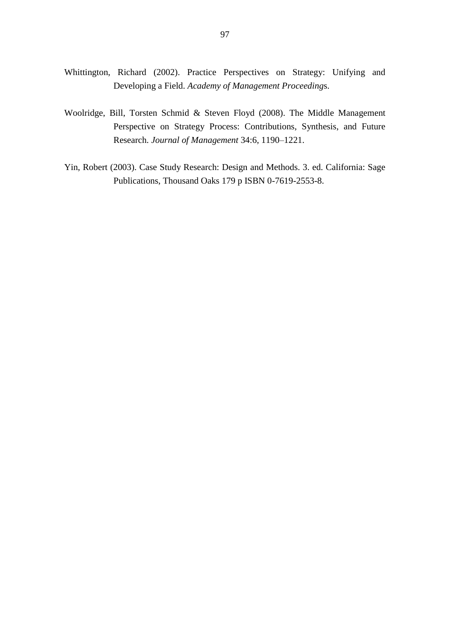- Whittington, Richard (2002). Practice Perspectives on Strategy: Unifying and Developing a Field. *Academy of Management Proceeding*s.
- Woolridge, Bill, Torsten Schmid & Steven Floyd (2008). The Middle Management Perspective on Strategy Process: Contributions, Synthesis, and Future Research. *Journal of Management* 34:6, 1190–1221.
- Yin, Robert (2003). Case Study Research: Design and Methods. 3. ed. California: Sage Publications, Thousand Oaks 179 p ISBN 0-7619-2553-8.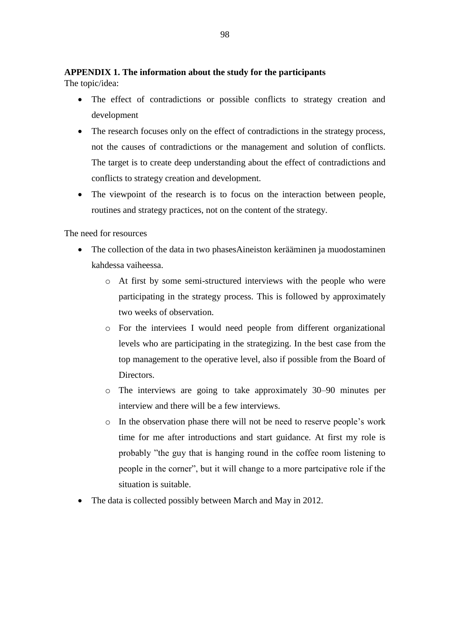# **APPENDIX 1. The information about the study for the participants**

The topic/idea:

- The effect of contradictions or possible conflicts to strategy creation and development
- The research focuses only on the effect of contradictions in the strategy process, not the causes of contradictions or the management and solution of conflicts. The target is to create deep understanding about the effect of contradictions and conflicts to strategy creation and development.
- The viewpoint of the research is to focus on the interaction between people, routines and strategy practices, not on the content of the strategy.

The need for resources

- The collection of the data in two phasesAineiston kerääminen ja muodostaminen kahdessa vaiheessa.
	- o At first by some semi-structured interviews with the people who were participating in the strategy process. This is followed by approximately two weeks of observation.
	- o For the interviees I would need people from different organizational levels who are participating in the strategizing. In the best case from the top management to the operative level, also if possible from the Board of Directors.
	- o The interviews are going to take approximately 30–90 minutes per interview and there will be a few interviews.
	- o In the observation phase there will not be need to reserve people's work time for me after introductions and start guidance. At first my role is probably "the guy that is hanging round in the coffee room listening to people in the corner", but it will change to a more partcipative role if the situation is suitable.
- The data is collected possibly between March and May in 2012.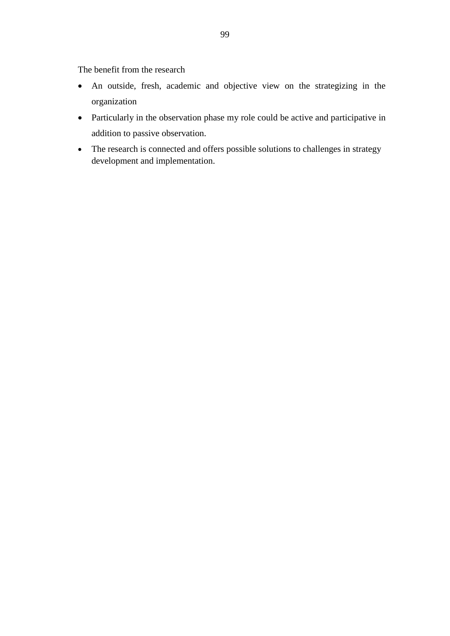The benefit from the research

- An outside, fresh, academic and objective view on the strategizing in the organization
- Particularly in the observation phase my role could be active and participative in addition to passive observation.
- The research is connected and offers possible solutions to challenges in strategy development and implementation.